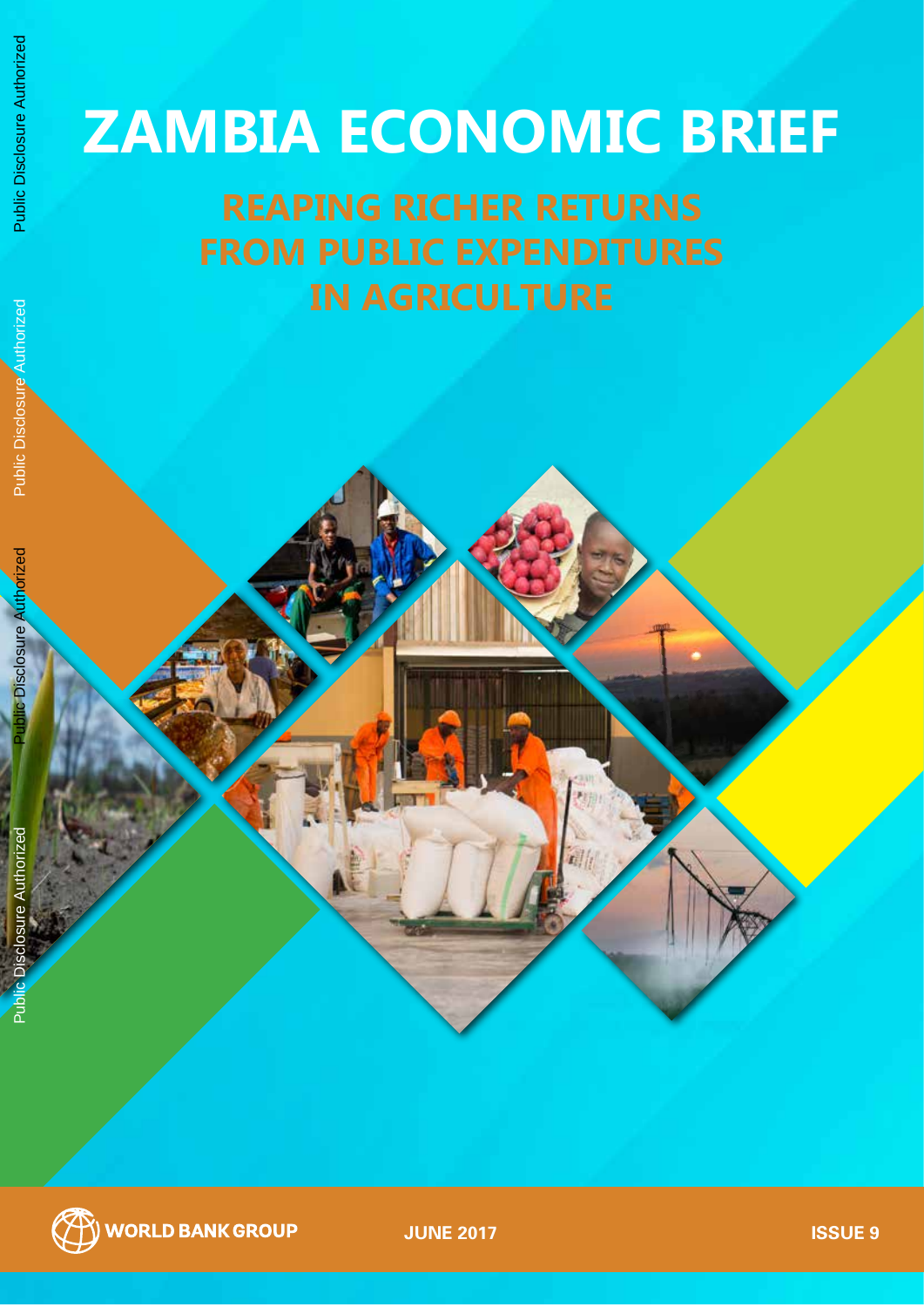# **ZAMBIA ECONOMIC BRIEF**

**JUNE 2017 ISSUE 9**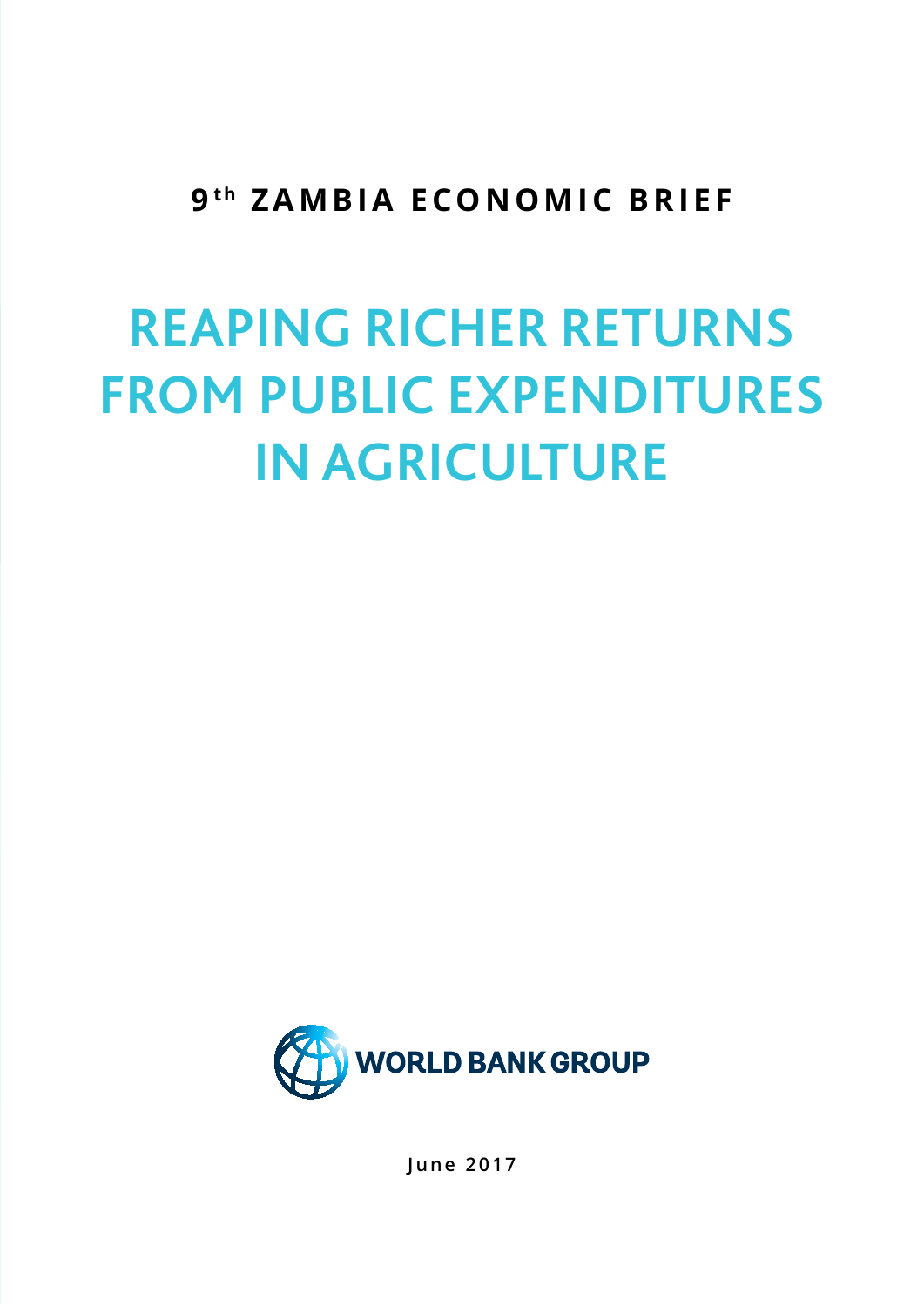### 9<sup>th</sup> ZAMBIA ECONOMIC BRIEF

# **REAPING RICHER RETURNS FROM PUBLIC EXPENDITURES IN AGRICULTURE**



**June 2017**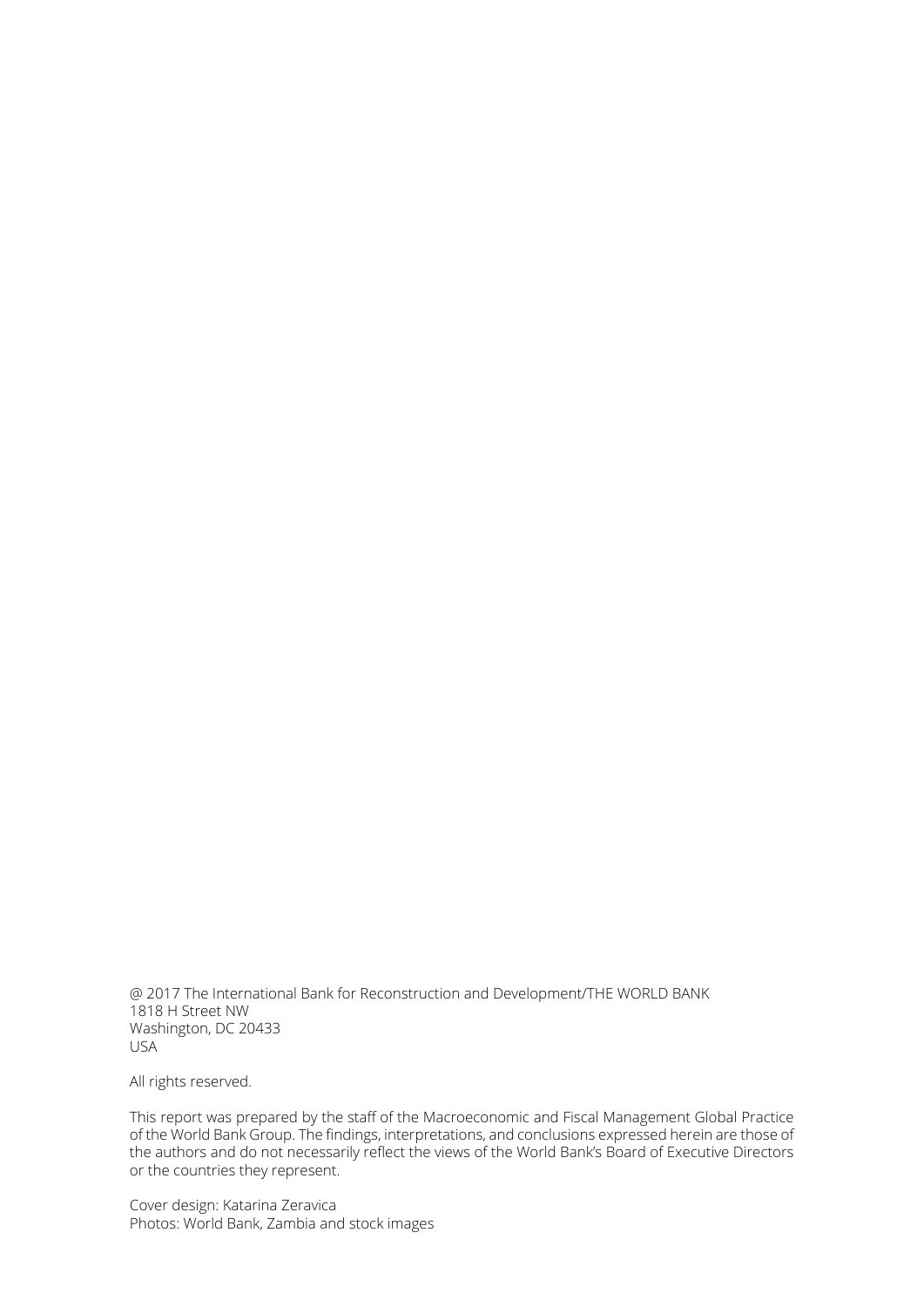@ 2017 The International Bank for Reconstruction and Development/THE WORLD BANK 1818 H Street NW Washington, DC 20433 USA

All rights reserved.

This report was prepared by the staff of the Macroeconomic and Fiscal Management Global Practice of the World Bank Group. The findings, interpretations, and conclusions expressed herein are those of the authors and do not necessarily reflect the views of the World Bank's Board of Executive Directors or the countries they represent.

Cover design: Katarina Zeravica Photos: World Bank, Zambia and stock images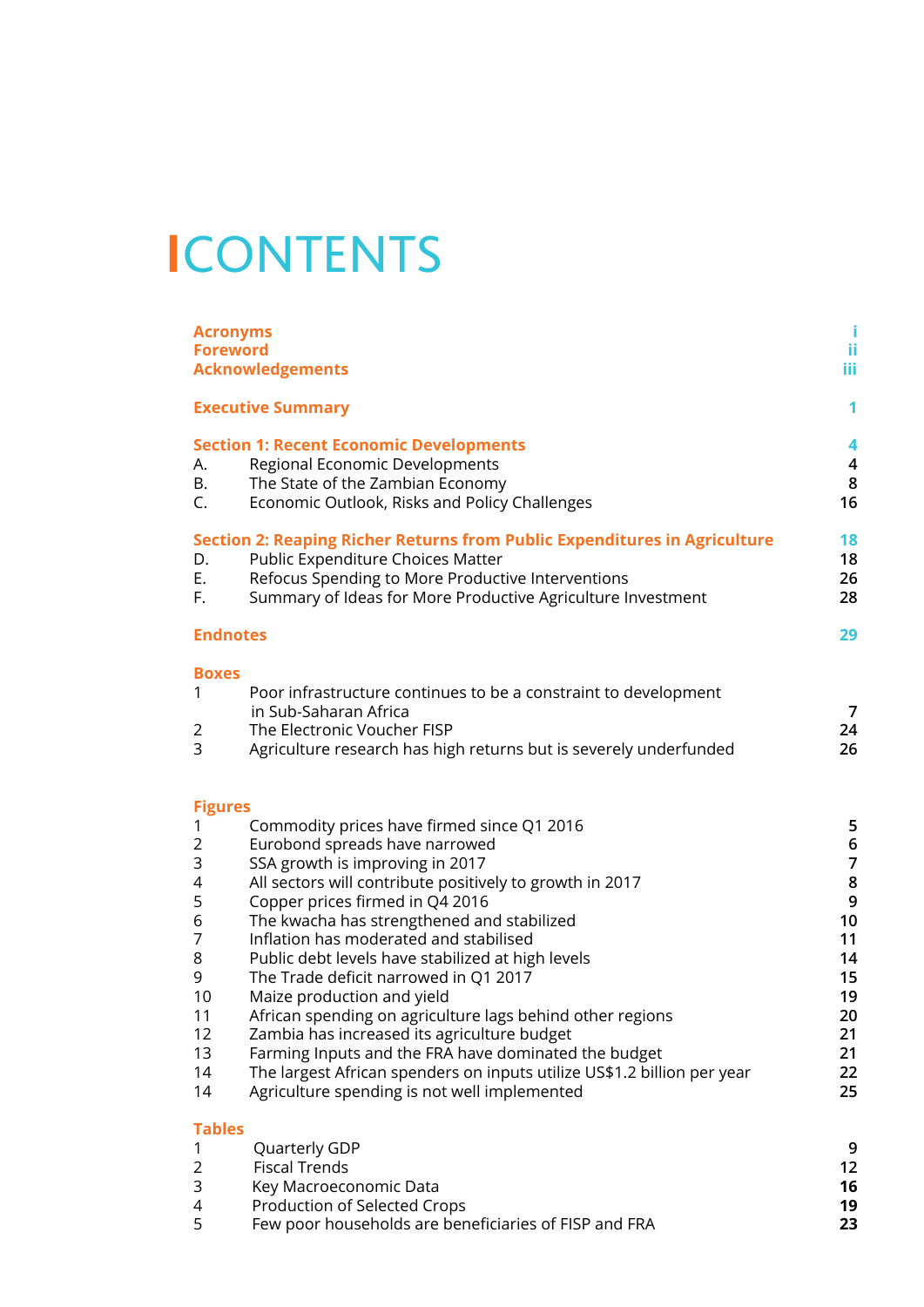## **I**CONTENTS

| <b>Acronyms</b><br><b>Foreword</b>                                                                           | <b>Acknowledgements</b>                                                                                                                                                                                                                                                                                                                                                                                                                                                                                                                                                                                                                                                                                                           | Ť.<br>ii<br><b>iii</b>                                                                                     |
|--------------------------------------------------------------------------------------------------------------|-----------------------------------------------------------------------------------------------------------------------------------------------------------------------------------------------------------------------------------------------------------------------------------------------------------------------------------------------------------------------------------------------------------------------------------------------------------------------------------------------------------------------------------------------------------------------------------------------------------------------------------------------------------------------------------------------------------------------------------|------------------------------------------------------------------------------------------------------------|
|                                                                                                              | <b>Executive Summary</b>                                                                                                                                                                                                                                                                                                                                                                                                                                                                                                                                                                                                                                                                                                          | 1                                                                                                          |
| А.<br>Β.<br>C.                                                                                               | <b>Section 1: Recent Economic Developments</b><br>Regional Economic Developments<br>The State of the Zambian Economy<br>Economic Outlook, Risks and Policy Challenges                                                                                                                                                                                                                                                                                                                                                                                                                                                                                                                                                             | 4<br>$\overline{\mathbf{4}}$<br>$\bf 8$<br>16                                                              |
| D.<br>Ε.<br>F.                                                                                               | Section 2: Reaping Richer Returns from Public Expenditures in Agriculture<br>Public Expenditure Choices Matter<br>Refocus Spending to More Productive Interventions<br>Summary of Ideas for More Productive Agriculture Investment                                                                                                                                                                                                                                                                                                                                                                                                                                                                                                | 18<br>18<br>26<br>28                                                                                       |
| <b>Endnotes</b>                                                                                              |                                                                                                                                                                                                                                                                                                                                                                                                                                                                                                                                                                                                                                                                                                                                   | 29                                                                                                         |
| <b>Boxes</b><br>1<br>2<br>3                                                                                  | Poor infrastructure continues to be a constraint to development<br>in Sub-Saharan Africa<br>The Electronic Voucher FISP<br>Agriculture research has high returns but is severely underfunded                                                                                                                                                                                                                                                                                                                                                                                                                                                                                                                                      | $\overline{7}$<br>24<br>26                                                                                 |
| <b>Figures</b><br>1<br>$\overline{2}$<br>3<br>4<br>5<br>6<br>7<br>8<br>9<br>10<br>11<br>12<br>13<br>14<br>14 | Commodity prices have firmed since Q1 2016<br>Eurobond spreads have narrowed<br>SSA growth is improving in 2017<br>All sectors will contribute positively to growth in 2017<br>Copper prices firmed in Q4 2016<br>The kwacha has strengthened and stabilized<br>Inflation has moderated and stabilised<br>Public debt levels have stabilized at high levels<br>The Trade deficit narrowed in Q1 2017<br>Maize production and yield<br>African spending on agriculture lags behind other regions<br>Zambia has increased its agriculture budget<br>Farming Inputs and the FRA have dominated the budget<br>The largest African spenders on inputs utilize US\$1.2 billion per year<br>Agriculture spending is not well implemented | 5<br>$\bf 6$<br>$\overline{7}$<br>$\bf 8$<br>9<br>10<br>11<br>14<br>15<br>19<br>20<br>21<br>21<br>22<br>25 |
| <b>Tables</b><br>1<br>2<br>3<br>4                                                                            | Quarterly GDP<br><b>Fiscal Trends</b><br>Key Macroeconomic Data<br>Production of Selected Crops                                                                                                                                                                                                                                                                                                                                                                                                                                                                                                                                                                                                                                   | 9<br>12<br>16<br>19                                                                                        |

5 Few poor households are beneficiaries of FISP and FRA **23**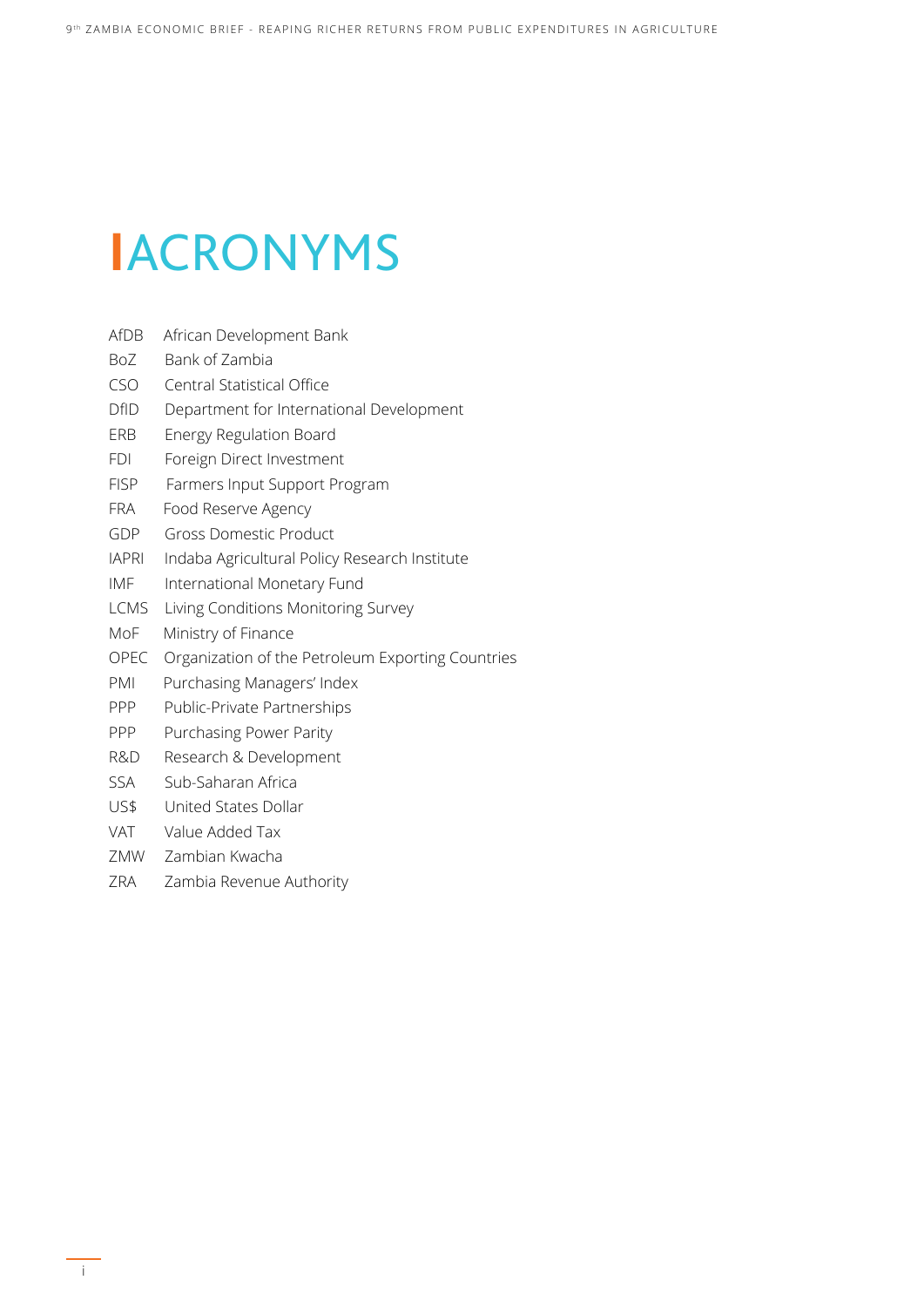## **I**ACRONYMS

- AfDB African Development Bank
- BoZ Bank of Zambia
- CSO Central Statistical Office
- DfID Department for International Development
- ERB Energy Regulation Board
- FDI Foreign Direct Investment
- FISP Farmers Input Support Program
- FRA Food Reserve Agency
- GDP Gross Domestic Product
- IAPRI Indaba Agricultural Policy Research Institute
- IMF International Monetary Fund
- LCMS Living Conditions Monitoring Survey
- MoF Ministry of Finance
- OPEC Organization of the Petroleum Exporting Countries
- PMI Purchasing Managers' Index
- PPP Public-Private Partnerships
- PPP Purchasing Power Parity
- R&D Research & Development
- SSA Sub-Saharan Africa
- US\$ United States Dollar
- VAT Value Added Tax
- ZMW Zambian Kwacha
- ZRA Zambia Revenue Authority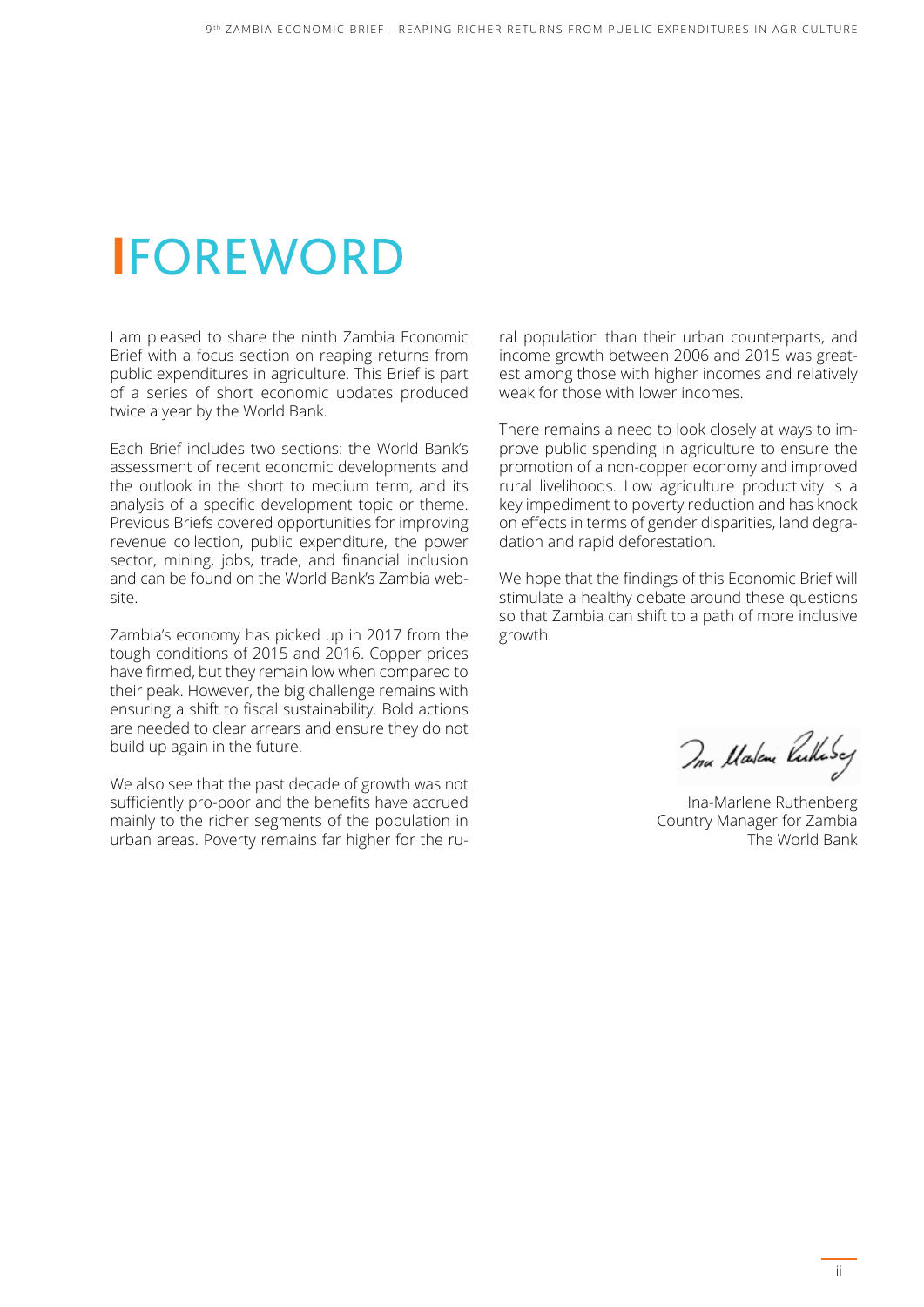## **I**FOREWORD

I am pleased to share the ninth Zambia Economic Brief with a focus section on reaping returns from public expenditures in agriculture. This Brief is part of a series of short economic updates produced twice a year by the World Bank.

Each Brief includes two sections: the World Bank's assessment of recent economic developments and the outlook in the short to medium term, and its analysis of a specific development topic or theme. Previous Briefs covered opportunities for improving revenue collection, public expenditure, the power sector, mining, jobs, trade, and financial inclusion and can be found on the World Bank's Zambia website.

Zambia's economy has picked up in 2017 from the tough conditions of 2015 and 2016. Copper prices have firmed, but they remain low when compared to their peak. However, the big challenge remains with ensuring a shift to fiscal sustainability. Bold actions are needed to clear arrears and ensure they do not build up again in the future.

We also see that the past decade of growth was not sufficiently pro-poor and the benefits have accrued mainly to the richer segments of the population in urban areas. Poverty remains far higher for the rural population than their urban counterparts, and income growth between 2006 and 2015 was greatest among those with higher incomes and relatively weak for those with lower incomes.

There remains a need to look closely at ways to improve public spending in agriculture to ensure the promotion of a non-copper economy and improved rural livelihoods. Low agriculture productivity is a key impediment to poverty reduction and has knock on effects in terms of gender disparities, land degradation and rapid deforestation.

We hope that the findings of this Economic Brief will stimulate a healthy debate around these questions so that Zambia can shift to a path of more inclusive growth.

Ina Malene Pulhosey

Ina-Marlene Ruthenberg Country Manager for Zambia The World Bank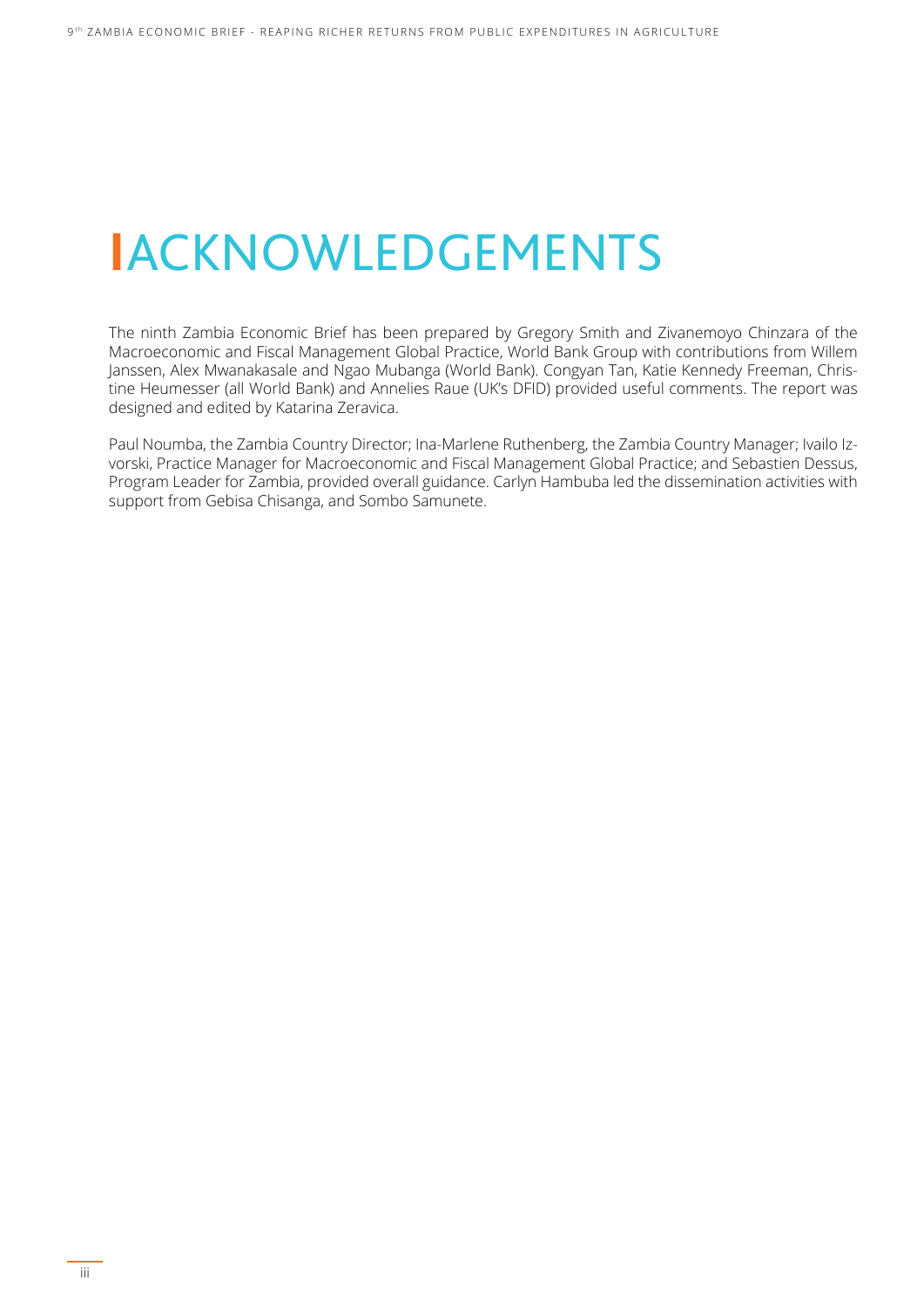## **I**ACKNOWLEDGEMENTS

The ninth Zambia Economic Brief has been prepared by Gregory Smith and Zivanemoyo Chinzara of the Macroeconomic and Fiscal Management Global Practice, World Bank Group with contributions from Willem Janssen, Alex Mwanakasale and Ngao Mubanga (World Bank). Congyan Tan, Katie Kennedy Freeman, Christine Heumesser (all World Bank) and Annelies Raue (UK's DFID) provided useful comments. The report was designed and edited by Katarina Zeravica.

Paul Noumba, the Zambia Country Director; Ina-Marlene Ruthenberg, the Zambia Country Manager; Ivailo Izvorski, Practice Manager for Macroeconomic and Fiscal Management Global Practice; and Sebastien Dessus, Program Leader for Zambia, provided overall guidance. Carlyn Hambuba led the dissemination activities with support from Gebisa Chisanga, and Sombo Samunete.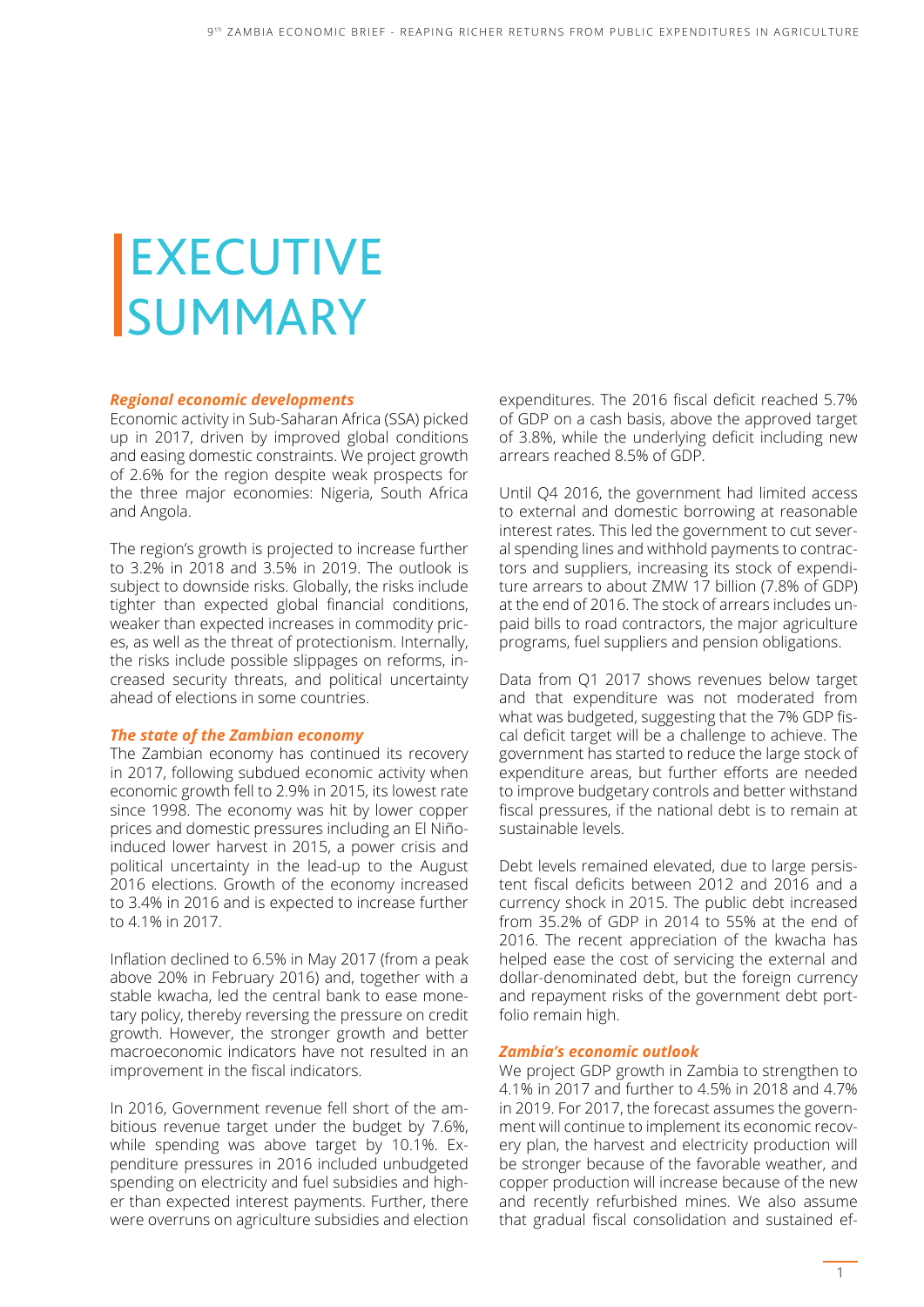# **EXECUTIVE SUMMARY**

#### *Regional economic developments*

Economic activity in Sub-Saharan Africa (SSA) picked up in 2017, driven by improved global conditions and easing domestic constraints. We project growth of 2.6% for the region despite weak prospects for the three major economies: Nigeria, South Africa and Angola.

The region's growth is projected to increase further to 3.2% in 2018 and 3.5% in 2019. The outlook is subject to downside risks. Globally, the risks include tighter than expected global financial conditions, weaker than expected increases in commodity prices, as well as the threat of protectionism. Internally, the risks include possible slippages on reforms, increased security threats, and political uncertainty ahead of elections in some countries.

#### *The state of the Zambian economy*

The Zambian economy has continued its recovery in 2017, following subdued economic activity when economic growth fell to 2.9% in 2015, its lowest rate since 1998. The economy was hit by lower copper prices and domestic pressures including an El Niñoinduced lower harvest in 2015, a power crisis and political uncertainty in the lead-up to the August 2016 elections. Growth of the economy increased to 3.4% in 2016 and is expected to increase further to 4.1% in 2017.

Inflation declined to 6.5% in May 2017 (from a peak above 20% in February 2016) and, together with a stable kwacha, led the central bank to ease monetary policy, thereby reversing the pressure on credit growth. However, the stronger growth and better macroeconomic indicators have not resulted in an improvement in the fiscal indicators.

In 2016, Government revenue fell short of the ambitious revenue target under the budget by 7.6%, while spending was above target by 10.1%. Expenditure pressures in 2016 included unbudgeted spending on electricity and fuel subsidies and higher than expected interest payments. Further, there were overruns on agriculture subsidies and election

expenditures. The 2016 fiscal deficit reached 5.7% of GDP on a cash basis, above the approved target of 3.8%, while the underlying deficit including new arrears reached 8.5% of GDP.

Until Q4 2016, the government had limited access to external and domestic borrowing at reasonable interest rates. This led the government to cut several spending lines and withhold payments to contractors and suppliers, increasing its stock of expenditure arrears to about ZMW 17 billion (7.8% of GDP) at the end of 2016. The stock of arrears includes unpaid bills to road contractors, the major agriculture programs, fuel suppliers and pension obligations.

Data from Q1 2017 shows revenues below target and that expenditure was not moderated from what was budgeted, suggesting that the 7% GDP fiscal deficit target will be a challenge to achieve. The government has started to reduce the large stock of expenditure areas, but further efforts are needed to improve budgetary controls and better withstand fiscal pressures, if the national debt is to remain at sustainable levels.

Debt levels remained elevated, due to large persistent fiscal deficits between 2012 and 2016 and a currency shock in 2015. The public debt increased from 35.2% of GDP in 2014 to 55% at the end of 2016. The recent appreciation of the kwacha has helped ease the cost of servicing the external and dollar-denominated debt, but the foreign currency and repayment risks of the government debt portfolio remain high.

#### *Zambia's economic outlook*

We project GDP growth in Zambia to strengthen to 4.1% in 2017 and further to 4.5% in 2018 and 4.7% in 2019. For 2017, the forecast assumes the government will continue to implement its economic recovery plan, the harvest and electricity production will be stronger because of the favorable weather, and copper production will increase because of the new and recently refurbished mines. We also assume that gradual fiscal consolidation and sustained ef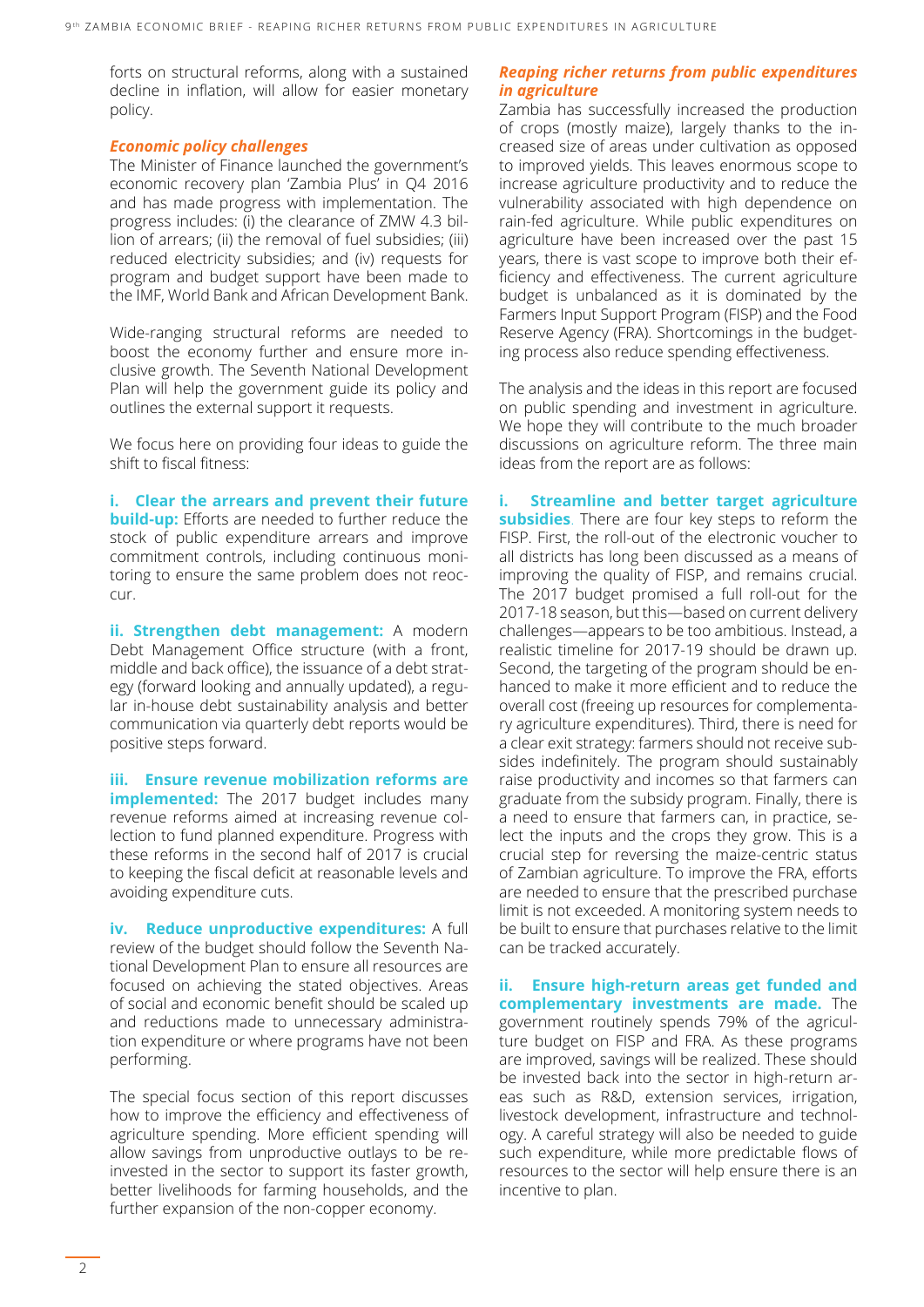forts on structural reforms, along with a sustained decline in inflation, will allow for easier monetary policy.

#### *Economic policy challenges*

The Minister of Finance launched the government's economic recovery plan 'Zambia Plus' in Q4 2016 and has made progress with implementation. The progress includes: (i) the clearance of ZMW 4.3 billion of arrears; (ii) the removal of fuel subsidies; (iii) reduced electricity subsidies; and (iv) requests for program and budget support have been made to the IMF, World Bank and African Development Bank.

Wide-ranging structural reforms are needed to boost the economy further and ensure more inclusive growth. The Seventh National Development Plan will help the government guide its policy and outlines the external support it requests.

We focus here on providing four ideas to guide the shift to fiscal fitness:

**i. Clear the arrears and prevent their future build-up:** Efforts are needed to further reduce the stock of public expenditure arrears and improve commitment controls, including continuous monitoring to ensure the same problem does not reoccur.

**ii. Strengthen debt management:** A modern Debt Management Office structure (with a front, middle and back office), the issuance of a debt strategy (forward looking and annually updated), a regular in-house debt sustainability analysis and better communication via quarterly debt reports would be positive steps forward.

**iii. Ensure revenue mobilization reforms are implemented:** The 2017 budget includes many revenue reforms aimed at increasing revenue collection to fund planned expenditure. Progress with these reforms in the second half of 2017 is crucial to keeping the fiscal deficit at reasonable levels and avoiding expenditure cuts.

**iv. Reduce unproductive expenditures:** A full review of the budget should follow the Seventh National Development Plan to ensure all resources are focused on achieving the stated objectives. Areas of social and economic benefit should be scaled up and reductions made to unnecessary administration expenditure or where programs have not been performing.

The special focus section of this report discusses how to improve the efficiency and effectiveness of agriculture spending. More efficient spending will allow savings from unproductive outlays to be reinvested in the sector to support its faster growth, better livelihoods for farming households, and the further expansion of the non-copper economy.

#### *Reaping richer returns from public expenditures in agriculture*

Zambia has successfully increased the production of crops (mostly maize), largely thanks to the increased size of areas under cultivation as opposed to improved yields. This leaves enormous scope to increase agriculture productivity and to reduce the vulnerability associated with high dependence on rain-fed agriculture. While public expenditures on agriculture have been increased over the past 15 years, there is vast scope to improve both their efficiency and effectiveness. The current agriculture budget is unbalanced as it is dominated by the Farmers Input Support Program (FISP) and the Food Reserve Agency (FRA). Shortcomings in the budgeting process also reduce spending effectiveness.

The analysis and the ideas in this report are focused on public spending and investment in agriculture. We hope they will contribute to the much broader discussions on agriculture reform. The three main ideas from the report are as follows:

**i. Streamline and better target agriculture subsidies**. There are four key steps to reform the FISP. First, the roll-out of the electronic voucher to all districts has long been discussed as a means of improving the quality of FISP, and remains crucial. The 2017 budget promised a full roll-out for the 2017-18 season, but this―based on current delivery challenges―appears to be too ambitious. Instead, a realistic timeline for 2017-19 should be drawn up. Second, the targeting of the program should be enhanced to make it more efficient and to reduce the overall cost (freeing up resources for complementary agriculture expenditures). Third, there is need for a clear exit strategy: farmers should not receive subsides indefinitely. The program should sustainably raise productivity and incomes so that farmers can graduate from the subsidy program. Finally, there is a need to ensure that farmers can, in practice, select the inputs and the crops they grow. This is a crucial step for reversing the maize-centric status of Zambian agriculture. To improve the FRA, efforts are needed to ensure that the prescribed purchase limit is not exceeded. A monitoring system needs to be built to ensure that purchases relative to the limit can be tracked accurately.

**ii. Ensure high-return areas get funded and complementary investments are made.** The government routinely spends 79% of the agriculture budget on FISP and FRA. As these programs are improved, savings will be realized. These should be invested back into the sector in high-return areas such as R&D, extension services, irrigation, livestock development, infrastructure and technology. A careful strategy will also be needed to guide such expenditure, while more predictable flows of resources to the sector will help ensure there is an incentive to plan.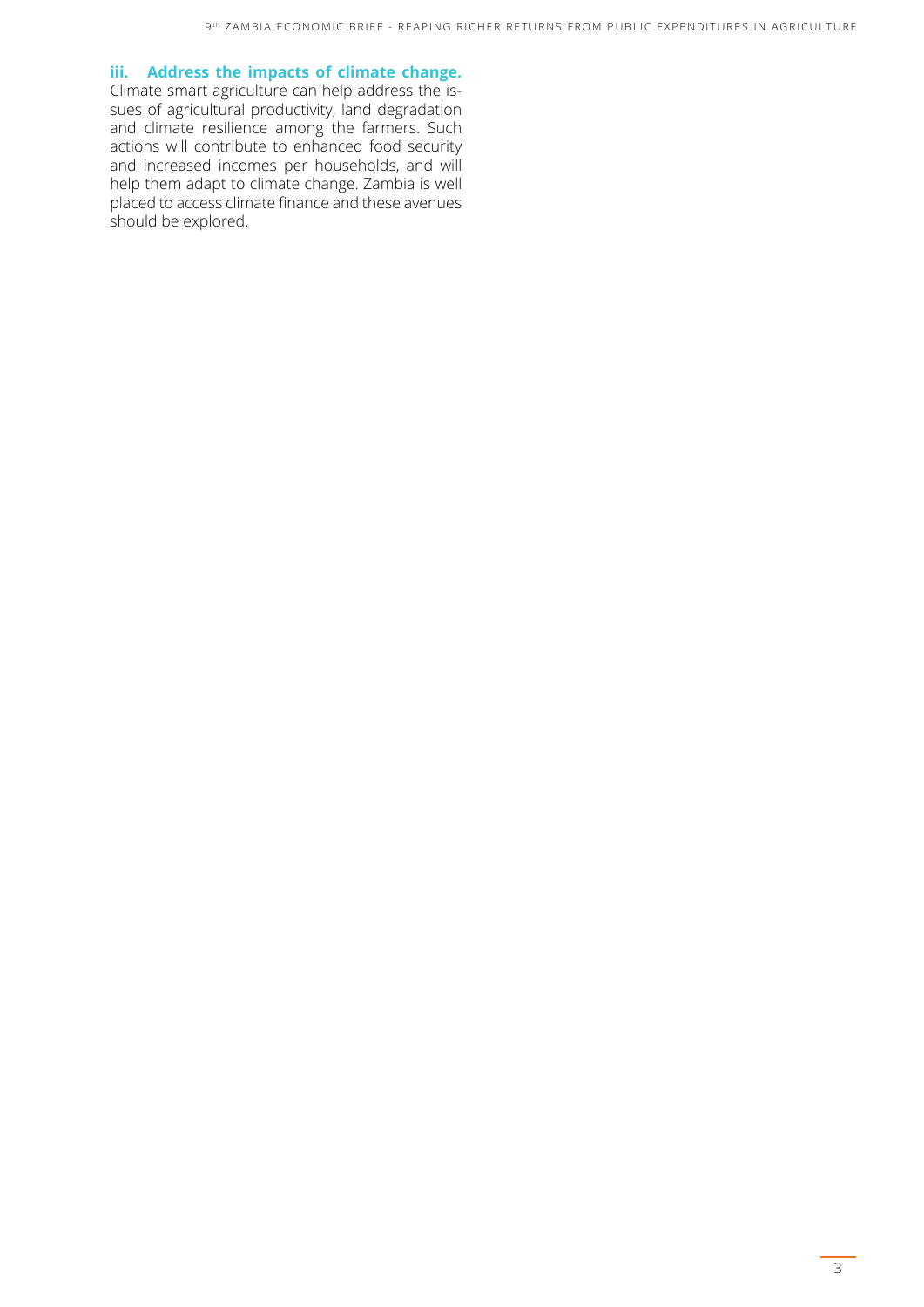#### **iii. Address the impacts of climate change.**

Climate smart agriculture can help address the issues of agricultural productivity, land degradation and climate resilience among the farmers. Such actions will contribute to enhanced food security and increased incomes per households, and will help them adapt to climate change. Zambia is well placed to access climate finance and these avenues should be explored.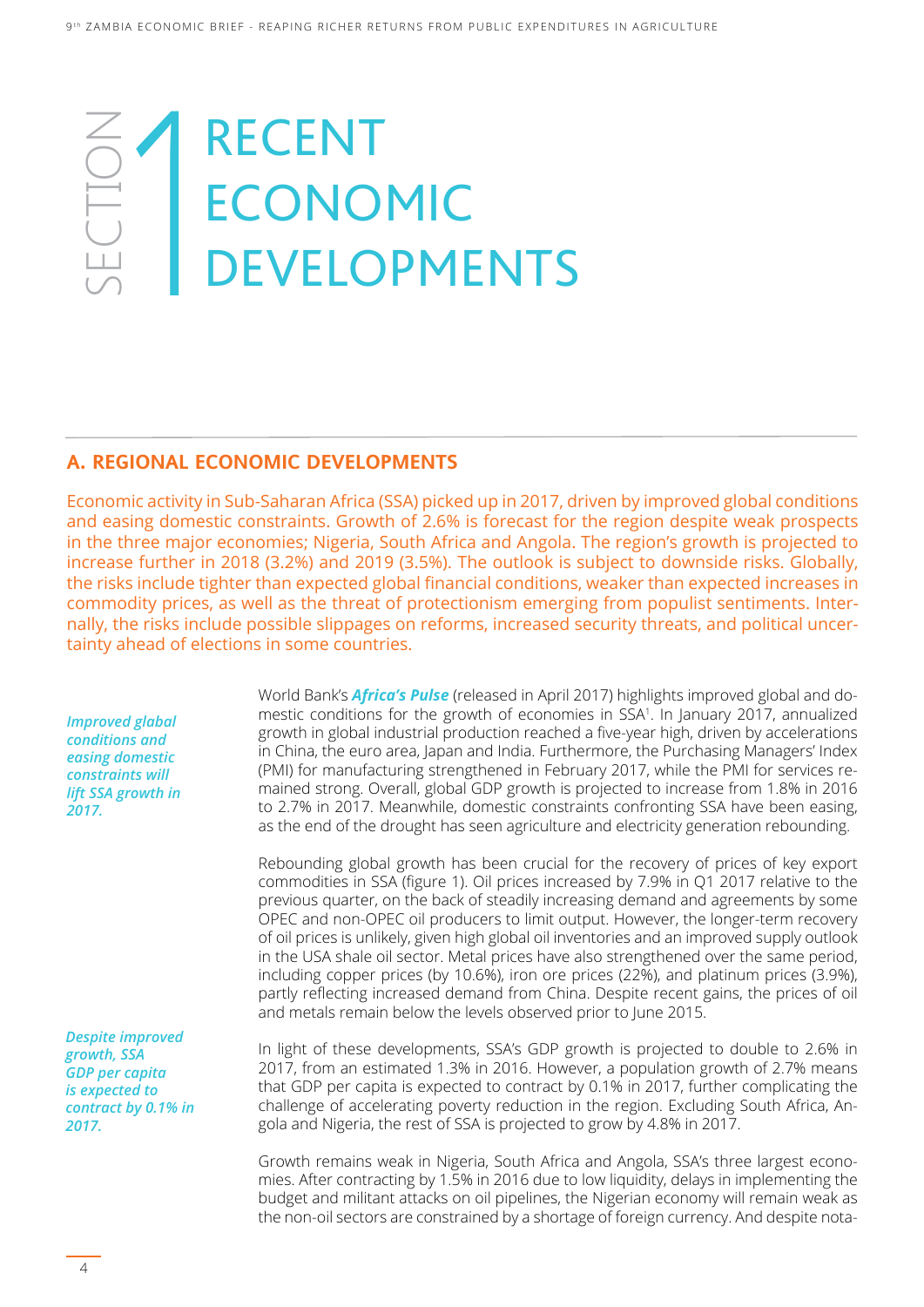### SECTION TON<br>1011 RECENT ECONOMIC DEVELOPMENTS

#### **A. REGIONAL ECONOMIC DEVELOPMENTS**

Economic activity in Sub-Saharan Africa (SSA) picked up in 2017, driven by improved global conditions and easing domestic constraints. Growth of 2.6% is forecast for the region despite weak prospects in the three major economies; Nigeria, South Africa and Angola. The region's growth is projected to increase further in 2018 (3.2%) and 2019 (3.5%). The outlook is subject to downside risks. Globally, the risks include tighter than expected global financial conditions, weaker than expected increases in commodity prices, as well as the threat of protectionism emerging from populist sentiments. Internally, the risks include possible slippages on reforms, increased security threats, and political uncertainty ahead of elections in some countries.

*Improved glabal conditions and easing domestic constraints will lift SSA growth in 2017.* 

*Despite improved growth, SSA GDP per capita is expected to contract by 0.1% in 2017.* 

World Bank's *Africa's Pulse* (released in April 2017) highlights improved global and domestic conditions for the growth of economies in SSA1 . In January 2017, annualized growth in global industrial production reached a five-year high, driven by accelerations in China, the euro area, Japan and India. Furthermore, the Purchasing Managers' Index (PMI) for manufacturing strengthened in February 2017, while the PMI for services remained strong. Overall, global GDP growth is projected to increase from 1.8% in 2016 to 2.7% in 2017. Meanwhile, domestic constraints confronting SSA have been easing, as the end of the drought has seen agriculture and electricity generation rebounding.

Rebounding global growth has been crucial for the recovery of prices of key export commodities in SSA (figure 1). Oil prices increased by 7.9% in Q1 2017 relative to the previous quarter, on the back of steadily increasing demand and agreements by some OPEC and non-OPEC oil producers to limit output. However, the longer-term recovery of oil prices is unlikely, given high global oil inventories and an improved supply outlook in the USA shale oil sector. Metal prices have also strengthened over the same period, including copper prices (by 10.6%), iron ore prices (22%), and platinum prices (3.9%), partly reflecting increased demand from China. Despite recent gains, the prices of oil and metals remain below the levels observed prior to June 2015.

In light of these developments, SSA's GDP growth is projected to double to 2.6% in 2017, from an estimated 1.3% in 2016. However, a population growth of 2.7% means that GDP per capita is expected to contract by 0.1% in 2017, further complicating the challenge of accelerating poverty reduction in the region. Excluding South Africa, Angola and Nigeria, the rest of SSA is projected to grow by 4.8% in 2017.

Growth remains weak in Nigeria, South Africa and Angola, SSA's three largest economies. After contracting by 1.5% in 2016 due to low liquidity, delays in implementing the budget and militant attacks on oil pipelines, the Nigerian economy will remain weak as the non-oil sectors are constrained by a shortage of foreign currency. And despite nota-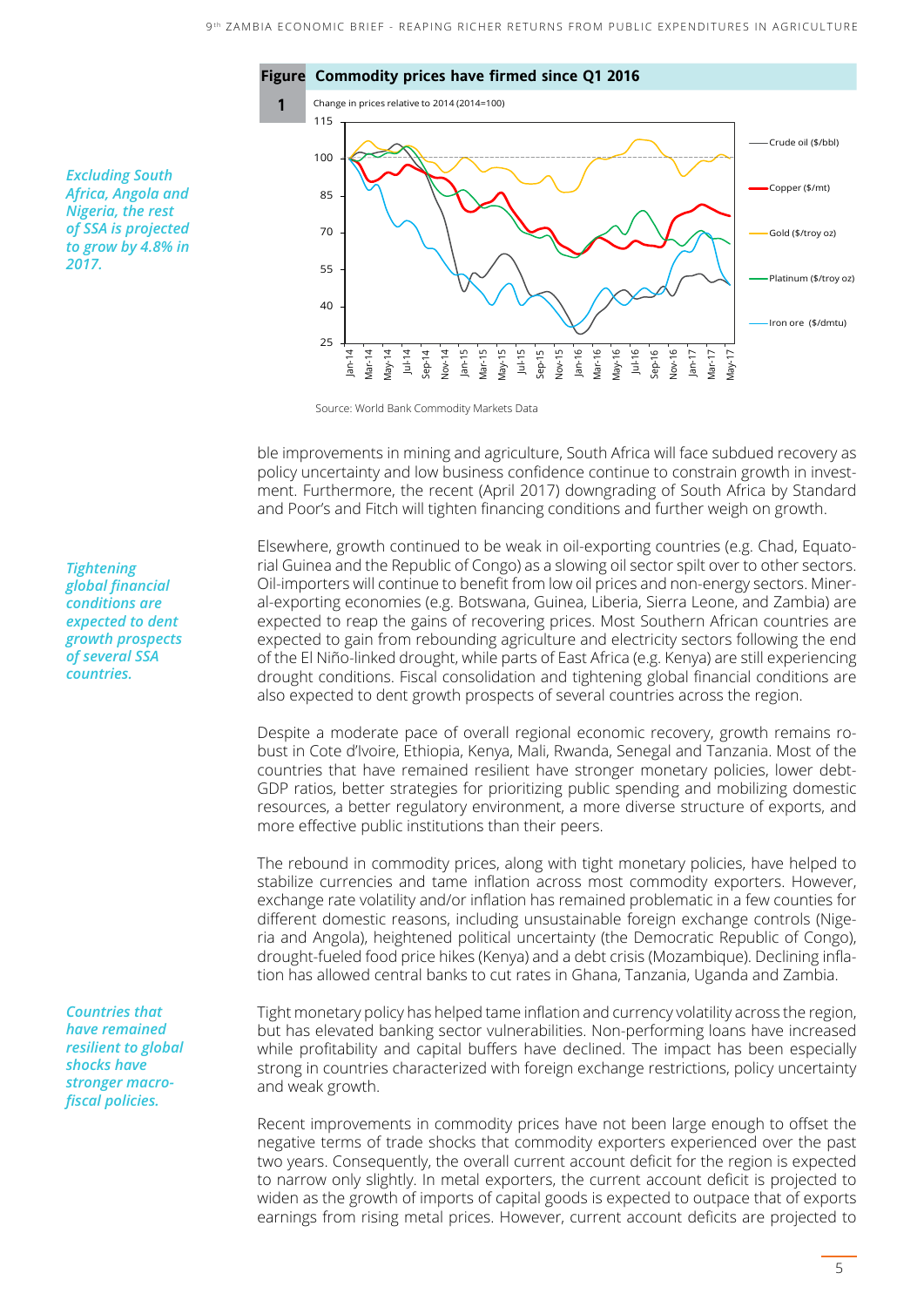

*Excluding South Africa, Angola and Nigeria, the rest of SSA is projected to grow by 4.8% in 2017.*

Source: World Bank Commodity Markets Data

ble improvements in mining and agriculture, South Africa will face subdued recovery as policy uncertainty and low business confidence continue to constrain growth in investment. Furthermore, the recent (April 2017) downgrading of South Africa by Standard and Poor's and Fitch will tighten financing conditions and further weigh on growth.

Elsewhere, growth continued to be weak in oil-exporting countries (e.g. Chad, Equatorial Guinea and the Republic of Congo) as a slowing oil sector spilt over to other sectors. Oil-importers will continue to benefit from low oil prices and non-energy sectors. Mineral-exporting economies (e.g. Botswana, Guinea, Liberia, Sierra Leone, and Zambia) are expected to reap the gains of recovering prices. Most Southern African countries are expected to gain from rebounding agriculture and electricity sectors following the end of the El Niño-linked drought, while parts of East Africa (e.g. Kenya) are still experiencing drought conditions. Fiscal consolidation and tightening global financial conditions are also expected to dent growth prospects of several countries across the region.

Despite a moderate pace of overall regional economic recovery, growth remains robust in Cote d'Ivoire, Ethiopia, Kenya, Mali, Rwanda, Senegal and Tanzania. Most of the countries that have remained resilient have stronger monetary policies, lower debt-GDP ratios, better strategies for prioritizing public spending and mobilizing domestic resources, a better regulatory environment, a more diverse structure of exports, and more effective public institutions than their peers.

The rebound in commodity prices, along with tight monetary policies, have helped to stabilize currencies and tame inflation across most commodity exporters. However, exchange rate volatility and/or inflation has remained problematic in a few counties for different domestic reasons, including unsustainable foreign exchange controls (Nigeria and Angola), heightened political uncertainty (the Democratic Republic of Congo), drought-fueled food price hikes (Kenya) and a debt crisis (Mozambique). Declining inflation has allowed central banks to cut rates in Ghana, Tanzania, Uganda and Zambia.

Tight monetary policy has helped tame inflation and currency volatility across the region, but has elevated banking sector vulnerabilities. Non-performing loans have increased while profitability and capital buffers have declined. The impact has been especially strong in countries characterized with foreign exchange restrictions, policy uncertainty and weak growth.

Recent improvements in commodity prices have not been large enough to offset the negative terms of trade shocks that commodity exporters experienced over the past two years. Consequently, the overall current account deficit for the region is expected to narrow only slightly. In metal exporters, the current account deficit is projected to widen as the growth of imports of capital goods is expected to outpace that of exports earnings from rising metal prices. However, current account deficits are projected to

*Tightening global financial conditions are expected to dent growth prospects of several SSA countries.* 

*Countries that have remained resilient to global shocks have stronger macrofiscal policies.*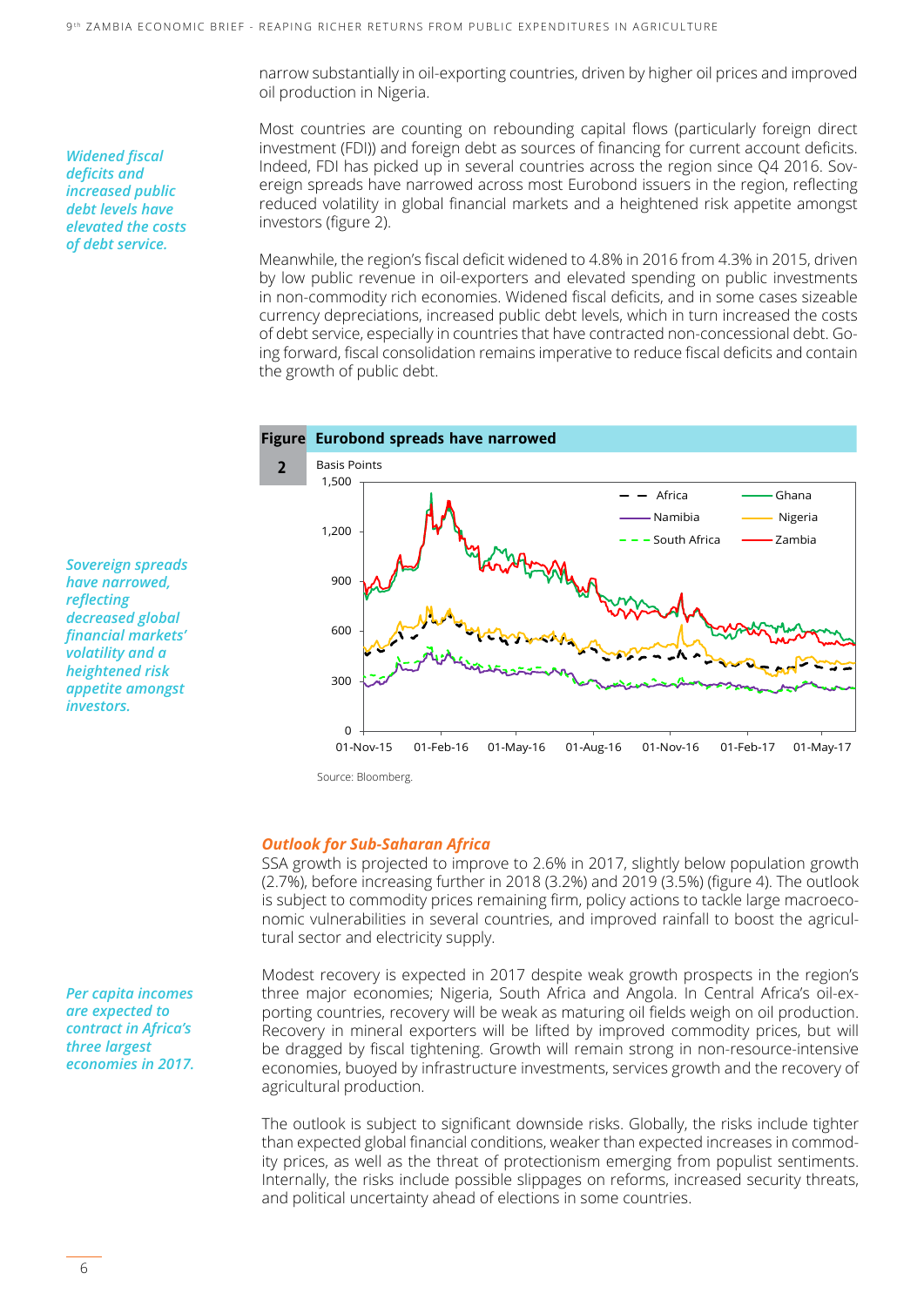narrow substantially in oil-exporting countries, driven by higher oil prices and improved oil production in Nigeria.

Most countries are counting on rebounding capital flows (particularly foreign direct investment (FDI)) and foreign debt as sources of financing for current account deficits. Indeed, FDI has picked up in several countries across the region since Q4 2016. Sovereign spreads have narrowed across most Eurobond issuers in the region, reflecting reduced volatility in global financial markets and a heightened risk appetite amongst investors (figure 2).

Meanwhile, the region's fiscal deficit widened to 4.8% in 2016 from 4.3% in 2015, driven by low public revenue in oil-exporters and elevated spending on public investments in non-commodity rich economies. Widened fiscal deficits, and in some cases sizeable currency depreciations, increased public debt levels, which in turn increased the costs of debt service, especially in countries that have contracted non-concessional debt. Going forward, fiscal consolidation remains imperative to reduce fiscal deficits and contain the growth of public debt.



Source: Bloomberg.

#### *Outlook for Sub-Saharan Africa*

SSA growth is projected to improve to 2.6% in 2017, slightly below population growth (2.7%), before increasing further in 2018 (3.2%) and 2019 (3.5%) (figure 4). The outlook is subject to commodity prices remaining firm, policy actions to tackle large macroeconomic vulnerabilities in several countries, and improved rainfall to boost the agricultural sector and electricity supply.

Modest recovery is expected in 2017 despite weak growth prospects in the region's three major economies; Nigeria, South Africa and Angola. In Central Africa's oil-exporting countries, recovery will be weak as maturing oil fields weigh on oil production. Recovery in mineral exporters will be lifted by improved commodity prices, but will be dragged by fiscal tightening. Growth will remain strong in non-resource-intensive economies, buoyed by infrastructure investments, services growth and the recovery of agricultural production.

The outlook is subject to significant downside risks. Globally, the risks include tighter than expected global financial conditions, weaker than expected increases in commodity prices, as well as the threat of protectionism emerging from populist sentiments. Internally, the risks include possible slippages on reforms, increased security threats, and political uncertainty ahead of elections in some countries.

*Sovereign spreads have narrowed, reflecting decreased global financial markets' volatility and a heightened risk appetite amongst investors.*

*Per capita incomes are expected to contract in Africa's three largest economies in 2017.*

#### *Widened fiscal deficits and increased public debt levels have elevated the costs of debt service.*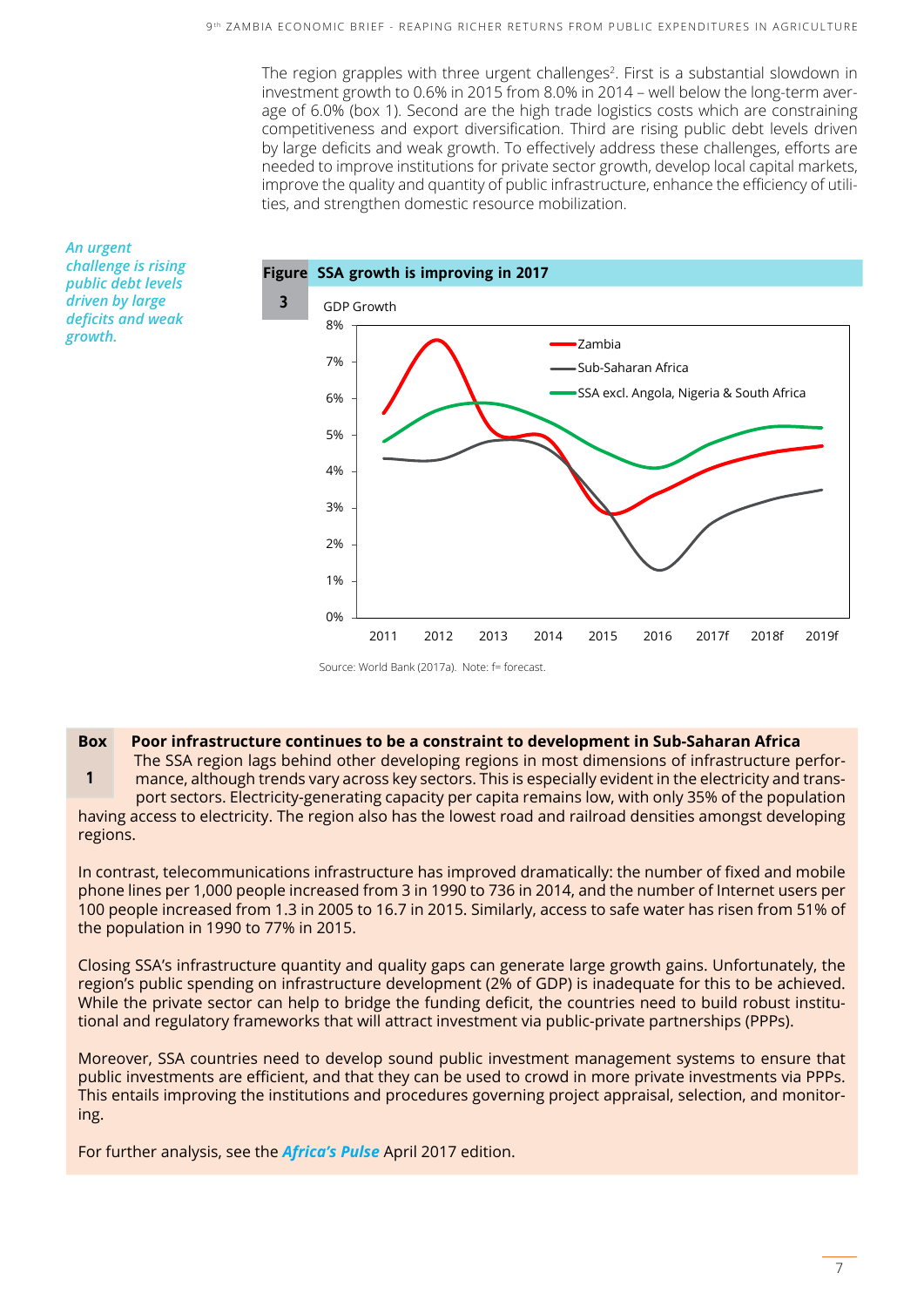The region grapples with three urgent challenges<sup>2</sup>. First is a substantial slowdown in investment growth to 0.6% in 2015 from 8.0% in 2014 – well below the long-term average of 6.0% (box 1). Second are the high trade logistics costs which are constraining competitiveness and export diversification. Third are rising public debt levels driven by large deficits and weak growth. To effectively address these challenges, efforts are needed to improve institutions for private sector growth, develop local capital markets, improve the quality and quantity of public infrastructure, enhance the efficiency of utilities, and strengthen domestic resource mobilization.



*An urgent challenge is rising public debt levels driven by large deficits and weak growth.*

Source: World Bank (2017a). Note: f= forecast.

#### **Box Poor infrastructure continues to be a constraint to development in Sub-Saharan Africa**

The SSA region lags behind other developing regions in most dimensions of infrastructure perfor-

**1** mance, although trends vary across key sectors. This is especially evident in the electricity and trans port sectors. Electricity-generating capacity per capita remains low, with only 35% of the population having access to electricity. The region also has the lowest road and railroad densities amongst developing regions.

In contrast, telecommunications infrastructure has improved dramatically: the number of fixed and mobile phone lines per 1,000 people increased from 3 in 1990 to 736 in 2014, and the number of Internet users per 100 people increased from 1.3 in 2005 to 16.7 in 2015. Similarly, access to safe water has risen from 51% of the population in 1990 to 77% in 2015.

Closing SSA's infrastructure quantity and quality gaps can generate large growth gains. Unfortunately, the region's public spending on infrastructure development (2% of GDP) is inadequate for this to be achieved. While the private sector can help to bridge the funding deficit, the countries need to build robust institutional and regulatory frameworks that will attract investment via public-private partnerships (PPPs).

Moreover, SSA countries need to develop sound public investment management systems to ensure that public investments are efficient, and that they can be used to crowd in more private investments via PPPs. This entails improving the institutions and procedures governing project appraisal, selection, and monitoring.

For further analysis, see the *Africa's Pulse* April 2017 edition.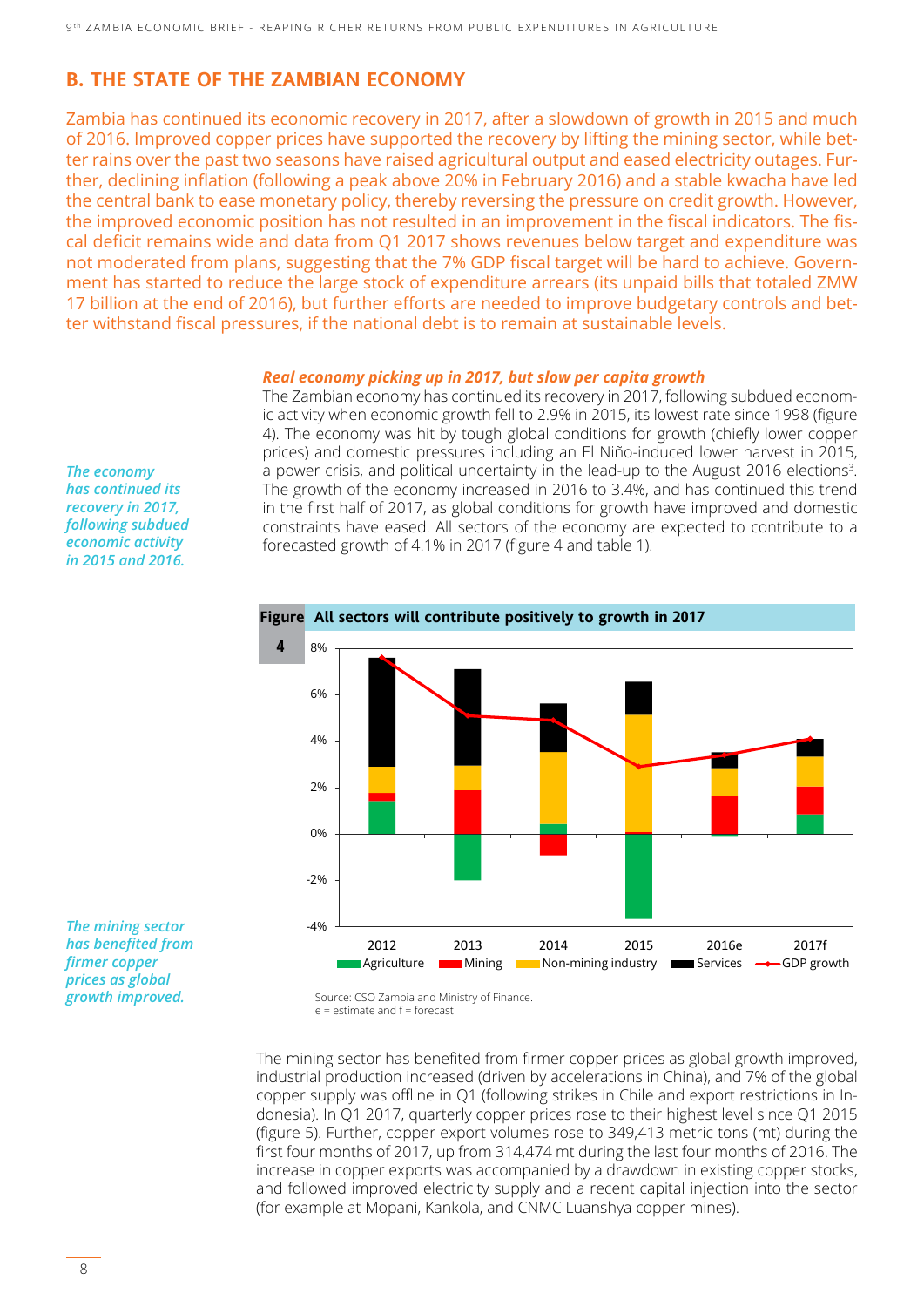### **B. THE STATE OF THE ZAMBIAN ECONOMY**

Zambia has continued its economic recovery in 2017, after a slowdown of growth in 2015 and much of 2016. Improved copper prices have supported the recovery by lifting the mining sector, while better rains over the past two seasons have raised agricultural output and eased electricity outages. Further, declining inflation (following a peak above 20% in February 2016) and a stable kwacha have led the central bank to ease monetary policy, thereby reversing the pressure on credit growth. However, the improved economic position has not resulted in an improvement in the fiscal indicators. The fiscal deficit remains wide and data from Q1 2017 shows revenues below target and expenditure was not moderated from plans, suggesting that the 7% GDP fiscal target will be hard to achieve. Government has started to reduce the large stock of expenditure arrears (its unpaid bills that totaled ZMW 17 billion at the end of 2016), but further efforts are needed to improve budgetary controls and better withstand fiscal pressures, if the national debt is to remain at sustainable levels.

#### *Real economy picking up in 2017, but slow per capita growth*

The Zambian economy has continued its recovery in 2017, following subdued economic activity when economic growth fell to 2.9% in 2015, its lowest rate since 1998 (figure 4). The economy was hit by tough global conditions for growth (chiefly lower copper prices) and domestic pressures including an El Niño-induced lower harvest in 2015, a power crisis, and political uncertainty in the lead-up to the August 2016 elections<sup>3</sup>. The growth of the economy increased in 2016 to 3.4%, and has continued this trend in the first half of 2017, as global conditions for growth have improved and domestic constraints have eased. All sectors of the economy are expected to contribute to a forecasted growth of 4.1% in 2017 (figure 4 and table 1).



*The mining sector has benefited from firmer copper prices as global growth improved.*

*The economy has continued its recovery in 2017, following subdued economic activity in 2015 and 2016.*

The mining sector has benefited from firmer copper prices as global growth improved, industrial production increased (driven by accelerations in China), and 7% of the global copper supply was offline in Q1 (following strikes in Chile and export restrictions in Indonesia). In Q1 2017, quarterly copper prices rose to their highest level since Q1 2015 (figure 5). Further, copper export volumes rose to 349,413 metric tons (mt) during the first four months of 2017, up from 314,474 mt during the last four months of 2016. The increase in copper exports was accompanied by a drawdown in existing copper stocks, and followed improved electricity supply and a recent capital injection into the sector (for example at Mopani, Kankola, and CNMC Luanshya copper mines).

Source: CSO Zambia and Ministry of Finance. e = estimate and f = forecast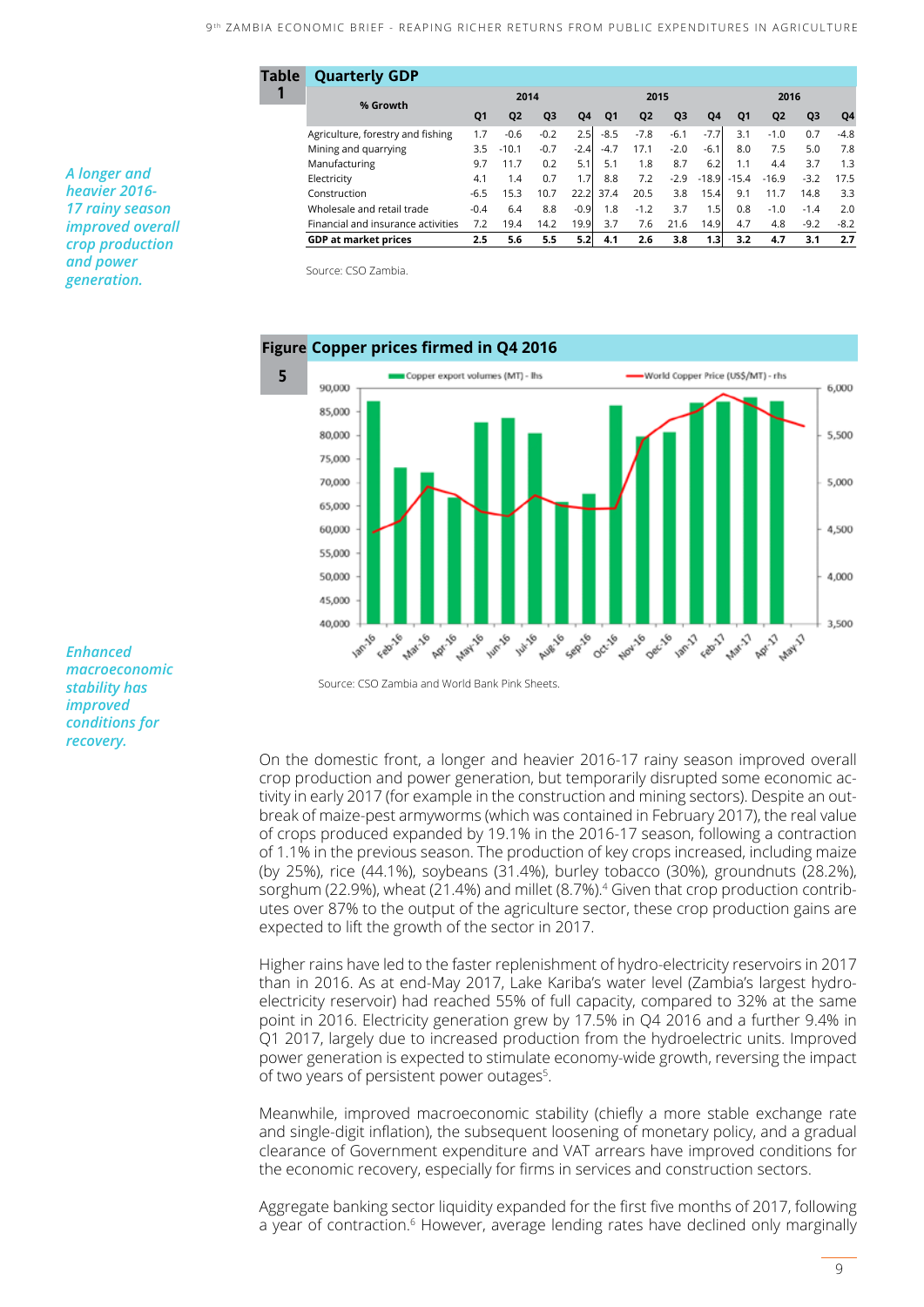Agriculture, forestry and fishing 1.7 -0.6 -0.2 2.5 -8.5 -7.8 -6.1 -7.7 3.1 -1.0 0.7 -4.8 Mining and quarrying 3.5 -10.1 -0.7 -2.4 -4.7 17.1 -2.0 -6.1 8.0 7.5 5.0 7.8 Manufacturing 3.7 11.7 0.2 5.1 5.1 1.8 8.7 6.2 1.1 4.4 3.7 1.3 Electricity 4.1 1.4 0.7 1.7 8.8 7.2 -2.9 -18.9 -15.4 -16.9 -3.2 17.5 Construction -6.5 15.3 10.7 22.2 37.4 20.5 3.8 15.4 9.1 11.7 14.8 3.3 Wholesale and retail trade  $-0.4$  6.4 8.8  $-0.9$  1.8  $-1.2$  3.7 1.5 0.8  $-1.0$  -1.4 2.0 Financial and insurance activities 7.2 19.4 14.2 19.9 3.7 7.6 21.6 14.9 4.7 4.8 -9.2 -8.2 **GDP at market prices 2.5 5.6 5.5 5.2 4.1 2.6 3.8 1.3 3.2 4.7 3.1 2.7**

**Q1 Q2 Q3 Q4 Q1 Q2 Q3 Q4 Q1 Q2 Q3 Q4**

**2014 2015 2016**

*A longer and heavier 2016- 17 rainy season improved overall crop production and power generation.*

Source: CSO Zambia.

**% Growth**

**Table Quarterly GDP** 

**1**



Source: CSO Zambia and World Bank Pink Sheets.

On the domestic front, a longer and heavier 2016-17 rainy season improved overall crop production and power generation, but temporarily disrupted some economic activity in early 2017 (for example in the construction and mining sectors). Despite an outbreak of maize-pest armyworms (which was contained in February 2017), the real value of crops produced expanded by 19.1% in the 2016-17 season, following a contraction of 1.1% in the previous season. The production of key crops increased, including maize (by 25%), rice (44.1%), soybeans (31.4%), burley tobacco (30%), groundnuts (28.2%), sorghum (22.9%), wheat (21.4%) and millet (8.7%).<sup>4</sup> Given that crop production contributes over 87% to the output of the agriculture sector, these crop production gains are expected to lift the growth of the sector in 2017.

Higher rains have led to the faster replenishment of hydro-electricity reservoirs in 2017 than in 2016. As at end-May 2017, Lake Kariba's water level (Zambia's largest hydroelectricity reservoir) had reached 55% of full capacity, compared to 32% at the same point in 2016. Electricity generation grew by 17.5% in Q4 2016 and a further 9.4% in Q1 2017, largely due to increased production from the hydroelectric units. Improved power generation is expected to stimulate economy-wide growth, reversing the impact of two years of persistent power outages<sup>5</sup>.

Meanwhile, improved macroeconomic stability (chiefly a more stable exchange rate and single-digit inflation), the subsequent loosening of monetary policy, and a gradual clearance of Government expenditure and VAT arrears have improved conditions for the economic recovery, especially for firms in services and construction sectors.

Aggregate banking sector liquidity expanded for the first five months of 2017, following a year of contraction.<sup>6</sup> However, average lending rates have declined only marginally

*Enhanced macroeconomic stability has improved conditions for recovery.*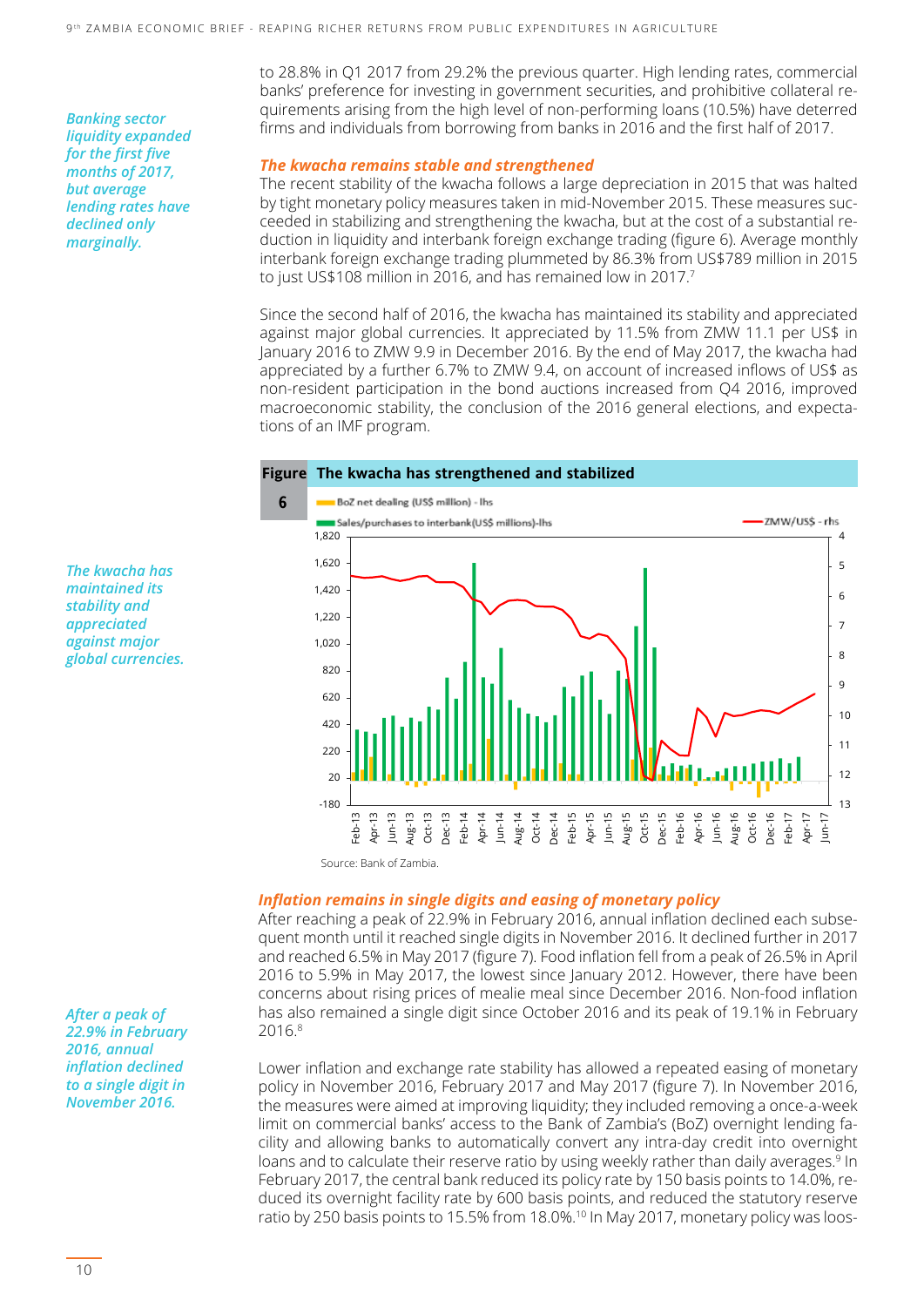*Banking sector liquidity expanded for the first five months of 2017, but average lending rates have declined only marginally.*

to 28.8% in Q1 2017 from 29.2% the previous quarter. High lending rates, commercial banks' preference for investing in government securities, and prohibitive collateral requirements arising from the high level of non-performing loans (10.5%) have deterred firms and individuals from borrowing from banks in 2016 and the first half of 2017.

#### *The kwacha remains stable and strengthened*

The recent stability of the kwacha follows a large depreciation in 2015 that was halted by tight monetary policy measures taken in mid-November 2015. These measures succeeded in stabilizing and strengthening the kwacha, but at the cost of a substantial reduction in liquidity and interbank foreign exchange trading (figure 6). Average monthly interbank foreign exchange trading plummeted by 86.3% from US\$789 million in 2015 to just US\$108 million in 2016, and has remained low in 2017.7

Since the second half of 2016, the kwacha has maintained its stability and appreciated against major global currencies. It appreciated by 11.5% from ZMW 11.1 per US\$ in January 2016 to ZMW 9.9 in December 2016. By the end of May 2017, the kwacha had appreciated by a further 6.7% to ZMW 9.4, on account of increased inflows of US\$ as non-resident participation in the bond auctions increased from Q4 2016, improved macroeconomic stability, the conclusion of the 2016 general elections, and expectations of an IMF program.



#### *Inflation remains in single digits and easing of monetary policy*

After reaching a peak of 22.9% in February 2016, annual inflation declined each subsequent month until it reached single digits in November 2016. It declined further in 2017 and reached 6.5% in May 2017 (figure 7). Food inflation fell from a peak of 26.5% in April 2016 to 5.9% in May 2017, the lowest since January 2012. However, there have been concerns about rising prices of mealie meal since December 2016. Non-food inflation has also remained a single digit since October 2016 and its peak of 19.1% in February 2016.8

Lower inflation and exchange rate stability has allowed a repeated easing of monetary policy in November 2016, February 2017 and May 2017 (figure 7). In November 2016, the measures were aimed at improving liquidity; they included removing a once-a-week limit on commercial banks' access to the Bank of Zambia's (BoZ) overnight lending facility and allowing banks to automatically convert any intra-day credit into overnight loans and to calculate their reserve ratio by using weekly rather than daily averages.<sup>9</sup> In February 2017, the central bank reduced its policy rate by 150 basis points to 14.0%, reduced its overnight facility rate by 600 basis points, and reduced the statutory reserve ratio by 250 basis points to 15.5% from 18.0%.<sup>10</sup> In May 2017, monetary policy was loos-

*The kwacha has maintained its stability and appreciated against major global currencies.*

*After a peak of 22.9% in February 2016, annual inflation declined to a single digit in November 2016.*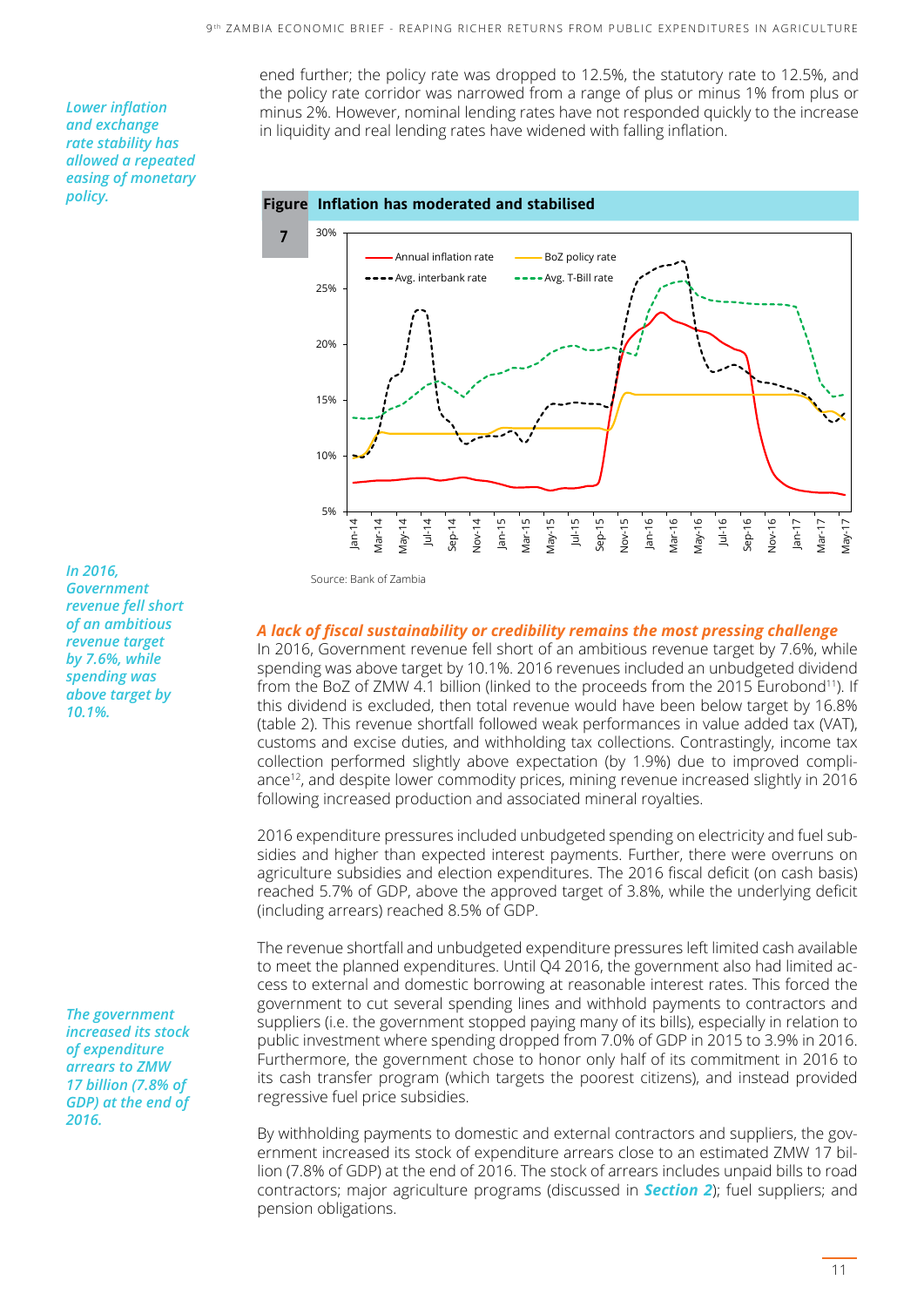*Lower inflation and exchange rate stability has allowed a repeated easing of monetary policy.*

ened further; the policy rate was dropped to 12.5%, the statutory rate to 12.5%, and the policy rate corridor was narrowed from a range of plus or minus 1% from plus or minus 2%. However, nominal lending rates have not responded quickly to the increase in liquidity and real lending rates have widened with falling inflation.





**In 2016,** Source: Bank of Zambia *Government revenue fell short of an ambitious revenue target by 7.6%, while spending was above target by 10.1%.*

*The government increased its stock of expenditure arrears to ZMW 17 billion (7.8% of GDP) at the end of 2016.* 

#### *A lack of fiscal sustainability or credibility remains the most pressing challenge*

In 2016, Government revenue fell short of an ambitious revenue target by 7.6%, while spending was above target by 10.1%. 2016 revenues included an unbudgeted dividend from the BoZ of ZMW 4.1 billion (linked to the proceeds from the 2015 Eurobond<sup>11</sup>). If this dividend is excluded, then total revenue would have been below target by 16.8% (table 2). This revenue shortfall followed weak performances in value added tax (VAT), customs and excise duties, and withholding tax collections. Contrastingly, income tax collection performed slightly above expectation (by 1.9%) due to improved compliance<sup>12</sup>, and despite lower commodity prices, mining revenue increased slightly in 2016 following increased production and associated mineral royalties.

2016 expenditure pressures included unbudgeted spending on electricity and fuel subsidies and higher than expected interest payments. Further, there were overruns on agriculture subsidies and election expenditures. The 2016 fiscal deficit (on cash basis) reached 5.7% of GDP, above the approved target of 3.8%, while the underlying deficit (including arrears) reached 8.5% of GDP.

The revenue shortfall and unbudgeted expenditure pressures left limited cash available to meet the planned expenditures. Until Q4 2016, the government also had limited access to external and domestic borrowing at reasonable interest rates. This forced the government to cut several spending lines and withhold payments to contractors and suppliers (i.e. the government stopped paying many of its bills), especially in relation to public investment where spending dropped from 7.0% of GDP in 2015 to 3.9% in 2016. Furthermore, the government chose to honor only half of its commitment in 2016 to its cash transfer program (which targets the poorest citizens), and instead provided regressive fuel price subsidies.

By withholding payments to domestic and external contractors and suppliers, the government increased its stock of expenditure arrears close to an estimated ZMW 17 billion (7.8% of GDP) at the end of 2016. The stock of arrears includes unpaid bills to road contractors; major agriculture programs (discussed in *Section 2*); fuel suppliers; and pension obligations.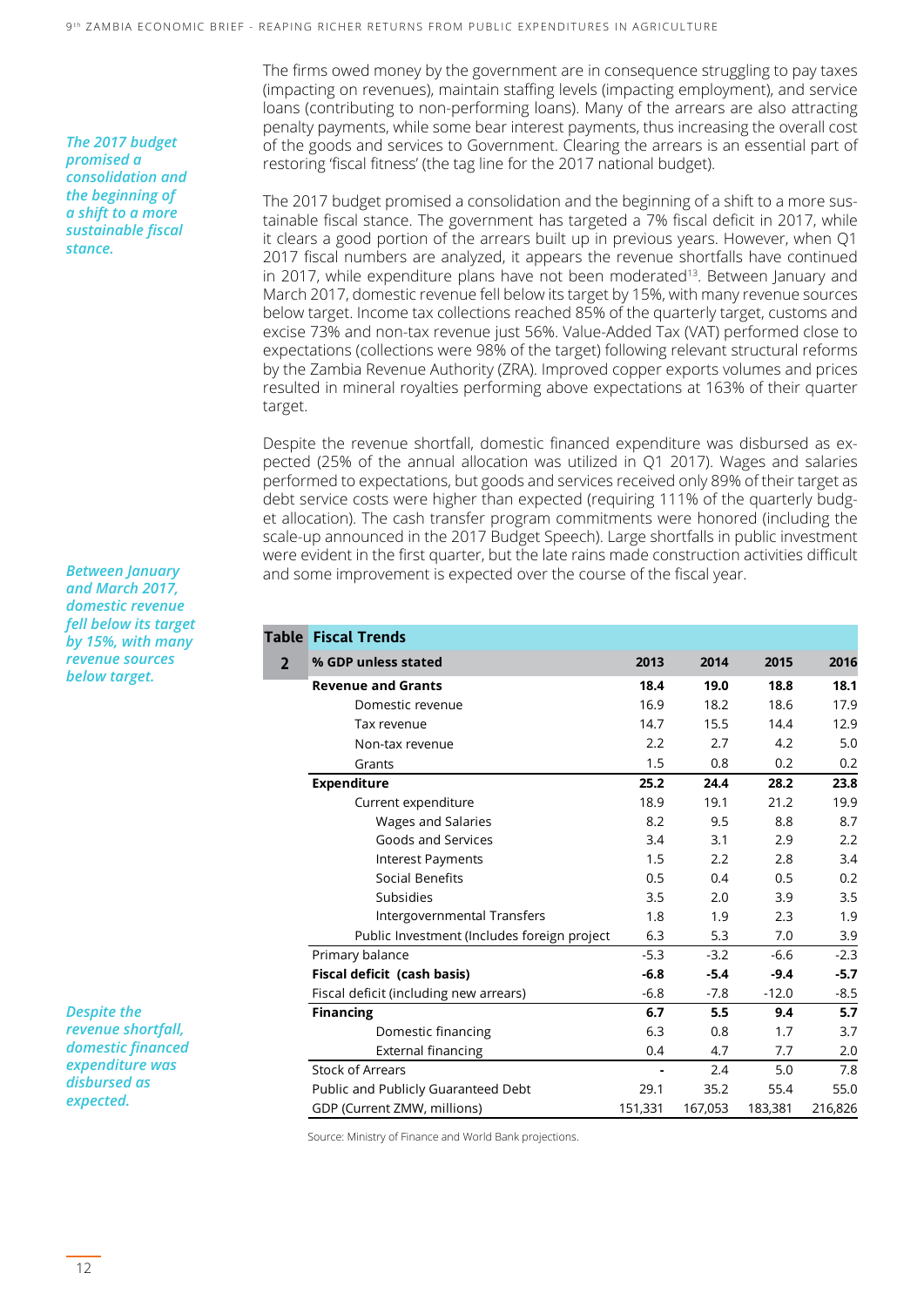*The 2017 budget promised a consolidation and the beginning of a shift to a more sustainable fiscal stance.*

*Between January and March 2017, domestic revenue fell below its target by 15%, with many revenue sources below target.*

*Despite the revenue shortfall, domestic financed expenditure was disbursed as expected.*

The firms owed money by the government are in consequence struggling to pay taxes (impacting on revenues), maintain staffing levels (impacting employment), and service loans (contributing to non-performing loans). Many of the arrears are also attracting penalty payments, while some bear interest payments, thus increasing the overall cost of the goods and services to Government. Clearing the arrears is an essential part of restoring 'fiscal fitness' (the tag line for the 2017 national budget).

The 2017 budget promised a consolidation and the beginning of a shift to a more sustainable fiscal stance. The government has targeted a 7% fiscal deficit in 2017, while it clears a good portion of the arrears built up in previous years. However, when Q1 2017 fiscal numbers are analyzed, it appears the revenue shortfalls have continued in 2017, while expenditure plans have not been moderated<sup>13</sup>. Between January and March 2017, domestic revenue fell below its target by 15%, with many revenue sources below target. Income tax collections reached 85% of the quarterly target, customs and excise 73% and non-tax revenue just 56%. Value-Added Tax (VAT) performed close to expectations (collections were 98% of the target) following relevant structural reforms by the Zambia Revenue Authority (ZRA). Improved copper exports volumes and prices resulted in mineral royalties performing above expectations at 163% of their quarter target.

Despite the revenue shortfall, domestic financed expenditure was disbursed as expected (25% of the annual allocation was utilized in Q1 2017). Wages and salaries performed to expectations, but goods and services received only 89% of their target as debt service costs were higher than expected (requiring 111% of the quarterly budget allocation). The cash transfer program commitments were honored (including the scale-up announced in the 2017 Budget Speech). Large shortfalls in public investment were evident in the first quarter, but the late rains made construction activities difficult and some improvement is expected over the course of the fiscal year.

|                | <b>Table Fiscal Trends</b>                  |         |         |         |         |
|----------------|---------------------------------------------|---------|---------|---------|---------|
| $\overline{2}$ | % GDP unless stated                         | 2013    | 2014    | 2015    | 2016    |
|                | <b>Revenue and Grants</b>                   | 18.4    | 19.0    | 18.8    | 18.1    |
|                | Domestic revenue                            | 16.9    | 18.2    | 18.6    | 17.9    |
|                | Tax revenue                                 | 14.7    | 15.5    | 14.4    | 12.9    |
|                | Non-tax revenue                             | 2.2     | 2.7     | 4.2     | 5.0     |
|                | Grants<br><b>Expenditure</b>                |         | 0.8     | 0.2     | 0.2     |
|                |                                             |         | 24.4    | 28.2    | 23.8    |
|                | Current expenditure                         | 18.9    | 19.1    | 21.2    | 19.9    |
|                | Wages and Salaries                          | 8.2     | 9.5     | 8.8     | 8.7     |
|                | Goods and Services                          | 3.4     | 3.1     | 2.9     | 2.2     |
|                | Interest Payments                           | 1.5     | 2.2     | 2.8     | 3.4     |
|                | Social Benefits                             | 0.5     | 0.4     | 0.5     | 0.2     |
|                | Subsidies                                   | 3.5     | 2.0     | 3.9     | 3.5     |
|                | Intergovernmental Transfers                 | 1.8     | 1.9     | 2.3     | 1.9     |
|                | Public Investment (Includes foreign project | 6.3     | 5.3     | 7.0     | 3.9     |
|                | Primary balance                             | $-5.3$  | $-3.2$  | $-6.6$  | $-2.3$  |
|                | Fiscal deficit (cash basis)                 | $-6.8$  | $-5.4$  | $-9.4$  | $-5.7$  |
|                | Fiscal deficit (including new arrears)      | $-6.8$  | $-7.8$  | $-12.0$ | $-8.5$  |
|                | <b>Financing</b>                            |         | 5.5     | 9.4     | 5.7     |
|                | Domestic financing                          | 6.3     | 0.8     | 1.7     | 3.7     |
|                | <b>External financing</b>                   | 0.4     | 4.7     | 7.7     | 2.0     |
|                | <b>Stock of Arrears</b>                     |         | 2.4     | 5.0     | 7.8     |
|                | Public and Publicly Guaranteed Debt         | 29.1    | 35.2    | 55.4    | 55.0    |
|                | GDP (Current ZMW, millions)                 | 151,331 | 167,053 | 183,381 | 216,826 |

Source: Ministry of Finance and World Bank projections.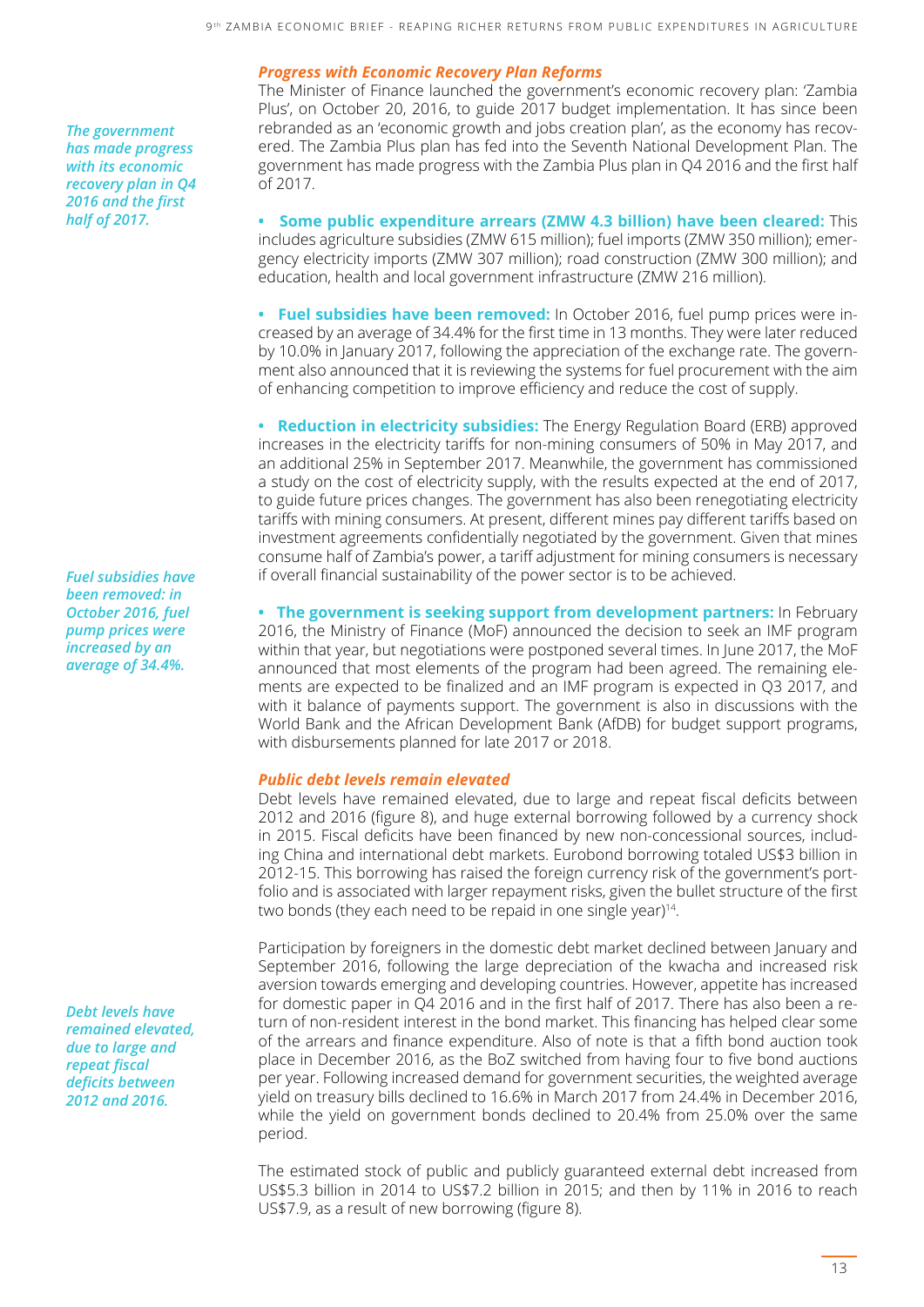#### *Progress with Economic Recovery Plan Reforms*

The Minister of Finance launched the government's economic recovery plan: 'Zambia Plus', on October 20, 2016, to guide 2017 budget implementation. It has since been rebranded as an 'economic growth and jobs creation plan', as the economy has recovered. The Zambia Plus plan has fed into the Seventh National Development Plan. The government has made progress with the Zambia Plus plan in Q4 2016 and the first half of 2017.

**• Some public expenditure arrears (ZMW 4.3 billion) have been cleared:** This includes agriculture subsidies (ZMW 615 million); fuel imports (ZMW 350 million); emergency electricity imports (ZMW 307 million); road construction (ZMW 300 million); and education, health and local government infrastructure (ZMW 216 million).

**• Fuel subsidies have been removed:** In October 2016, fuel pump prices were increased by an average of 34.4% for the first time in 13 months. They were later reduced by 10.0% in January 2017, following the appreciation of the exchange rate. The government also announced that it is reviewing the systems for fuel procurement with the aim of enhancing competition to improve efficiency and reduce the cost of supply.

**• Reduction in electricity subsidies:** The Energy Regulation Board (ERB) approved increases in the electricity tariffs for non-mining consumers of 50% in May 2017, and an additional 25% in September 2017. Meanwhile, the government has commissioned a study on the cost of electricity supply, with the results expected at the end of 2017, to guide future prices changes. The government has also been renegotiating electricity tariffs with mining consumers. At present, different mines pay different tariffs based on investment agreements confidentially negotiated by the government. Given that mines consume half of Zambia's power, a tariff adjustment for mining consumers is necessary if overall financial sustainability of the power sector is to be achieved.

**• The government is seeking support from development partners:** In February 2016, the Ministry of Finance (MoF) announced the decision to seek an IMF program within that year, but negotiations were postponed several times. In June 2017, the MoF announced that most elements of the program had been agreed. The remaining elements are expected to be finalized and an IMF program is expected in Q3 2017, and with it balance of payments support. The government is also in discussions with the World Bank and the African Development Bank (AfDB) for budget support programs, with disbursements planned for late 2017 or 2018.

#### *Public debt levels remain elevated*

Debt levels have remained elevated, due to large and repeat fiscal deficits between 2012 and 2016 (figure 8), and huge external borrowing followed by a currency shock in 2015. Fiscal deficits have been financed by new non-concessional sources, including China and international debt markets. Eurobond borrowing totaled US\$3 billion in 2012-15. This borrowing has raised the foreign currency risk of the government's portfolio and is associated with larger repayment risks, given the bullet structure of the first two bonds (they each need to be repaid in one single year) $14$ .

Participation by foreigners in the domestic debt market declined between January and September 2016, following the large depreciation of the kwacha and increased risk aversion towards emerging and developing countries. However, appetite has increased for domestic paper in Q4 2016 and in the first half of 2017. There has also been a return of non-resident interest in the bond market. This financing has helped clear some of the arrears and finance expenditure. Also of note is that a fifth bond auction took place in December 2016, as the BoZ switched from having four to five bond auctions per year. Following increased demand for government securities, the weighted average yield on treasury bills declined to 16.6% in March 2017 from 24.4% in December 2016, while the yield on government bonds declined to 20.4% from 25.0% over the same period.

The estimated stock of public and publicly guaranteed external debt increased from US\$5.3 billion in 2014 to US\$7.2 billion in 2015; and then by 11% in 2016 to reach US\$7.9, as a result of new borrowing (figure 8).

*The government has made progress with its economic recovery plan in Q4 2016 and the first half of 2017.*

*Fuel subsidies have been removed: in October 2016, fuel pump prices were increased by an average of 34.4%.*

*Debt levels have remained elevated, due to large and repeat fiscal deficits between 2012 and 2016.*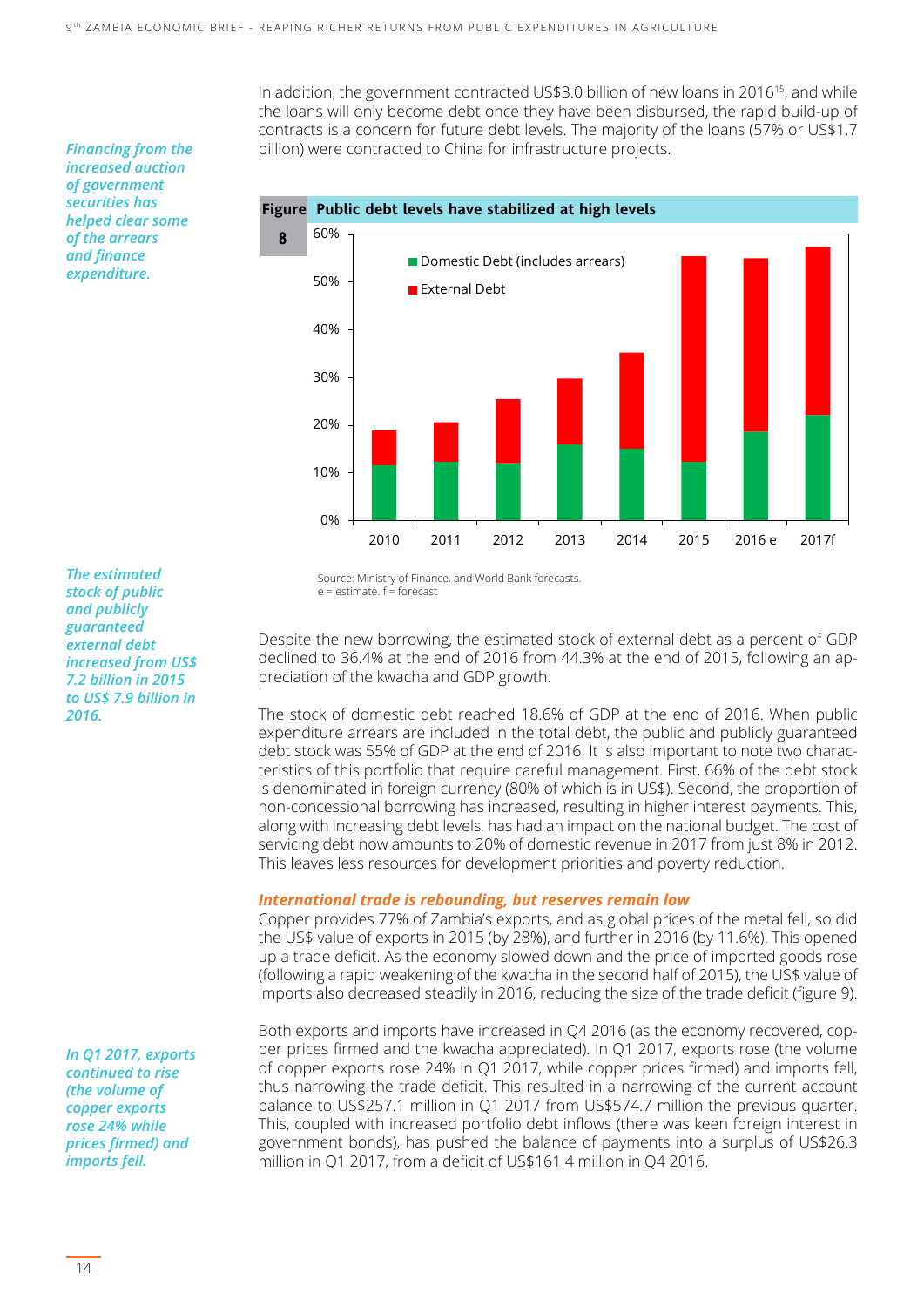In addition, the government contracted US\$3.0 billion of new loans in 2016<sup>15</sup>, and while the loans will only become debt once they have been disbursed, the rapid build-up of contracts is a concern for future debt levels. The majority of the loans (57% or US\$1.7 billion) were contracted to China for infrastructure projects.

*Financing from the increased auction of government securities has helped clear some of the arrears and finance expenditure.*

*The estimated stock of public and publicly guaranteed external debt increased from US\$ 7.2 billion in 2015 to US\$ 7.9 billion in 2016.*

*In Q1 2017, exports continued to rise (the volume of copper exports rose 24% while prices firmed) and imports fell.*

Source: Ministry of Finance, and World Bank forecasts.  $e =$  estimate.  $f =$  forecast

Despite the new borrowing, the estimated stock of external debt as a percent of GDP declined to 36.4% at the end of 2016 from 44.3% at the end of 2015, following an appreciation of the kwacha and GDP growth.

The stock of domestic debt reached 18.6% of GDP at the end of 2016. When public expenditure arrears are included in the total debt, the public and publicly guaranteed debt stock was 55% of GDP at the end of 2016. It is also important to note two characteristics of this portfolio that require careful management. First, 66% of the debt stock is denominated in foreign currency (80% of which is in US\$). Second, the proportion of non-concessional borrowing has increased, resulting in higher interest payments. This, along with increasing debt levels, has had an impact on the national budget. The cost of servicing debt now amounts to 20% of domestic revenue in 2017 from just 8% in 2012. This leaves less resources for development priorities and poverty reduction.

#### *International trade is rebounding, but reserves remain low*

Copper provides 77% of Zambia's exports, and as global prices of the metal fell, so did the US\$ value of exports in 2015 (by 28%), and further in 2016 (by 11.6%). This opened up a trade deficit. As the economy slowed down and the price of imported goods rose (following a rapid weakening of the kwacha in the second half of 2015), the US\$ value of imports also decreased steadily in 2016, reducing the size of the trade deficit (figure 9).

Both exports and imports have increased in Q4 2016 (as the economy recovered, copper prices firmed and the kwacha appreciated). In Q1 2017, exports rose (the volume of copper exports rose 24% in Q1 2017, while copper prices firmed) and imports fell, thus narrowing the trade deficit. This resulted in a narrowing of the current account balance to US\$257.1 million in Q1 2017 from US\$574.7 million the previous quarter. This, coupled with increased portfolio debt inflows (there was keen foreign interest in government bonds), has pushed the balance of payments into a surplus of US\$26.3 million in Q1 2017, from a deficit of US\$161.4 million in Q4 2016.

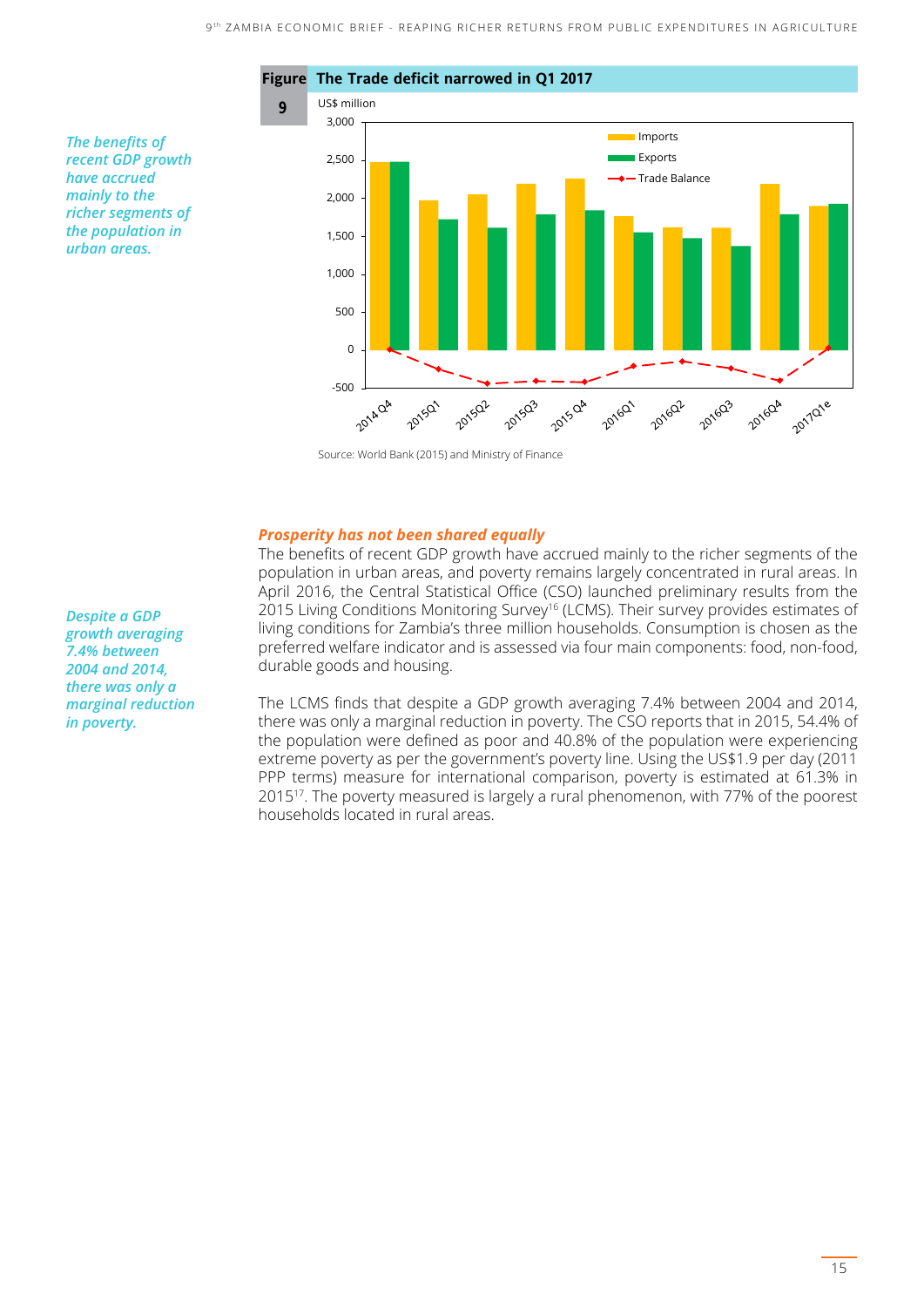

Source: World Bank (2015) and Ministry of Finance

#### *Prosperity has not been shared equally*

The benefits of recent GDP growth have accrued mainly to the richer segments of the population in urban areas, and poverty remains largely concentrated in rural areas. In April 2016, the Central Statistical Office (CSO) launched preliminary results from the 2015 Living Conditions Monitoring Survey<sup>16</sup> (LCMS). Their survey provides estimates of living conditions for Zambia's three million households. Consumption is chosen as the preferred welfare indicator and is assessed via four main components: food, non-food, durable goods and housing.

The LCMS finds that despite a GDP growth averaging 7.4% between 2004 and 2014, there was only a marginal reduction in poverty. The CSO reports that in 2015, 54.4% of the population were defined as poor and 40.8% of the population were experiencing extreme poverty as per the government's poverty line. Using the US\$1.9 per day (2011 PPP terms) measure for international comparison, poverty is estimated at 61.3% in 201517. The poverty measured is largely a rural phenomenon, with 77% of the poorest households located in rural areas.

*Despite a GDP growth averaging 7.4% between 2004 and 2014, there was only a marginal reduction in poverty.*

*The benefits of recent GDP growth have accrued mainly to the richer segments of the population in urban areas.*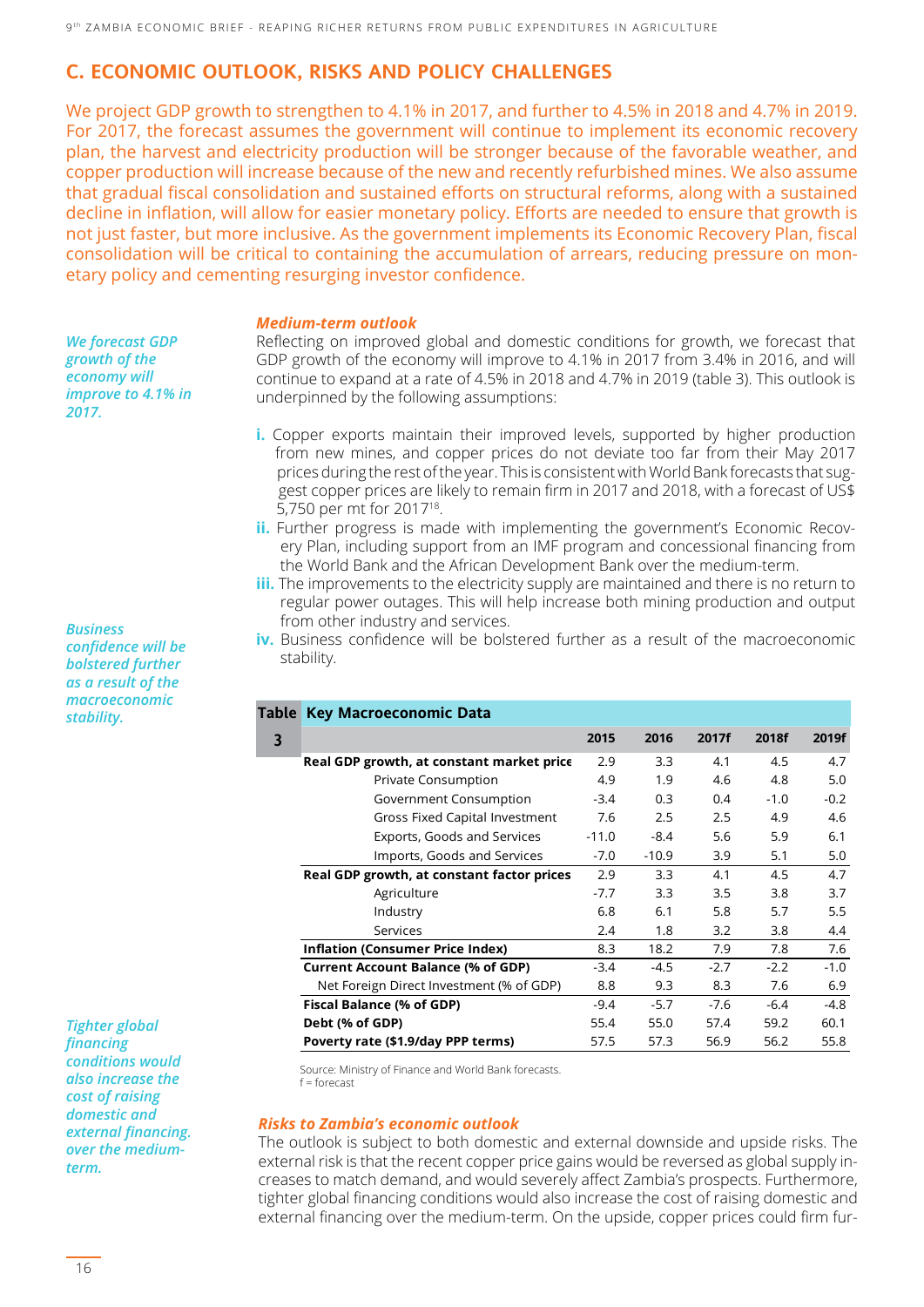### **C. ECONOMIC OUTLOOK, RISKS AND POLICY CHALLENGES**

We project GDP growth to strengthen to 4.1% in 2017, and further to 4.5% in 2018 and 4.7% in 2019. For 2017, the forecast assumes the government will continue to implement its economic recovery plan, the harvest and electricity production will be stronger because of the favorable weather, and copper production will increase because of the new and recently refurbished mines. We also assume that gradual fiscal consolidation and sustained efforts on structural reforms, along with a sustained decline in inflation, will allow for easier monetary policy. Efforts are needed to ensure that growth is not just faster, but more inclusive. As the government implements its Economic Recovery Plan, fiscal consolidation will be critical to containing the accumulation of arrears, reducing pressure on monetary policy and cementing resurging investor confidence.

#### *Medium-term outlook*

Reflecting on improved global and domestic conditions for growth, we forecast that GDP growth of the economy will improve to 4.1% in 2017 from 3.4% in 2016, and will continue to expand at a rate of 4.5% in 2018 and 4.7% in 2019 (table 3). This outlook is underpinned by the following assumptions:

- **i.** Copper exports maintain their improved levels, supported by higher production from new mines, and copper prices do not deviate too far from their May 2017 prices during the rest of the year. This is consistent with World Bank forecasts that sug gest copper prices are likely to remain firm in 2017 and 2018, with a forecast of US\$ 5,750 per mt for 201718.
- **ii.** Further progress is made with implementing the government's Economic Recov ery Plan, including support from an IMF program and concessional financing from the World Bank and the African Development Bank over the medium-term.
- **iii.** The improvements to the electricity supply are maintained and there is no return to regular power outages. This will help increase both mining production and output from other industry and services.
- **iv.** Business confidence will be bolstered further as a result of the macroeconomic stability.

|   | Table Key Macroeconomic Data                                                             |         |         |        |        |        |  |  |
|---|------------------------------------------------------------------------------------------|---------|---------|--------|--------|--------|--|--|
| 3 |                                                                                          | 2015    | 2016    | 2017f  | 2018f  | 2019f  |  |  |
|   | Real GDP growth, at constant market price                                                | 2.9     | 3.3     | 4.1    | 4.5    | 4.7    |  |  |
|   | <b>Private Consumption</b>                                                               | 4.9     | 1.9     | 4.6    | 4.8    | 5.0    |  |  |
|   | Government Consumption                                                                   | $-3.4$  | 0.3     | 0.4    | $-1.0$ | $-0.2$ |  |  |
|   | Gross Fixed Capital Investment                                                           | 7.6     | 2.5     | 2.5    | 4.9    | 4.6    |  |  |
|   | Exports, Goods and Services                                                              | $-11.0$ | $-8.4$  | 5.6    | 5.9    | 6.1    |  |  |
|   | Imports, Goods and Services<br>Real GDP growth, at constant factor prices<br>Agriculture |         | $-10.9$ | 3.9    | 5.1    | 5.0    |  |  |
|   |                                                                                          |         | 3.3     | 4.1    | 4.5    | 4.7    |  |  |
|   |                                                                                          |         | 3.3     | 3.5    | 3.8    | 3.7    |  |  |
|   | Industry                                                                                 | 6.8     | 6.1     | 5.8    | 5.7    | 5.5    |  |  |
|   | Services<br>Inflation (Consumer Price Index)                                             |         | 1.8     | 3.2    | 3.8    | 4.4    |  |  |
|   |                                                                                          |         | 18.2    | 7.9    | 7.8    | 7.6    |  |  |
|   | <b>Current Account Balance (% of GDP)</b>                                                | $-3.4$  | -4.5    | $-2.7$ | $-2.2$ | $-1.0$ |  |  |
|   | Net Foreign Direct Investment (% of GDP)                                                 | 8.8     | 9.3     | 8.3    | 7.6    | 6.9    |  |  |
|   | Fiscal Balance (% of GDP)                                                                | $-9.4$  | $-5.7$  | $-7.6$ | $-6.4$ | $-4.8$ |  |  |
|   | Debt (% of GDP)                                                                          | 55.4    | 55.0    | 57.4   | 59.2   | 60.1   |  |  |
|   | Poverty rate (\$1.9/day PPP terms)                                                       | 57.5    | 57.3    | 56.9   | 56.2   | 55.8   |  |  |

Source: Ministry of Finance and World Bank forecasts.  $f =$ forecast

#### *Risks to Zambia's economic outlook*

The outlook is subject to both domestic and external downside and upside risks. The external risk is that the recent copper price gains would be reversed as global supply increases to match demand, and would severely affect Zambia's prospects. Furthermore, tighter global financing conditions would also increase the cost of raising domestic and external financing over the medium-term. On the upside, copper prices could firm fur-

*Business confidence will be bolstered further as a result of the macroeconomic stability.* 

*We forecast GDP growth of the economy will improve to 4.1% in* 

*2017.* 

*Tighter global financing conditions would also increase the cost of raising domestic and external financing. over the mediumterm.*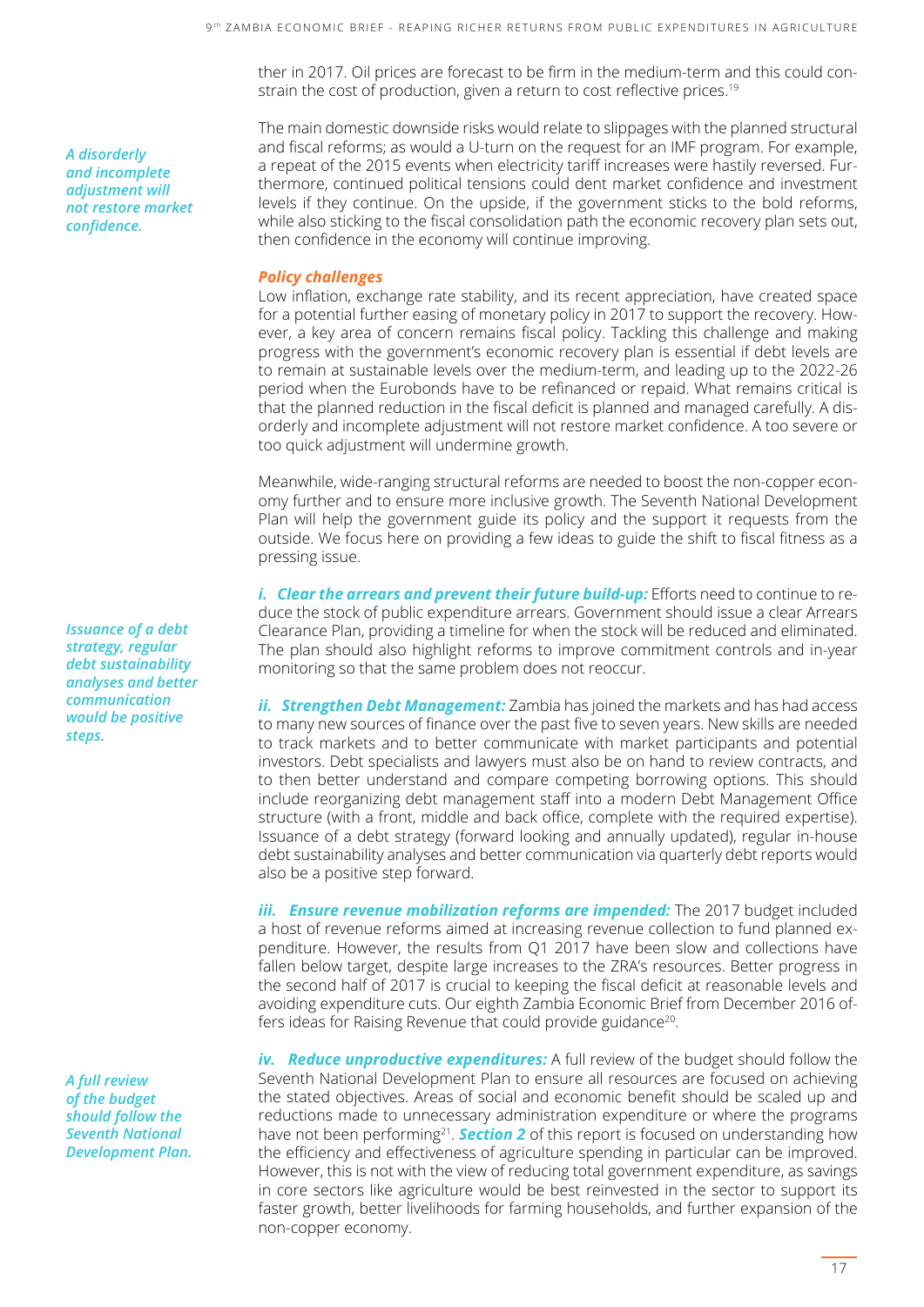ther in 2017. Oil prices are forecast to be firm in the medium-term and this could constrain the cost of production, given a return to cost reflective prices.<sup>19</sup>

The main domestic downside risks would relate to slippages with the planned structural and fiscal reforms; as would a U-turn on the request for an IMF program. For example, a repeat of the 2015 events when electricity tariff increases were hastily reversed. Furthermore, continued political tensions could dent market confidence and investment levels if they continue. On the upside, if the government sticks to the bold reforms, while also sticking to the fiscal consolidation path the economic recovery plan sets out, then confidence in the economy will continue improving.

#### *Policy challenges*

Low inflation, exchange rate stability, and its recent appreciation, have created space for a potential further easing of monetary policy in 2017 to support the recovery. However, a key area of concern remains fiscal policy. Tackling this challenge and making progress with the government's economic recovery plan is essential if debt levels are to remain at sustainable levels over the medium-term, and leading up to the 2022-26 period when the Eurobonds have to be refinanced or repaid. What remains critical is that the planned reduction in the fiscal deficit is planned and managed carefully. A disorderly and incomplete adjustment will not restore market confidence. A too severe or too quick adjustment will undermine growth.

Meanwhile, wide-ranging structural reforms are needed to boost the non-copper economy further and to ensure more inclusive growth. The Seventh National Development Plan will help the government guide its policy and the support it requests from the outside. We focus here on providing a few ideas to guide the shift to fiscal fitness as a pressing issue.

*i. Clear the arrears and prevent their future build-up:* Efforts need to continue to reduce the stock of public expenditure arrears. Government should issue a clear Arrears Clearance Plan, providing a timeline for when the stock will be reduced and eliminated. The plan should also highlight reforms to improve commitment controls and in-year monitoring so that the same problem does not reoccur.

*ii. Strengthen Debt Management:* Zambia has joined the markets and has had access to many new sources of finance over the past five to seven years. New skills are needed to track markets and to better communicate with market participants and potential investors. Debt specialists and lawyers must also be on hand to review contracts, and to then better understand and compare competing borrowing options. This should include reorganizing debt management staff into a modern Debt Management Office structure (with a front, middle and back office, complete with the required expertise). Issuance of a debt strategy (forward looking and annually updated), regular in-house debt sustainability analyses and better communication via quarterly debt reports would also be a positive step forward.

*iii. Ensure revenue mobilization reforms are impended:* The 2017 budget included a host of revenue reforms aimed at increasing revenue collection to fund planned expenditure. However, the results from Q1 2017 have been slow and collections have fallen below target, despite large increases to the ZRA's resources. Better progress in the second half of 2017 is crucial to keeping the fiscal deficit at reasonable levels and avoiding expenditure cuts. Our eighth Zambia Economic Brief from December 2016 offers ideas for Raising Revenue that could provide guidance<sup>20</sup>.

*iv. Reduce unproductive expenditures:* A full review of the budget should follow the Seventh National Development Plan to ensure all resources are focused on achieving the stated objectives. Areas of social and economic benefit should be scaled up and reductions made to unnecessary administration expenditure or where the programs have not been performing21. *Section 2* of this report is focused on understanding how the efficiency and effectiveness of agriculture spending in particular can be improved. However, this is not with the view of reducing total government expenditure, as savings in core sectors like agriculture would be best reinvested in the sector to support its faster growth, better livelihoods for farming households, and further expansion of the non-copper economy.

*Issuance of a debt strategy, regular debt sustainability analyses and better communication would be positive steps.*

*A disorderly and incomplete adjustment will not restore market confidence.*

*A full review of the budget should follow the Seventh National Development Plan.*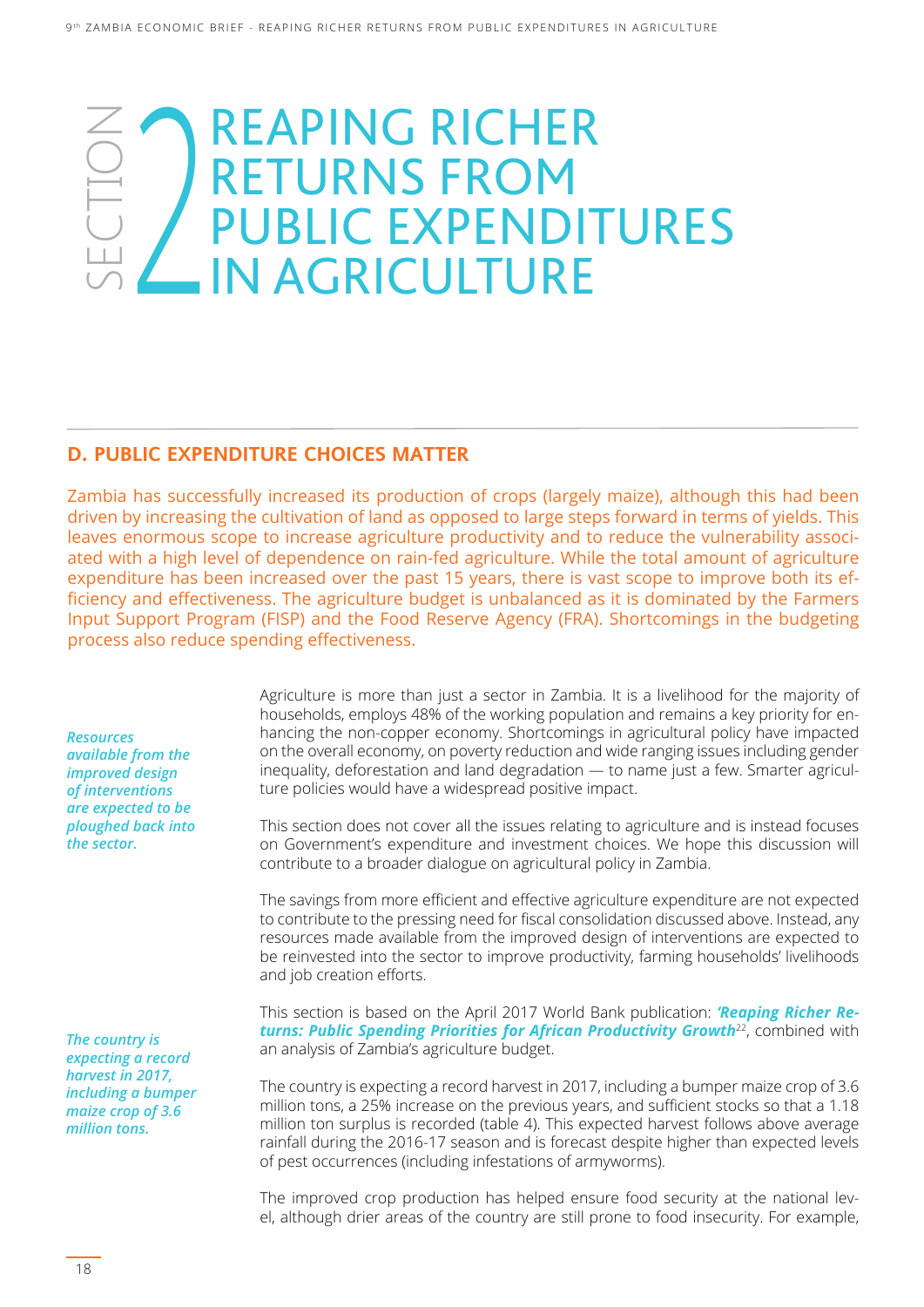### SECTION  $\angle$ REAPING RICHER RETURNS FROM PUBLIC EXPENDITURES IN AGRICULTURE

#### **D. PUBLIC EXPENDITURE CHOICES MATTER**

Zambia has successfully increased its production of crops (largely maize), although this had been driven by increasing the cultivation of land as opposed to large steps forward in terms of yields. This leaves enormous scope to increase agriculture productivity and to reduce the vulnerability associated with a high level of dependence on rain-fed agriculture. While the total amount of agriculture expenditure has been increased over the past 15 years, there is vast scope to improve both its efficiency and effectiveness. The agriculture budget is unbalanced as it is dominated by the Farmers Input Support Program (FISP) and the Food Reserve Agency (FRA). Shortcomings in the budgeting process also reduce spending effectiveness.

*Resources available from the improved design of interventions are expected to be ploughed back into the sector.*

*The country is expecting a record harvest in 2017, including a bumper maize crop of 3.6 million tons.*

Agriculture is more than just a sector in Zambia. It is a livelihood for the majority of households, employs 48% of the working population and remains a key priority for enhancing the non-copper economy. Shortcomings in agricultural policy have impacted on the overall economy, on poverty reduction and wide ranging issues including gender inequality, deforestation and land degradation ― to name just a few. Smarter agriculture policies would have a widespread positive impact.

This section does not cover all the issues relating to agriculture and is instead focuses on Government's expenditure and investment choices. We hope this discussion will contribute to a broader dialogue on agricultural policy in Zambia.

The savings from more efficient and effective agriculture expenditure are not expected to contribute to the pressing need for fiscal consolidation discussed above. Instead, any resources made available from the improved design of interventions are expected to be reinvested into the sector to improve productivity, farming households' livelihoods and job creation efforts.

This section is based on the April 2017 World Bank publication: *'Reaping Richer Returns: Public Spending Priorities for African Productivity Growth*22, combined with an analysis of Zambia's agriculture budget.

The country is expecting a record harvest in 2017, including a bumper maize crop of 3.6 million tons, a 25% increase on the previous years, and sufficient stocks so that a 1.18 million ton surplus is recorded (table 4). This expected harvest follows above average rainfall during the 2016-17 season and is forecast despite higher than expected levels of pest occurrences (including infestations of armyworms).

The improved crop production has helped ensure food security at the national level, although drier areas of the country are still prone to food insecurity. For example,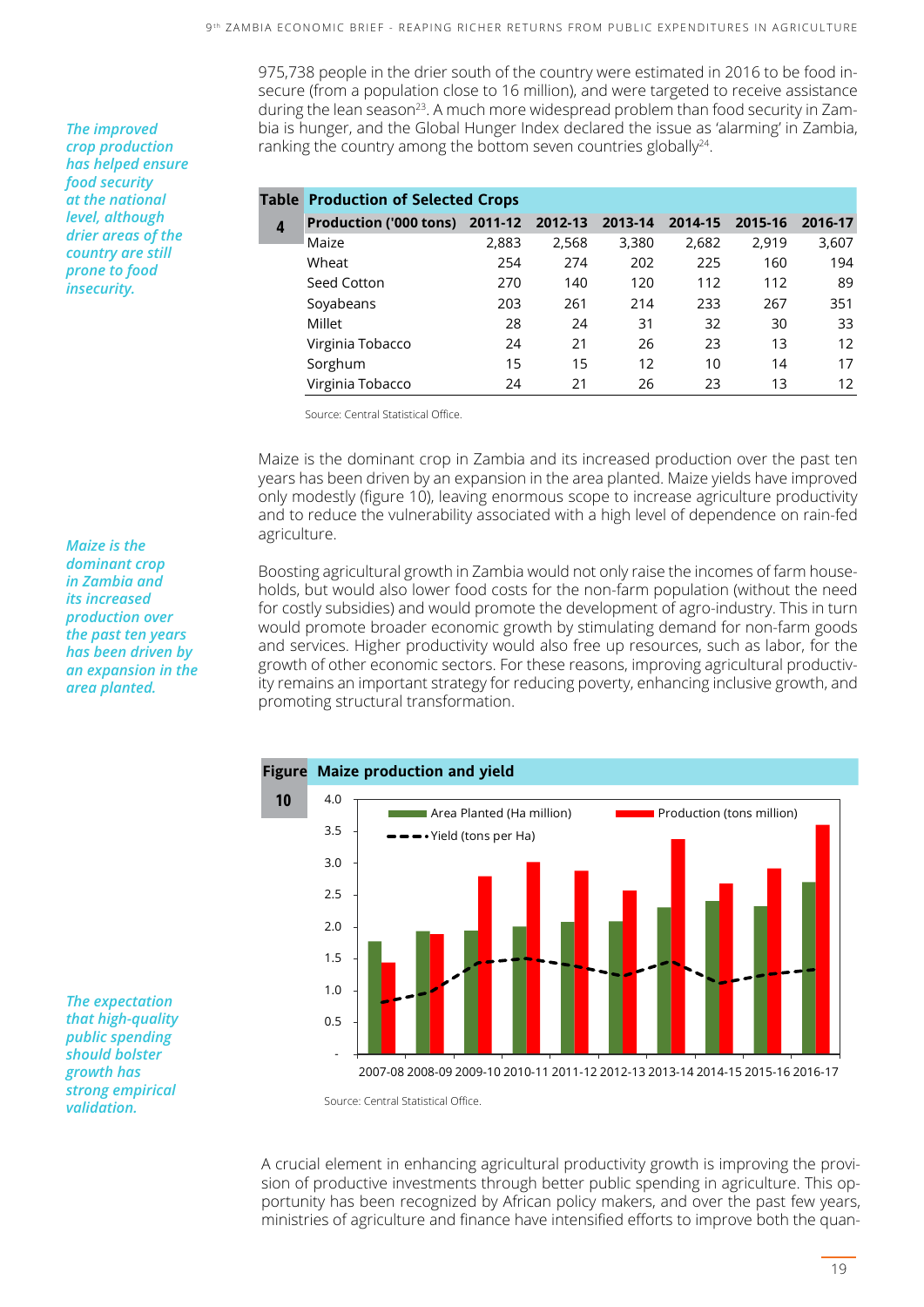975,738 people in the drier south of the country were estimated in 2016 to be food insecure (from a population close to 16 million), and were targeted to receive assistance during the lean season<sup>23</sup>. A much more widespread problem than food security in Zambia is hunger, and the Global Hunger Index declared the issue as 'alarming' in Zambia, ranking the country among the bottom seven countries globally<sup>24</sup>.

|   | <b>Table Production of Selected Crops</b> |       |       |         |         |         |         |
|---|-------------------------------------------|-------|-------|---------|---------|---------|---------|
| 4 | Production ('000 tons) 2011-12 2012-13    |       |       | 2013-14 | 2014-15 | 2015-16 | 2016-17 |
|   | Maize                                     | 2,883 | 2,568 | 3,380   | 2,682   | 2,919   | 3,607   |
|   | Wheat                                     | 254   | 274   | 202     | 225     | 160     | 194     |
|   | Seed Cotton                               | 270   | 140   | 120     | 112     | 112     | 89      |
|   | Soyabeans                                 | 203   | 261   | 214     | 233     | 267     | 351     |
|   | Millet                                    | 28    | 24    | 31      | 32      | 30      | 33      |
|   | Virginia Tobacco                          | 24    | 21    | 26      | 23      | 13      | 12      |
|   | Sorghum                                   | 15    | 15    | 12      | 10      | 14      | 17      |
|   | Virginia Tobacco                          | 24    | 21    | 26      | 23      | 13      | 12      |

Source: Central Statistical Office.

Maize is the dominant crop in Zambia and its increased production over the past ten years has been driven by an expansion in the area planted. Maize yields have improved only modestly (figure 10), leaving enormous scope to increase agriculture productivity and to reduce the vulnerability associated with a high level of dependence on rain-fed agriculture.

Boosting agricultural growth in Zambia would not only raise the incomes of farm households, but would also lower food costs for the non-farm population (without the need for costly subsidies) and would promote the development of agro-industry. This in turn would promote broader economic growth by stimulating demand for non-farm goods and services. Higher productivity would also free up resources, such as labor, for the growth of other economic sectors. For these reasons, improving agricultural productivity remains an important strategy for reducing poverty, enhancing inclusive growth, and promoting structural transformation.



A crucial element in enhancing agricultural productivity growth is improving the provision of productive investments through better public spending in agriculture. This opportunity has been recognized by African policy makers, and over the past few years, ministries of agriculture and finance have intensified efforts to improve both the quan-

*The improved crop production has helped ensure food security at the national level, although drier areas of the country are still prone to food insecurity.*

*Maize is the dominant crop in Zambia and its increased production over the past ten years has been driven by an expansion in the area planted.*

*The expectation that high-quality public spending should bolster growth has strong empirical validation.*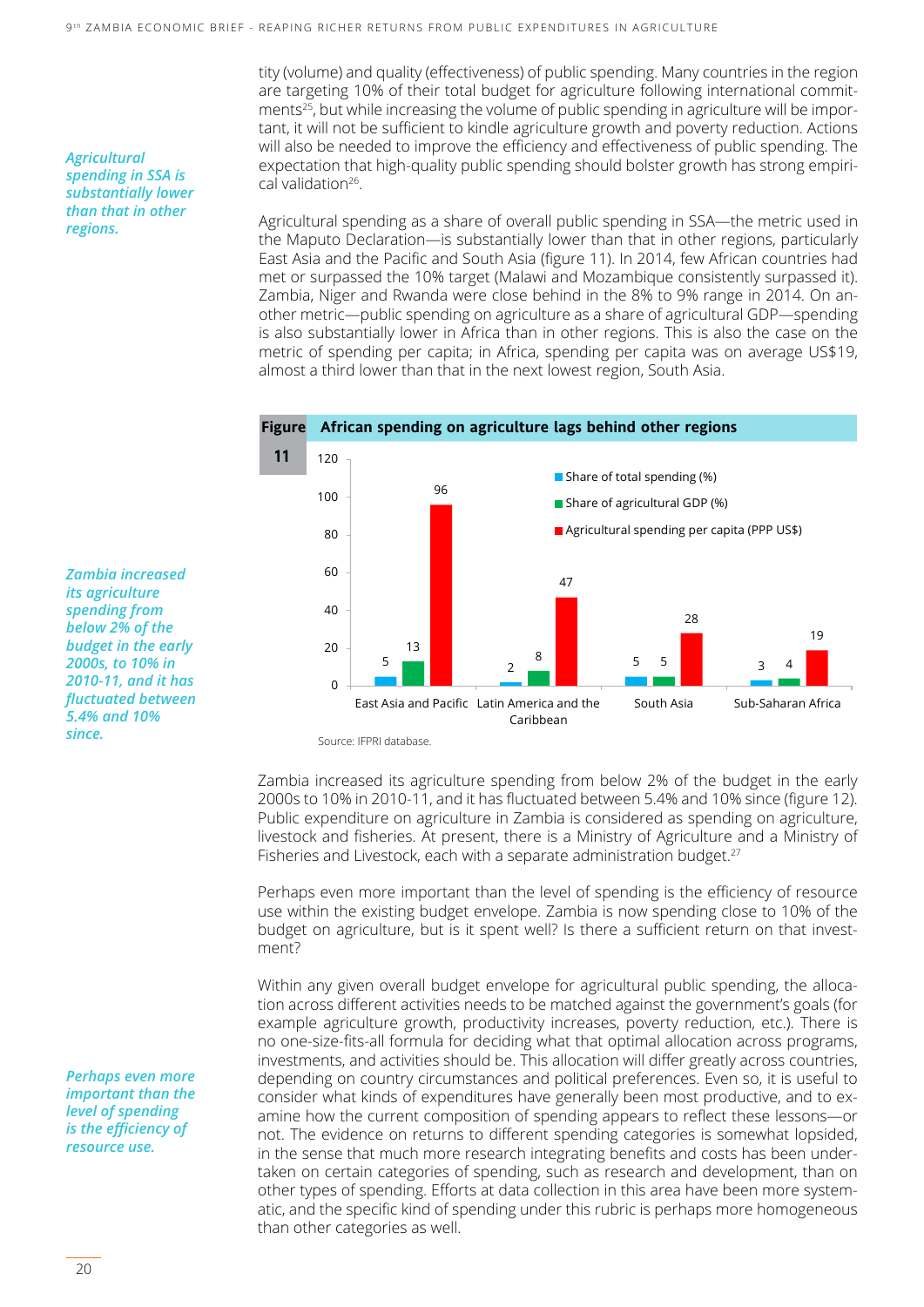tity (volume) and quality (effectiveness) of public spending. Many countries in the region are targeting 10% of their total budget for agriculture following international commitments<sup>25</sup>, but while increasing the volume of public spending in agriculture will be important, it will not be sufficient to kindle agriculture growth and poverty reduction. Actions will also be needed to improve the efficiency and effectiveness of public spending. The expectation that high-quality public spending should bolster growth has strong empirical validation<sup>26</sup>.

Agricultural spending as a share of overall public spending in SSA—the metric used in the Maputo Declaration—is substantially lower than that in other regions, particularly East Asia and the Pacific and South Asia (figure 11). In 2014, few African countries had met or surpassed the 10% target (Malawi and Mozambique consistently surpassed it). Zambia, Niger and Rwanda were close behind in the 8% to 9% range in 2014. On another metric—public spending on agriculture as a share of agricultural GDP—spending is also substantially lower in Africa than in other regions. This is also the case on the metric of spending per capita; in Africa, spending per capita was on average US\$19, almost a third lower than that in the next lowest region, South Asia.



Source: IFPRI database.

Zambia increased its agriculture spending from below 2% of the budget in the early 2000s to 10% in 2010-11, and it has fluctuated between 5.4% and 10% since (figure 12). Public expenditure on agriculture in Zambia is considered as spending on agriculture, livestock and fisheries. At present, there is a Ministry of Agriculture and a Ministry of Fisheries and Livestock, each with a separate administration budget.<sup>27</sup>

Perhaps even more important than the level of spending is the efficiency of resource use within the existing budget envelope. Zambia is now spending close to 10% of the budget on agriculture, but is it spent well? Is there a sufficient return on that investment?

Within any given overall budget envelope for agricultural public spending, the allocation across different activities needs to be matched against the government's goals (for example agriculture growth, productivity increases, poverty reduction, etc.). There is no one-size-fits-all formula for deciding what that optimal allocation across programs, investments, and activities should be. This allocation will differ greatly across countries, depending on country circumstances and political preferences. Even so, it is useful to consider what kinds of expenditures have generally been most productive, and to examine how the current composition of spending appears to reflect these lessons—or not. The evidence on returns to different spending categories is somewhat lopsided, in the sense that much more research integrating benefits and costs has been undertaken on certain categories of spending, such as research and development, than on other types of spending. Efforts at data collection in this area have been more systematic, and the specific kind of spending under this rubric is perhaps more homogeneous than other categories as well.

*Agricultural spending in SSA is substantially lower than that in other regions.*

*Zambia increased its agriculture spending from below 2% of the budget in the early 2000s, to 10% in 2010-11, and it has fluctuated between 5.4% and 10% since.*

*Perhaps even more important than the level of spending is the efficiency of resource use.*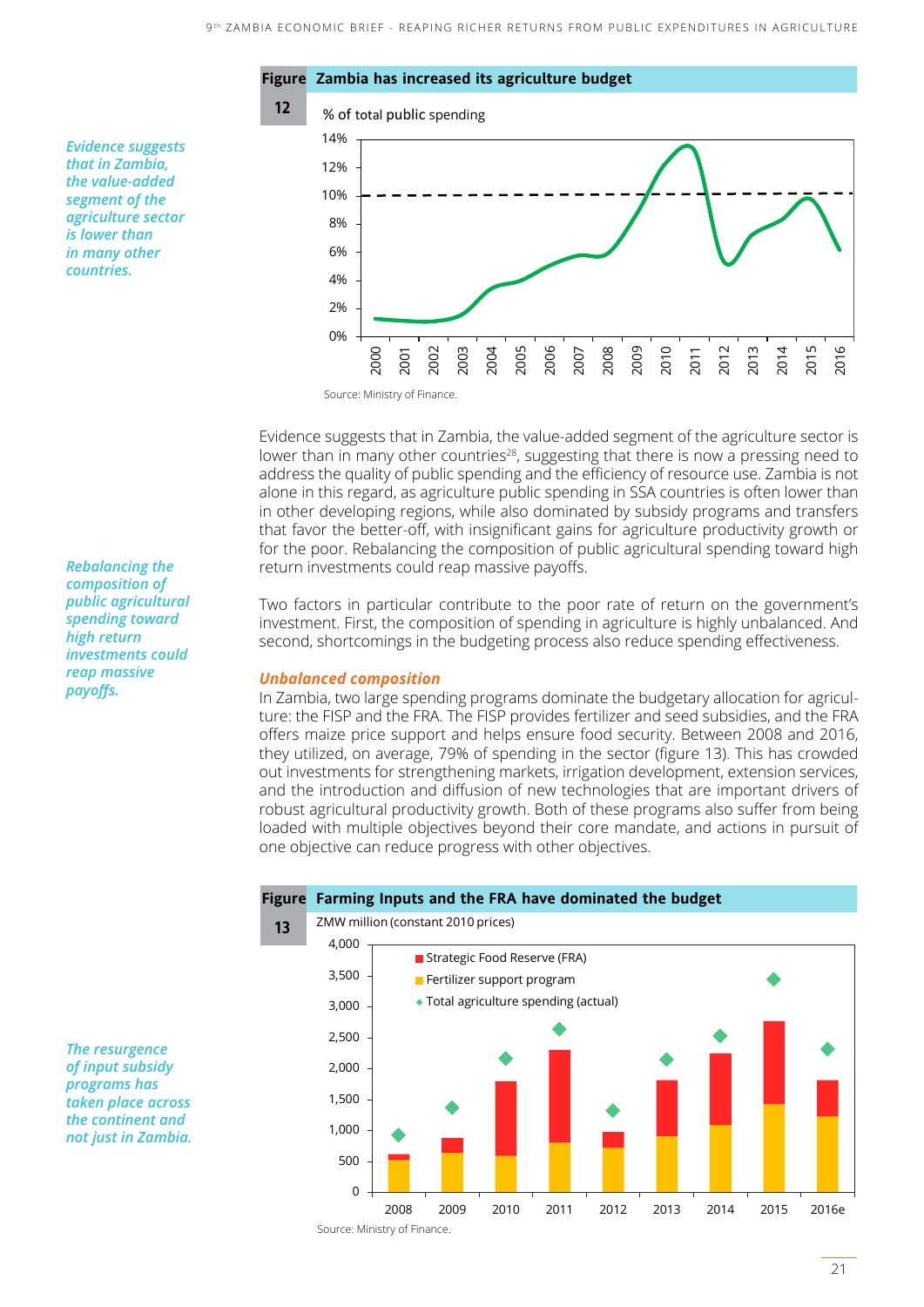

Evidence suggests that in Zambia, the value-added segment of the agriculture sector is lower than in many other countries<sup>28</sup>, suggesting that there is now a pressing need to address the quality of public spending and the efficiency of resource use. Zambia is not alone in this regard, as agriculture public spending in SSA countries is often lower than in other developing regions, while also dominated by subsidy programs and transfers that favor the better-off, with insignificant gains for agriculture productivity growth or for the poor. Rebalancing the composition of public agricultural spending toward high return investments could reap massive payoffs.

Two factors in particular contribute to the poor rate of return on the government's investment. First, the composition of spending in agriculture is highly unbalanced. And second, shortcomings in the budgeting process also reduce spending effectiveness.

#### *Unbalanced composition*

In Zambia, two large spending programs dominate the budgetary allocation for agriculture: the FISP and the FRA. The FISP provides fertilizer and seed subsidies, and the FRA offers maize price support and helps ensure food security. Between 2008 and 2016, they utilized, on average, 79% of spending in the sector (figure 13). This has crowded out investments for strengthening markets, irrigation development, extension services, and the introduction and diffusion of new technologies that are important drivers of robust agricultural productivity growth. Both of these programs also suffer from being loaded with multiple objectives beyond their core mandate, and actions in pursuit of one objective can reduce progress with other objectives.



*The resurgence of input subsidy programs has taken place across the continent and not just in Zambia.*

*Rebalancing the composition of public agricultural spending toward high return investments could reap massive payoffs.*

*Evidence suggests that in Zambia, the value-added segment of the agriculture sector is lower than in many other countries.*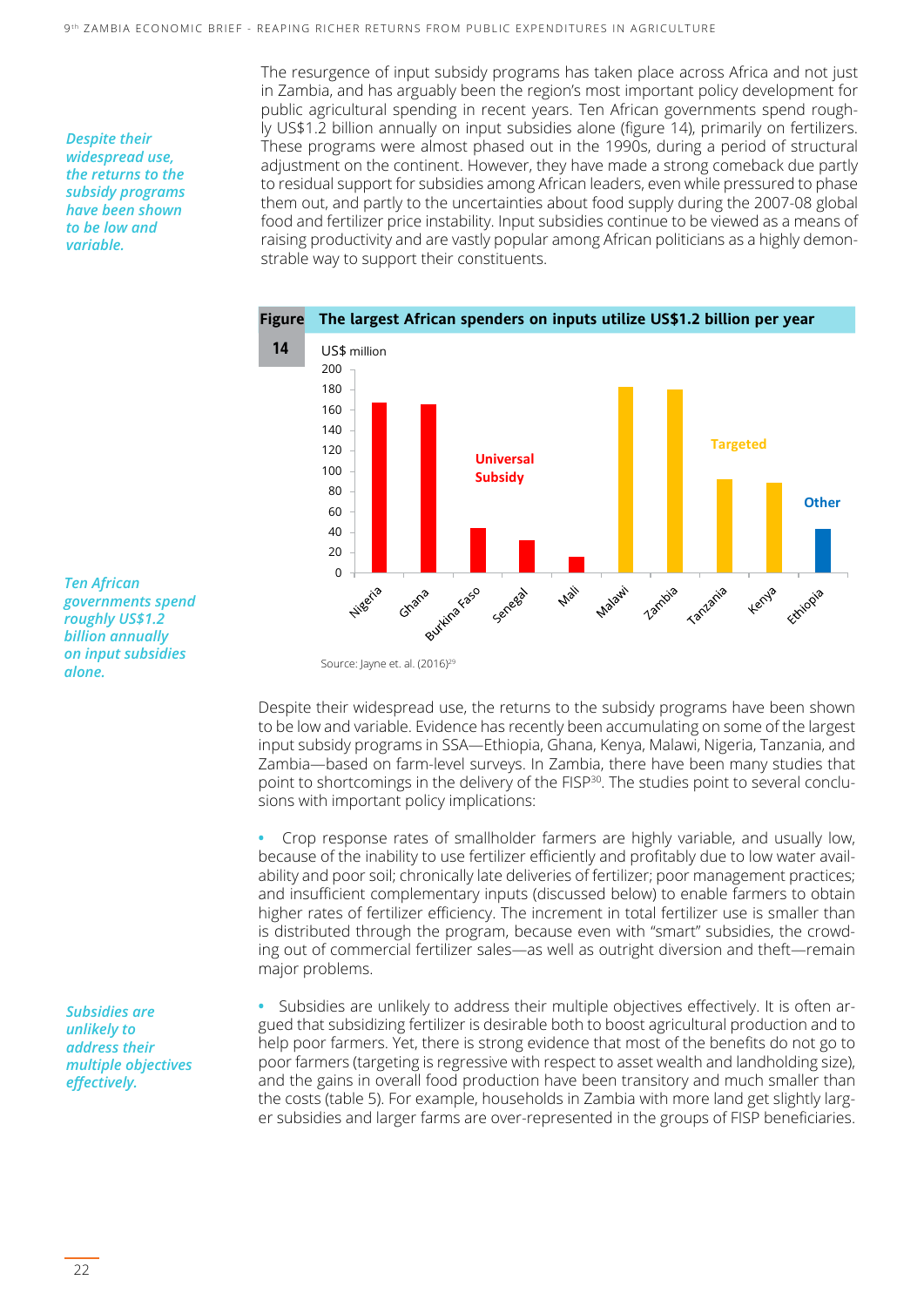*Despite their widespread use, the returns to the subsidy programs have been shown to be low and variable.*

The resurgence of input subsidy programs has taken place across Africa and not just in Zambia, and has arguably been the region's most important policy development for public agricultural spending in recent years. Ten African governments spend roughly US\$1.2 billion annually on input subsidies alone (figure 14), primarily on fertilizers. These programs were almost phased out in the 1990s, during a period of structural adjustment on the continent. However, they have made a strong comeback due partly to residual support for subsidies among African leaders, even while pressured to phase them out, and partly to the uncertainties about food supply during the 2007-08 global food and fertilizer price instability. Input subsidies continue to be viewed as a means of raising productivity and are vastly popular among African politicians as a highly demonstrable way to support their constituents.



*Ten African governments spend roughly US\$1.2 billion annually on input subsidies alone.*

Source: Jayne et. al. (2016)<sup>29</sup>

Despite their widespread use, the returns to the subsidy programs have been shown to be low and variable. Evidence has recently been accumulating on some of the largest input subsidy programs in SSA—Ethiopia, Ghana, Kenya, Malawi, Nigeria, Tanzania, and Zambia—based on farm-level surveys. In Zambia, there have been many studies that point to shortcomings in the delivery of the FISP<sup>30</sup>. The studies point to several conclusions with important policy implications:

**•** Crop response rates of smallholder farmers are highly variable, and usually low, because of the inability to use fertilizer efficiently and profitably due to low water availability and poor soil; chronically late deliveries of fertilizer; poor management practices; and insufficient complementary inputs (discussed below) to enable farmers to obtain higher rates of fertilizer efficiency. The increment in total fertilizer use is smaller than is distributed through the program, because even with "smart" subsidies, the crowding out of commercial fertilizer sales—as well as outright diversion and theft—remain major problems.

*Subsidies are unlikely to address their multiple objectives effectively.*

**•** Subsidies are unlikely to address their multiple objectives effectively. It is often argued that subsidizing fertilizer is desirable both to boost agricultural production and to help poor farmers. Yet, there is strong evidence that most of the benefits do not go to poor farmers (targeting is regressive with respect to asset wealth and landholding size), and the gains in overall food production have been transitory and much smaller than the costs (table 5). For example, households in Zambia with more land get slightly larger subsidies and larger farms are over-represented in the groups of FISP beneficiaries.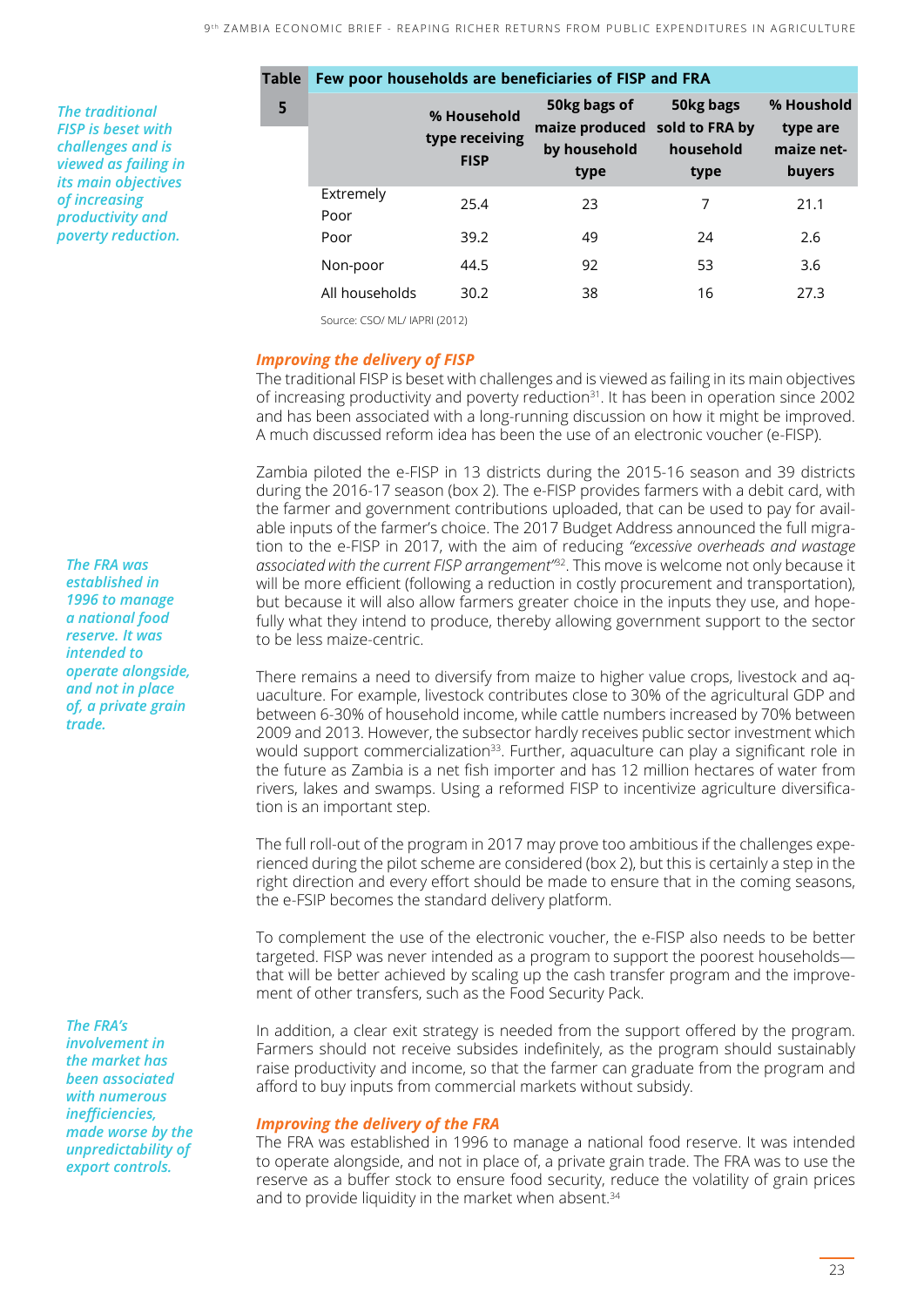*The traditional FISP is beset with challenges and is viewed as failing in its main objectives of increasing productivity and poverty reduction.*

| Table | Few poor households are beneficiaries of FISP and FRA |                                              |                                                                       |                                |                                                |  |  |
|-------|-------------------------------------------------------|----------------------------------------------|-----------------------------------------------------------------------|--------------------------------|------------------------------------------------|--|--|
| 5     |                                                       | % Household<br>type receiving<br><b>FISP</b> | 50kg bags of<br>maize produced sold to FRA by<br>by household<br>type | 50kg bags<br>household<br>type | % Houshold<br>type are<br>maize net-<br>buyers |  |  |
|       | Extremely<br>Poor                                     | 25.4                                         | 23                                                                    | 7                              | 21.1                                           |  |  |
|       | Poor                                                  | 39.2                                         | 49                                                                    | 24                             | 2.6                                            |  |  |
|       | Non-poor                                              | 44.5                                         | 92                                                                    | 53                             | 3.6                                            |  |  |
|       | All households                                        | 30.2                                         | 38                                                                    | 16                             | 27.3                                           |  |  |

Source: CSO/ ML/ IAPRI (2012)

#### *Improving the delivery of FISP*

The traditional FISP is beset with challenges and is viewed as failing in its main objectives of increasing productivity and poverty reduction $31$ . It has been in operation since 2002 and has been associated with a long-running discussion on how it might be improved. A much discussed reform idea has been the use of an electronic voucher (e-FISP).

Zambia piloted the e-FISP in 13 districts during the 2015-16 season and 39 districts during the 2016-17 season (box 2). The e-FISP provides farmers with a debit card, with the farmer and government contributions uploaded, that can be used to pay for available inputs of the farmer's choice. The 2017 Budget Address announced the full migration to the e-FISP in 2017, with the aim of reducing *"excessive overheads and wastage associated with the current FISP arrangement"*32. This move is welcome not only because it will be more efficient (following a reduction in costly procurement and transportation), but because it will also allow farmers greater choice in the inputs they use, and hopefully what they intend to produce, thereby allowing government support to the sector to be less maize-centric.

There remains a need to diversify from maize to higher value crops, livestock and aquaculture. For example, livestock contributes close to 30% of the agricultural GDP and between 6-30% of household income, while cattle numbers increased by 70% between 2009 and 2013. However, the subsector hardly receives public sector investment which would support commercialization<sup>33</sup>. Further, aquaculture can play a significant role in the future as Zambia is a net fish importer and has 12 million hectares of water from rivers, lakes and swamps. Using a reformed FISP to incentivize agriculture diversification is an important step.

The full roll-out of the program in 2017 may prove too ambitious if the challenges experienced during the pilot scheme are considered (box 2), but this is certainly a step in the right direction and every effort should be made to ensure that in the coming seasons, the e-FSIP becomes the standard delivery platform.

To complement the use of the electronic voucher, the e-FISP also needs to be better targeted. FISP was never intended as a program to support the poorest households― that will be better achieved by scaling up the cash transfer program and the improvement of other transfers, such as the Food Security Pack.

In addition, a clear exit strategy is needed from the support offered by the program. Farmers should not receive subsides indefinitely, as the program should sustainably raise productivity and income, so that the farmer can graduate from the program and afford to buy inputs from commercial markets without subsidy.

#### *Improving the delivery of the FRA*

The FRA was established in 1996 to manage a national food reserve. It was intended to operate alongside, and not in place of, a private grain trade. The FRA was to use the reserve as a buffer stock to ensure food security, reduce the volatility of grain prices and to provide liquidity in the market when absent.<sup>34</sup>

*The FRA was established in 1996 to manage a national food reserve. It was intended to operate alongside, and not in place of, a private grain trade.*

*The FRA's involvement in the market has been associated with numerous inefficiencies, made worse by the unpredictability of export controls.*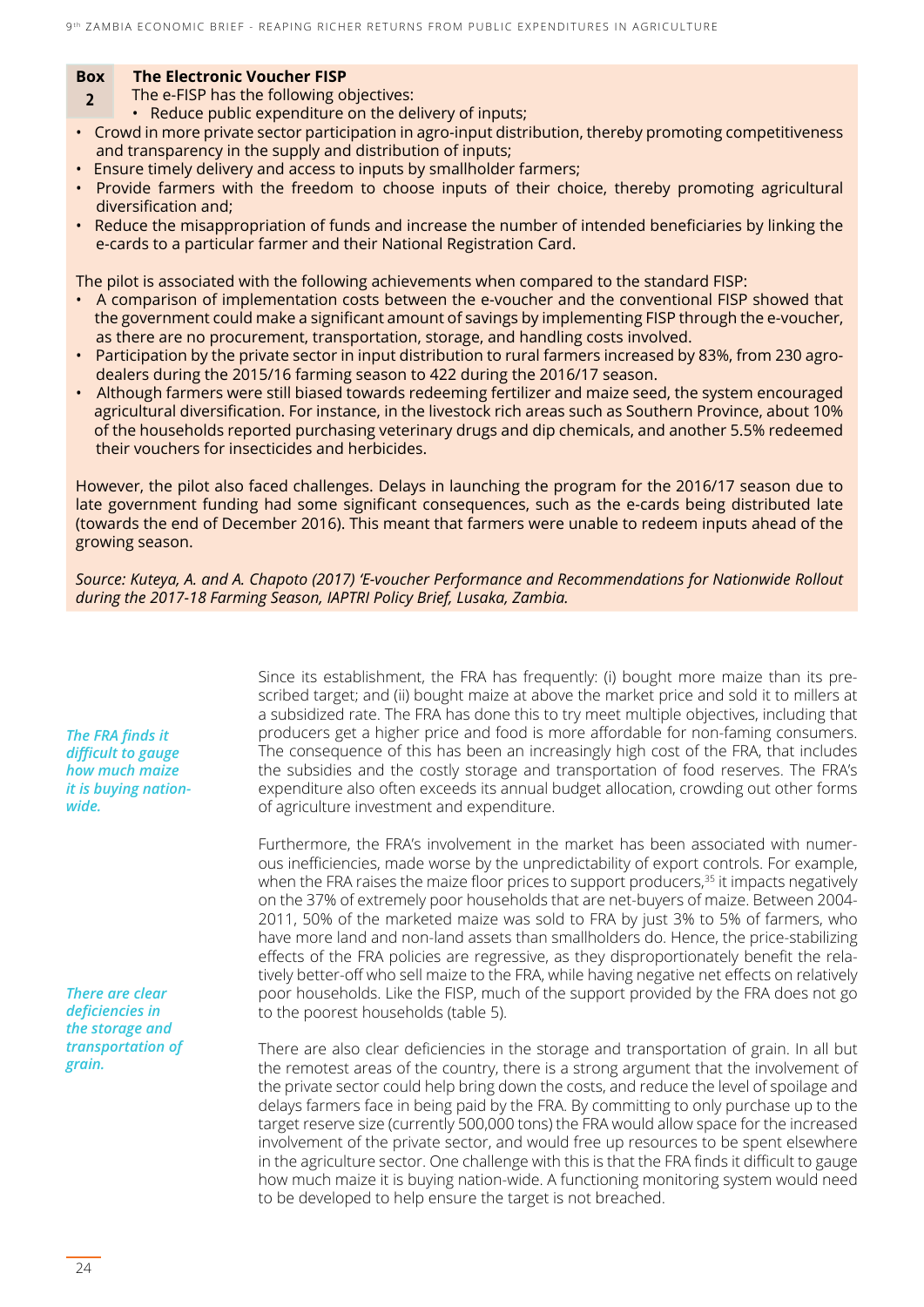#### **Box The Electronic Voucher FISP**

- **2** The e-FISP has the following objectives:
	- Reduce public expenditure on the delivery of inputs;
- Crowd in more private sector participation in agro-input distribution, thereby promoting competitiveness and transparency in the supply and distribution of inputs;
- Ensure timely delivery and access to inputs by smallholder farmers;
- Provide farmers with the freedom to choose inputs of their choice, thereby promoting agricultural diversification and;
- Reduce the misappropriation of funds and increase the number of intended beneficiaries by linking the e-cards to a particular farmer and their National Registration Card.

The pilot is associated with the following achievements when compared to the standard FISP:

- A comparison of implementation costs between the e-voucher and the conventional FISP showed that the government could make a significant amount of savings by implementing FISP through the e-voucher, as there are no procurement, transportation, storage, and handling costs involved.
- Participation by the private sector in input distribution to rural farmers increased by 83%, from 230 agro dealers during the 2015/16 farming season to 422 during the 2016/17 season.
- Although farmers were still biased towards redeeming fertilizer and maize seed, the system encouraged agricultural diversification. For instance, in the livestock rich areas such as Southern Province, about 10% of the households reported purchasing veterinary drugs and dip chemicals, and another 5.5% redeemed their vouchers for insecticides and herbicides.

However, the pilot also faced challenges. Delays in launching the program for the 2016/17 season due to late government funding had some significant consequences, such as the e-cards being distributed late (towards the end of December 2016). This meant that farmers were unable to redeem inputs ahead of the growing season.

*Source: Kuteya, A. and A. Chapoto (2017) 'E-voucher Performance and Recommendations for Nationwide Rollout during the 2017-18 Farming Season, IAPTRI Policy Brief, Lusaka, Zambia.*

> Since its establishment, the FRA has frequently: (i) bought more maize than its prescribed target; and (ii) bought maize at above the market price and sold it to millers at a subsidized rate. The FRA has done this to try meet multiple objectives, including that producers get a higher price and food is more affordable for non-faming consumers. The consequence of this has been an increasingly high cost of the FRA, that includes the subsidies and the costly storage and transportation of food reserves. The FRA's expenditure also often exceeds its annual budget allocation, crowding out other forms of agriculture investment and expenditure.

> Furthermore, the FRA's involvement in the market has been associated with numerous inefficiencies, made worse by the unpredictability of export controls. For example, when the FRA raises the maize floor prices to support producers,<sup>35</sup> it impacts negatively on the 37% of extremely poor households that are net-buyers of maize. Between 2004- 2011, 50% of the marketed maize was sold to FRA by just 3% to 5% of farmers, who have more land and non-land assets than smallholders do. Hence, the price-stabilizing effects of the FRA policies are regressive, as they disproportionately benefit the relatively better-off who sell maize to the FRA, while having negative net effects on relatively poor households. Like the FISP, much of the support provided by the FRA does not go to the poorest households (table 5).

> There are also clear deficiencies in the storage and transportation of grain. In all but the remotest areas of the country, there is a strong argument that the involvement of the private sector could help bring down the costs, and reduce the level of spoilage and delays farmers face in being paid by the FRA. By committing to only purchase up to the target reserve size (currently 500,000 tons) the FRA would allow space for the increased involvement of the private sector, and would free up resources to be spent elsewhere in the agriculture sector. One challenge with this is that the FRA finds it difficult to gauge how much maize it is buying nation-wide. A functioning monitoring system would need to be developed to help ensure the target is not breached.

*The FRA finds it difficult to gauge how much maize it is buying nationwide.* 

*There are clear deficiencies in the storage and transportation of grain.*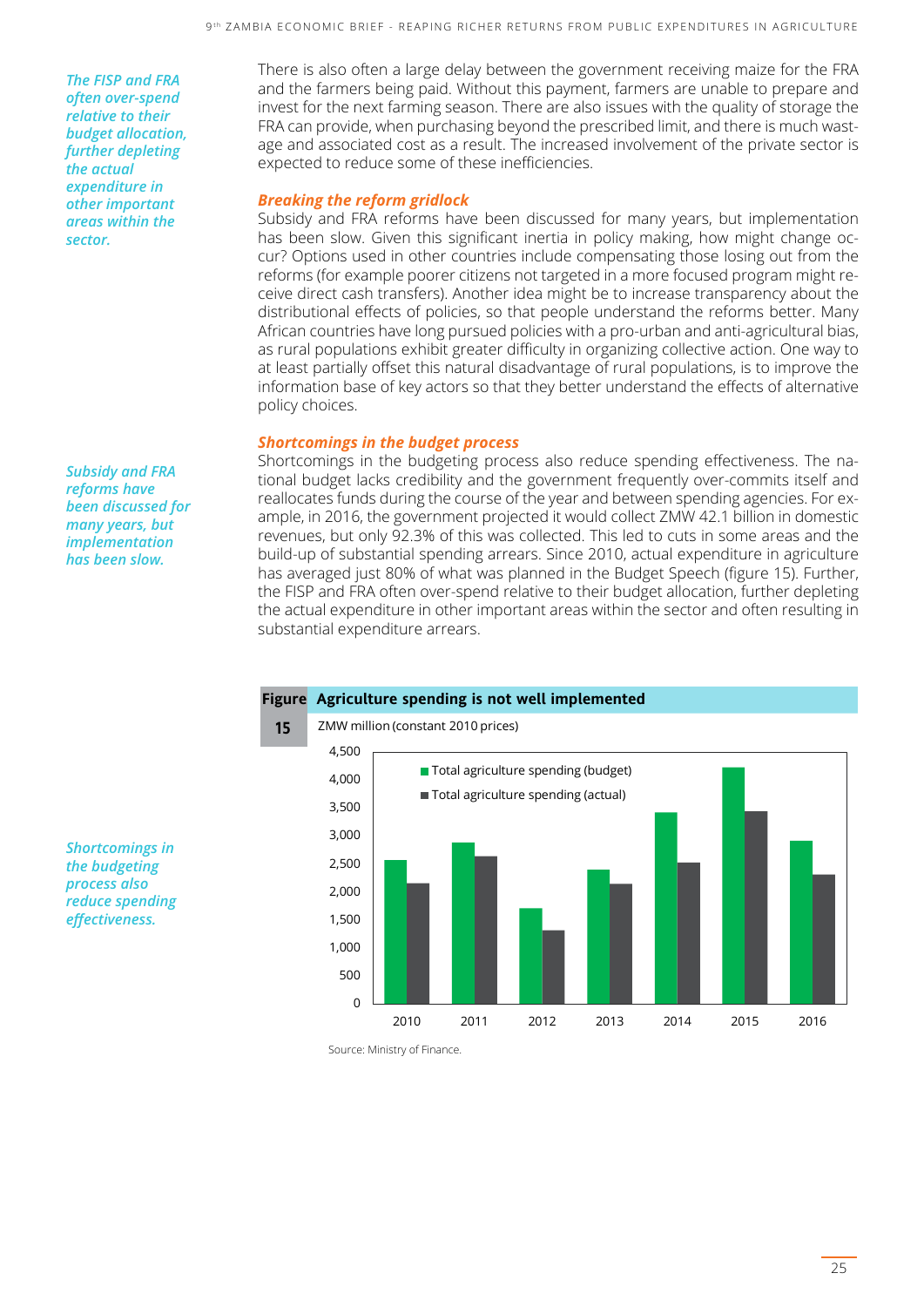*The FISP and FRA often over-spend relative to their budget allocation, further depleting the actual expenditure in other important areas within the sector.*

*Subsidy and FRA reforms have been discussed for many years, but implementation has been slow.*

There is also often a large delay between the government receiving maize for the FRA and the farmers being paid. Without this payment, farmers are unable to prepare and invest for the next farming season. There are also issues with the quality of storage the FRA can provide, when purchasing beyond the prescribed limit, and there is much wastage and associated cost as a result. The increased involvement of the private sector is expected to reduce some of these inefficiencies.

#### *Breaking the reform gridlock*

Subsidy and FRA reforms have been discussed for many years, but implementation has been slow. Given this significant inertia in policy making, how might change occur? Options used in other countries include compensating those losing out from the reforms (for example poorer citizens not targeted in a more focused program might receive direct cash transfers). Another idea might be to increase transparency about the distributional effects of policies, so that people understand the reforms better. Many African countries have long pursued policies with a pro-urban and anti-agricultural bias, as rural populations exhibit greater difficulty in organizing collective action. One way to at least partially offset this natural disadvantage of rural populations, is to improve the information base of key actors so that they better understand the effects of alternative policy choices.

#### *Shortcomings in the budget process*

Shortcomings in the budgeting process also reduce spending effectiveness. The national budget lacks credibility and the government frequently over-commits itself and reallocates funds during the course of the year and between spending agencies. For example, in 2016, the government projected it would collect ZMW 42.1 billion in domestic revenues, but only 92.3% of this was collected. This led to cuts in some areas and the build-up of substantial spending arrears. Since 2010, actual expenditure in agriculture has averaged just 80% of what was planned in the Budget Speech (figure 15). Further, the FISP and FRA often over-spend relative to their budget allocation, further depleting the actual expenditure in other important areas within the sector and often resulting in substantial expenditure arrears.



*Shortcomings in the budgeting process also reduce spending effectiveness.*

Source: Ministry of Finance.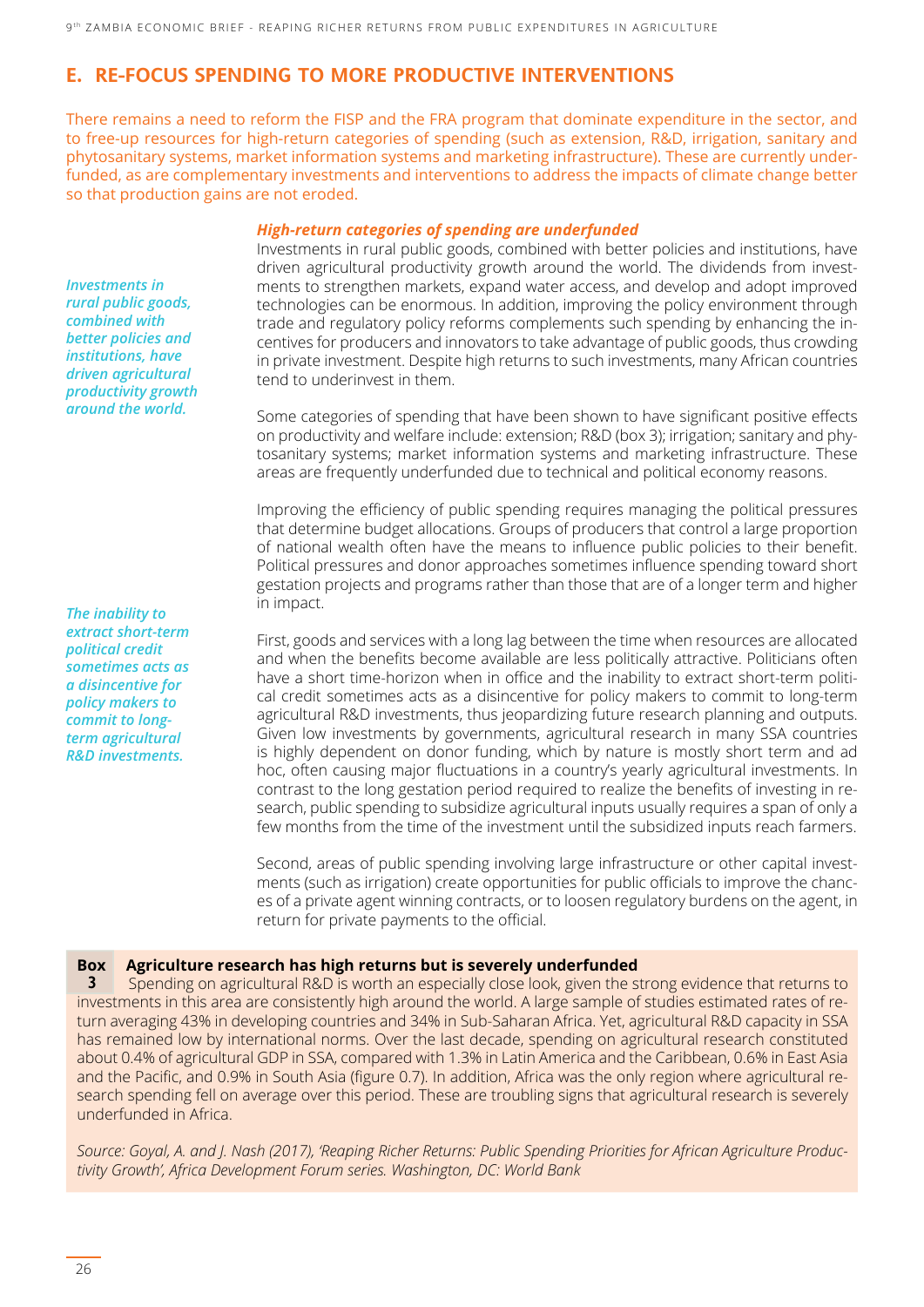#### **E. RE-FOCUS SPENDING TO MORE PRODUCTIVE INTERVENTIONS**

There remains a need to reform the FISP and the FRA program that dominate expenditure in the sector, and to free-up resources for high-return categories of spending (such as extension, R&D, irrigation, sanitary and phytosanitary systems, market information systems and marketing infrastructure). These are currently underfunded, as are complementary investments and interventions to address the impacts of climate change better so that production gains are not eroded.

#### *High-return categories of spending are underfunded*

Investments in rural public goods, combined with better policies and institutions, have driven agricultural productivity growth around the world. The dividends from investments to strengthen markets, expand water access, and develop and adopt improved technologies can be enormous. In addition, improving the policy environment through trade and regulatory policy reforms complements such spending by enhancing the incentives for producers and innovators to take advantage of public goods, thus crowding in private investment. Despite high returns to such investments, many African countries tend to underinvest in them.

Some categories of spending that have been shown to have significant positive effects on productivity and welfare include: extension; R&D (box 3); irrigation; sanitary and phytosanitary systems; market information systems and marketing infrastructure. These areas are frequently underfunded due to technical and political economy reasons.

Improving the efficiency of public spending requires managing the political pressures that determine budget allocations. Groups of producers that control a large proportion of national wealth often have the means to influence public policies to their benefit. Political pressures and donor approaches sometimes influence spending toward short gestation projects and programs rather than those that are of a longer term and higher in impact.

First, goods and services with a long lag between the time when resources are allocated and when the benefits become available are less politically attractive. Politicians often have a short time-horizon when in office and the inability to extract short-term political credit sometimes acts as a disincentive for policy makers to commit to long-term agricultural R&D investments, thus jeopardizing future research planning and outputs. Given low investments by governments, agricultural research in many SSA countries is highly dependent on donor funding, which by nature is mostly short term and ad hoc, often causing major fluctuations in a country's yearly agricultural investments. In contrast to the long gestation period required to realize the benefits of investing in research, public spending to subsidize agricultural inputs usually requires a span of only a few months from the time of the investment until the subsidized inputs reach farmers.

Second, areas of public spending involving large infrastructure or other capital investments (such as irrigation) create opportunities for public officials to improve the chances of a private agent winning contracts, or to loosen regulatory burdens on the agent, in return for private payments to the official.

#### **Box Agriculture research has high returns but is severely underfunded**

**3** Spending on agricultural R&D is worth an especially close look, given the strong evidence that returns to investments in this area are consistently high around the world. A large sample of studies estimated rates of return averaging 43% in developing countries and 34% in Sub-Saharan Africa. Yet, agricultural R&D capacity in SSA has remained low by international norms. Over the last decade, spending on agricultural research constituted about 0.4% of agricultural GDP in SSA, compared with 1.3% in Latin America and the Caribbean, 0.6% in East Asia and the Pacific, and 0.9% in South Asia (figure 0.7). In addition, Africa was the only region where agricultural research spending fell on average over this period. These are troubling signs that agricultural research is severely underfunded in Africa.

*Source: Goyal, A. and J. Nash (2017), 'Reaping Richer Returns: Public Spending Priorities for African Agriculture Productivity Growth', Africa Development Forum series. Washington, DC: World Bank*

*Investments in rural public goods, combined with better policies and institutions, have driven agricultural productivity growth around the world.*

*The inability to extract short-term political credit sometimes acts as a disincentive for policy makers to commit to longterm agricultural R&D investments.*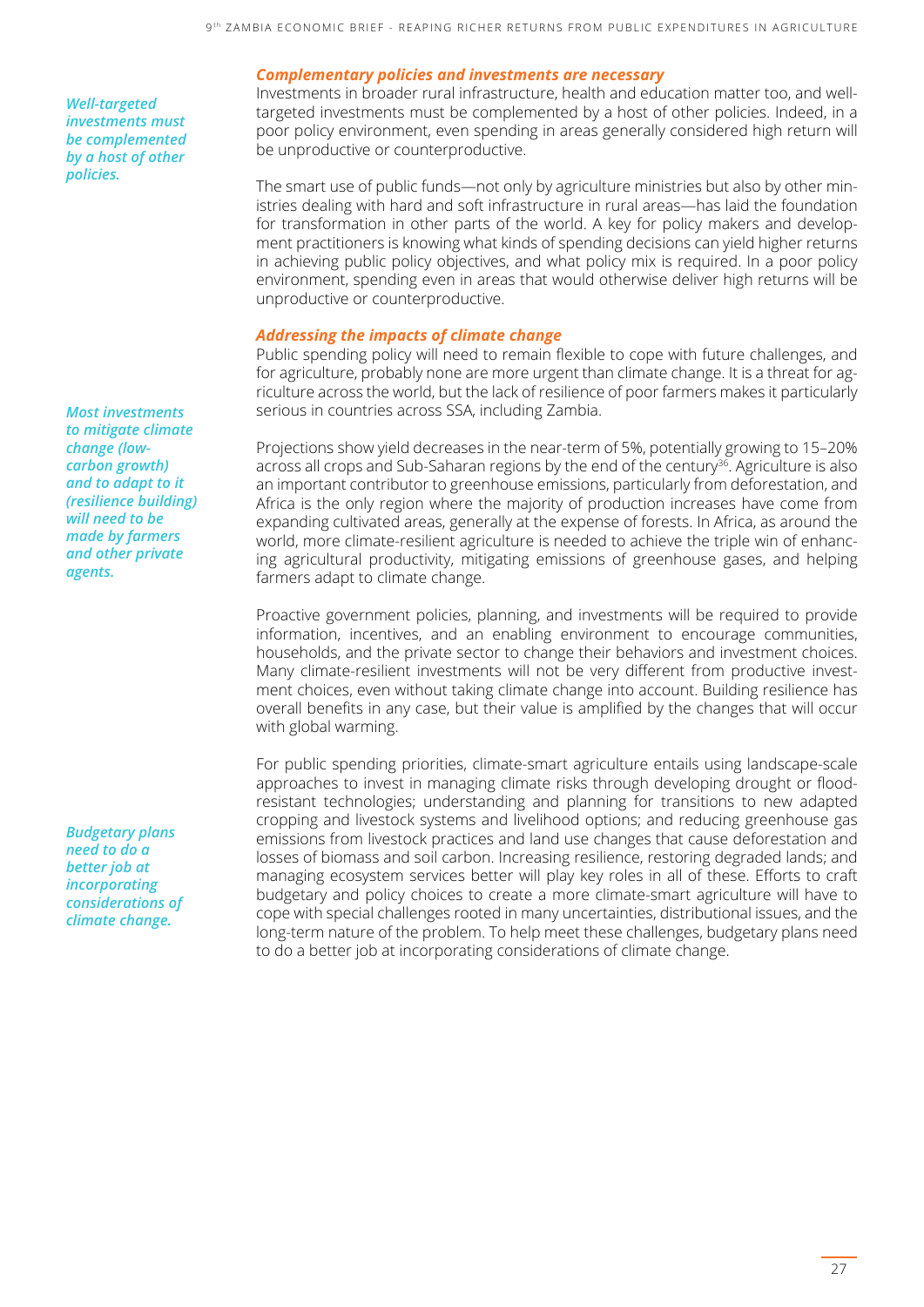*Well-targeted investments must be complemented by a host of other policies.*

*Most investments to mitigate climate change (lowcarbon growth) and to adapt to it (resilience building) will need to be made by farmers and other private agents.*

*Budgetary plans need to do a better job at incorporating considerations of climate change.*

#### *Complementary policies and investments are necessary*

Investments in broader rural infrastructure, health and education matter too, and welltargeted investments must be complemented by a host of other policies. Indeed, in a poor policy environment, even spending in areas generally considered high return will be unproductive or counterproductive.

The smart use of public funds—not only by agriculture ministries but also by other ministries dealing with hard and soft infrastructure in rural areas—has laid the foundation for transformation in other parts of the world. A key for policy makers and development practitioners is knowing what kinds of spending decisions can yield higher returns in achieving public policy objectives, and what policy mix is required. In a poor policy environment, spending even in areas that would otherwise deliver high returns will be unproductive or counterproductive.

#### *Addressing the impacts of climate change*

Public spending policy will need to remain flexible to cope with future challenges, and for agriculture, probably none are more urgent than climate change. It is a threat for agriculture across the world, but the lack of resilience of poor farmers makes it particularly serious in countries across SSA, including Zambia.

Projections show yield decreases in the near-term of 5%, potentially growing to 15–20% across all crops and Sub-Saharan regions by the end of the century<sup>36</sup>. Agriculture is also an important contributor to greenhouse emissions, particularly from deforestation, and Africa is the only region where the majority of production increases have come from expanding cultivated areas, generally at the expense of forests. In Africa, as around the world, more climate-resilient agriculture is needed to achieve the triple win of enhancing agricultural productivity, mitigating emissions of greenhouse gases, and helping farmers adapt to climate change.

Proactive government policies, planning, and investments will be required to provide information, incentives, and an enabling environment to encourage communities, households, and the private sector to change their behaviors and investment choices. Many climate-resilient investments will not be very different from productive investment choices, even without taking climate change into account. Building resilience has overall benefits in any case, but their value is amplified by the changes that will occur with global warming.

For public spending priorities, climate-smart agriculture entails using landscape-scale approaches to invest in managing climate risks through developing drought or floodresistant technologies; understanding and planning for transitions to new adapted cropping and livestock systems and livelihood options; and reducing greenhouse gas emissions from livestock practices and land use changes that cause deforestation and losses of biomass and soil carbon. Increasing resilience, restoring degraded lands; and managing ecosystem services better will play key roles in all of these. Efforts to craft budgetary and policy choices to create a more climate-smart agriculture will have to cope with special challenges rooted in many uncertainties, distributional issues, and the long-term nature of the problem. To help meet these challenges, budgetary plans need to do a better job at incorporating considerations of climate change.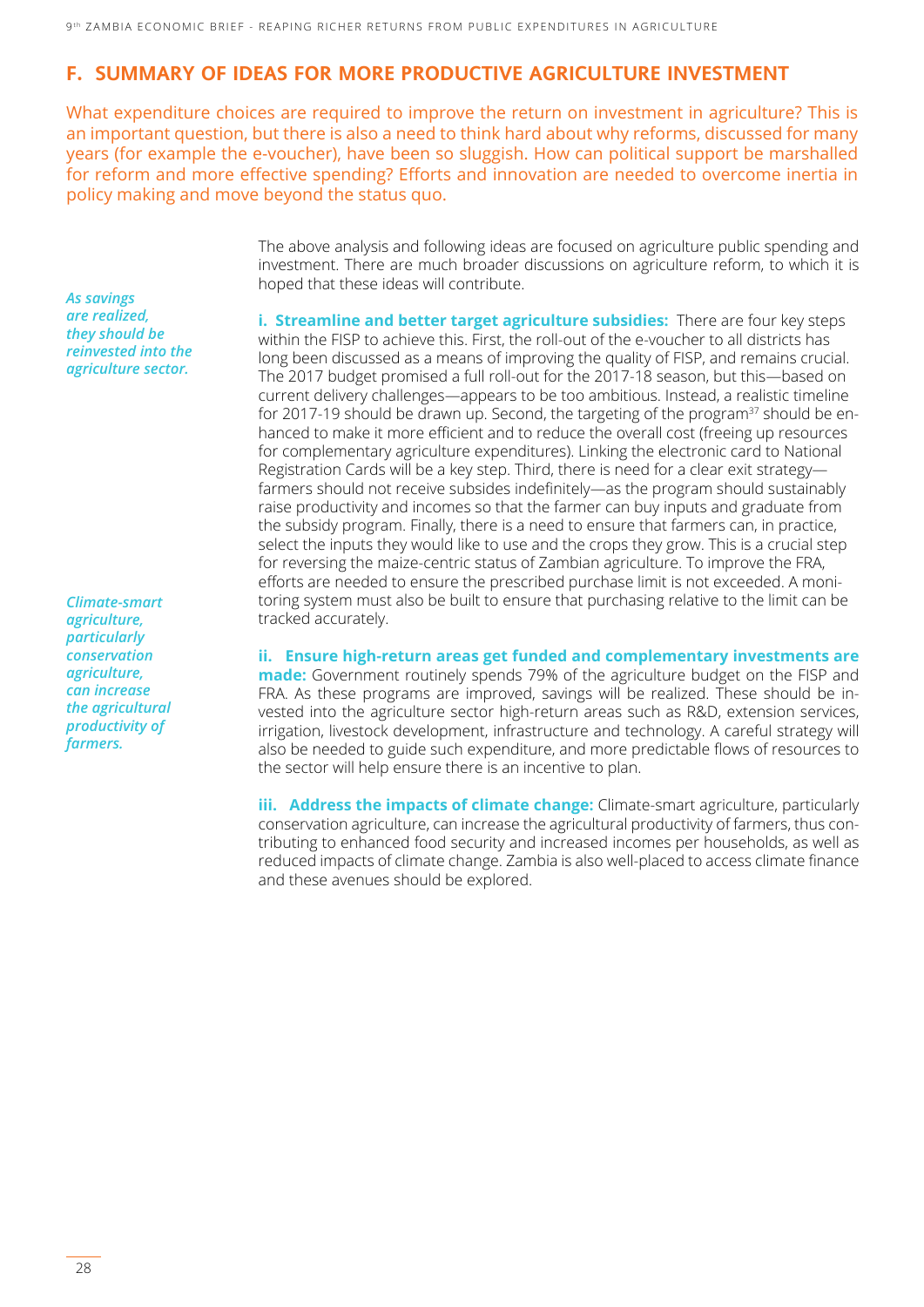#### **F. SUMMARY OF IDEAS FOR MORE PRODUCTIVE AGRICULTURE INVESTMENT**

What expenditure choices are required to improve the return on investment in agriculture? This is an important question, but there is also a need to think hard about why reforms, discussed for many years (for example the e-voucher), have been so sluggish. How can political support be marshalled for reform and more effective spending? Efforts and innovation are needed to overcome inertia in policy making and move beyond the status quo.

*As savings are realized, they should be reinvested into the agriculture sector.*

*Climate-smart agriculture, particularly conservation agriculture, can increase the agricultural productivity of farmers.*

The above analysis and following ideas are focused on agriculture public spending and investment. There are much broader discussions on agriculture reform, to which it is hoped that these ideas will contribute.

**i. Streamline and better target agriculture subsidies:** There are four key steps within the FISP to achieve this. First, the roll-out of the e-voucher to all districts has long been discussed as a means of improving the quality of FISP, and remains crucial. The 2017 budget promised a full roll-out for the 2017-18 season, but this―based on current delivery challenges―appears to be too ambitious. Instead, a realistic timeline for 2017-19 should be drawn up. Second, the targeting of the program<sup>37</sup> should be enhanced to make it more efficient and to reduce the overall cost (freeing up resources for complementary agriculture expenditures). Linking the electronic card to National Registration Cards will be a key step. Third, there is need for a clear exit strategy― farmers should not receive subsides indefinitely―as the program should sustainably raise productivity and incomes so that the farmer can buy inputs and graduate from the subsidy program. Finally, there is a need to ensure that farmers can, in practice, select the inputs they would like to use and the crops they grow. This is a crucial step for reversing the maize-centric status of Zambian agriculture. To improve the FRA, efforts are needed to ensure the prescribed purchase limit is not exceeded. A monitoring system must also be built to ensure that purchasing relative to the limit can be tracked accurately.

**ii. Ensure high-return areas get funded and complementary investments are made:** Government routinely spends 79% of the agriculture budget on the FISP and FRA. As these programs are improved, savings will be realized. These should be invested into the agriculture sector high-return areas such as R&D, extension services, irrigation, livestock development, infrastructure and technology. A careful strategy will also be needed to guide such expenditure, and more predictable flows of resources to the sector will help ensure there is an incentive to plan.

**iii. Address the impacts of climate change:** Climate-smart agriculture, particularly conservation agriculture, can increase the agricultural productivity of farmers, thus contributing to enhanced food security and increased incomes per households, as well as reduced impacts of climate change. Zambia is also well-placed to access climate finance and these avenues should be explored.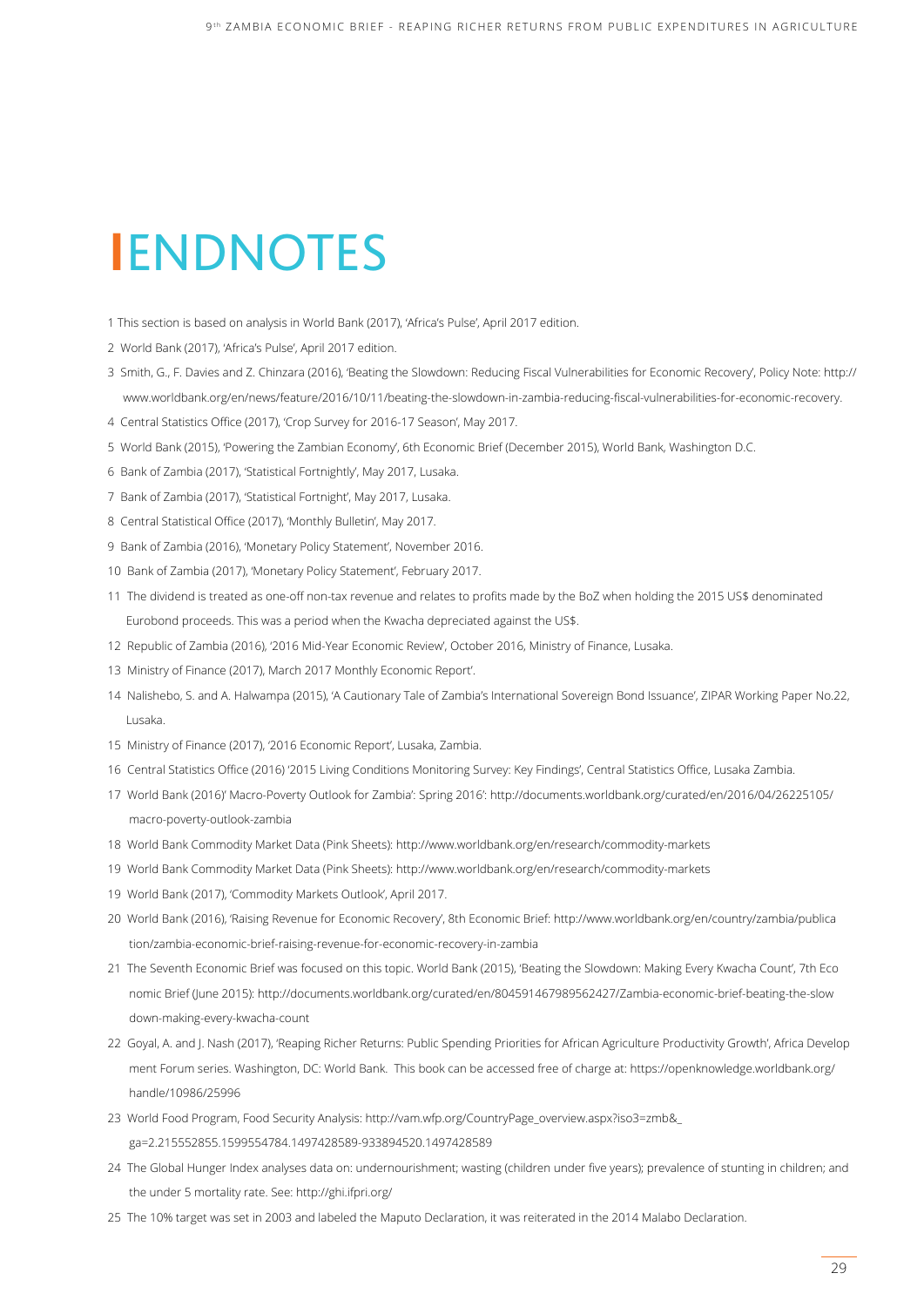### **I**ENDNOTES

- 1 This section is based on analysis in World Bank (2017), 'Africa's Pulse', April 2017 edition.
- 2 World Bank (2017), 'Africa's Pulse', April 2017 edition.
- 3 Smith, G., F. Davies and Z. Chinzara (2016), 'Beating the Slowdown: Reducing Fiscal Vulnerabilities for Economic Recovery', Policy Note: [http://](http://www.worldbank.org/en/news/feature/2016/10/11/beating)  [www.worldbank.org/en/news/feature/2016/10/11/beating](http://www.worldbank.org/en/news/feature/2016/10/11/beating)-the-slowdown-in-zambia-reducing-fiscal-vulnerabilities-for-economic-recovery.
- 4 Central Statistics Office (2017), 'Crop Survey for 2016-17 Season', May 2017.
- 5 World Bank (2015), 'Powering the Zambian Economy', 6th Economic Brief (December 2015), World Bank, Washington D.C.
- 6 Bank of Zambia (2017), 'Statistical Fortnightly', May 2017, Lusaka.
- 7 Bank of Zambia (2017), 'Statistical Fortnight', May 2017, Lusaka.
- 8 Central Statistical Office (2017), 'Monthly Bulletin', May 2017.
- 9 Bank of Zambia (2016), 'Monetary Policy Statement', November 2016.
- 10 Bank of Zambia (2017), 'Monetary Policy Statement', February 2017.
- 11 The dividend is treated as one-off non-tax revenue and relates to profits made by the BoZ when holding the 2015 US\$ denominated Eurobond proceeds. This was a period when the Kwacha depreciated against the US\$.
- 12 Republic of Zambia (2016), '2016 Mid-Year Economic Review', October 2016, Ministry of Finance, Lusaka.
- 13 Ministry of Finance (2017), March 2017 Monthly Economic Report'.
- 14 Nalishebo, S. and A. Halwampa (2015), 'A Cautionary Tale of Zambia's International Sovereign Bond Issuance', ZIPAR Working Paper No.22, Lusaka.
- 15 Ministry of Finance (2017), '2016 Economic Report', Lusaka, Zambia.
- 16 Central Statistics Office (2016) '2015 Living Conditions Monitoring Survey: Key Findings', Central Statistics Office, Lusaka Zambia.
- 17 World Bank (2016)' Macro-Poverty Outlook for Zambia': Spring 2016': [http://documents.worldbank.org/curated/en/2016/04/26225105/](http://documents.worldbank.org/curated/en/2016/04/26225105/macro)  [macro-](http://documents.worldbank.org/curated/en/2016/04/26225105/macro)poverty-outlook-zambia
- 18 World Bank Commodity Market Data (Pink Sheets): [http://www.worldbank.org/en/research/commodity-](http://www.worldbank.org/en/research/commodity)markets
- 19 World Bank Commodity Market Data (Pink Sheets): [http://www.worldbank.org/en/research/commodity-](http://www.worldbank.org/en/research/commodity)markets
- 19 World Bank (2017), 'Commodity Markets Outlook', April 2017.
- 20 World Bank (2016), 'Raising Revenue for Economic Recovery', 8th Economic Brief: [http://www.worldbank.org/en/country/zambia/publica](http://www.worldbank.org/en/country/zambia/publication/zambia)  [tion/zambia](http://www.worldbank.org/en/country/zambia/publication/zambia)-economic-brief-raising-revenue-for-economic-recovery-in-zambia
- 21 The Seventh Economic Brief was focused on this topic. World Bank (2015), 'Beating the Slowdown: Making Every Kwacha Count', 7th Eco nomic Brief (June 2015): [http://documents.worldbank.org/curated/en/804591467989562427/Zambia-](http://documents.worldbank.org/curated/en/804591467989562427/Zambia)economic-brief-beating-the-slow down-making-every-kwacha-count
- 22 Goyal, A. and J. Nash (2017), 'Reaping Richer Returns: Public Spending Priorities for African Agriculture Productivity Growth', Africa Develop ment Forum series. Washington, DC: World Bank. This book can be accessed free of charge at: [https://openknowledge.worldbank.org/](https://openknowledge.worldbank.org/handle/10986/25996)  [handle/10986/25996](https://openknowledge.worldbank.org/handle/10986/25996)
- 23 World Food Program, Food Security Analysis: [http://vam.wfp.org/CountryPage\\_overview.aspx?iso3=zmb&\\_](http://vam.wfp.org/CountryPage_overview.aspx?iso3=zmb&_ga=2.215552855.1599554784.1497428589-933894520.1497428589)  [ga=2.215552855.1599554784.1497428589-933894520.1497428589](http://vam.wfp.org/CountryPage_overview.aspx?iso3=zmb&_ga=2.215552855.1599554784.1497428589-933894520.1497428589)
- 24 The Global Hunger Index analyses data on: undernourishment; wasting (children under five years); prevalence of stunting in children; and the under 5 mortality rate. See: <http://ghi.ifpri.org>/
- 25 The 10% target was set in 2003 and labeled the Maputo Declaration, it was reiterated in the 2014 Malabo Declaration.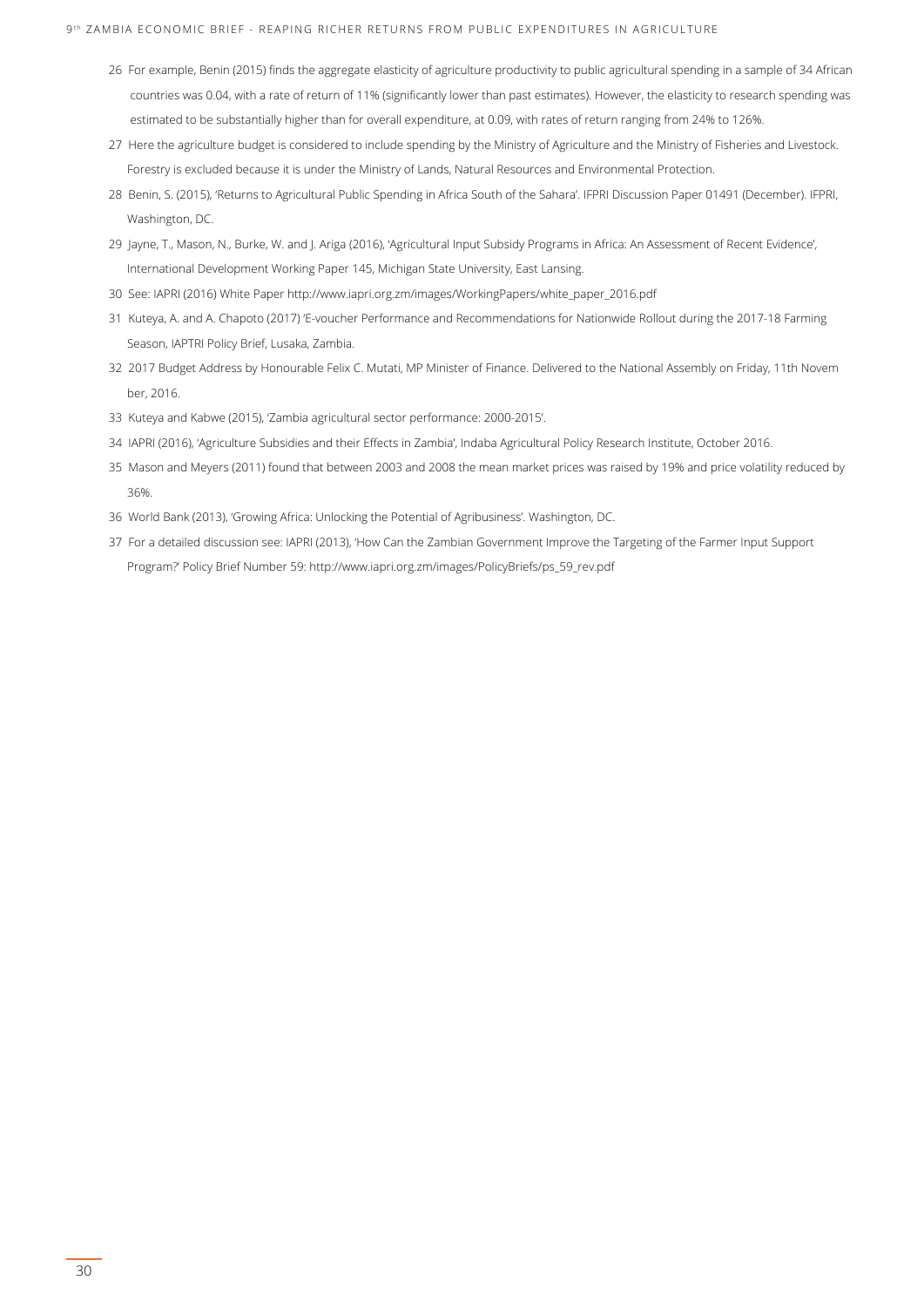- 26 For example, Benin (2015) finds the aggregate elasticity of agriculture productivity to public agricultural spending in a sample of 34 African countries was 0.04, with a rate of return of 11% (significantly lower than past estimates). However, the elasticity to research spending was estimated to be substantially higher than for overall expenditure, at 0.09, with rates of return ranging from 24% to 126%.
- 27 Here the agriculture budget is considered to include spending by the Ministry of Agriculture and the Ministry of Fisheries and Livestock. Forestry is excluded because it is under the Ministry of Lands, Natural Resources and Environmental Protection.
- 28 Benin, S. (2015), 'Returns to Agricultural Public Spending in Africa South of the Sahara'. IFPRI Discussion Paper 01491 (December). IFPRI, Washington, DC.
- 29 Jayne, T., Mason, N., Burke, W. and J. Ariga (2016), 'Agricultural Input Subsidy Programs in Africa: An Assessment of Recent Evidence', International Development Working Paper 145, Michigan State University, East Lansing.
- 30 See: IAPRI (2016) White Paper [http://www.iapri.org.zm/images/WorkingPapers/white\\_paper\\_2016.pdf](http://www.iapri.org.zm/images/WorkingPapers/white_paper_2016.pdf)
- 31 Kuteya, A. and A. Chapoto (2017) 'E-voucher Performance and Recommendations for Nationwide Rollout during the 2017-18 Farming Season, IAPTRI Policy Brief, Lusaka, Zambia.
- 32 2017 Budget Address by Honourable Felix C. Mutati, MP Minister of Finance. Delivered to the National Assembly on Friday, 11th Novem ber, 2016.
- 33 Kuteya and Kabwe (2015), 'Zambia agricultural sector performance: 2000-2015'.
- 34 IAPRI (2016), 'Agriculture Subsidies and their Effects in Zambia', Indaba Agricultural Policy Research Institute, October 2016.
- 35 Mason and Meyers (2011) found that between 2003 and 2008 the mean market prices was raised by 19% and price volatility reduced by 36%.
- 36 World Bank (2013), 'Growing Africa: Unlocking the Potential of Agribusiness'. Washington, DC.
- 37 For a detailed discussion see: IAPRI (2013), 'How Can the Zambian Government Improve the Targeting of the Farmer Input Support Program?' Policy Brief Number 59: [http://www.iapri.org.zm/images/PolicyBriefs/ps\\_59\\_rev.pdf](http://www.iapri.org.zm/images/PolicyBriefs/ps_59_rev.pdf)